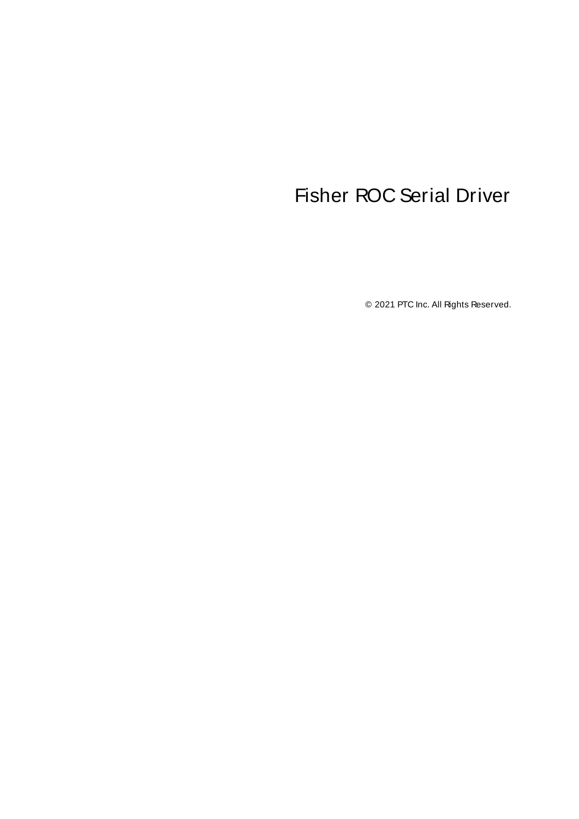# <span id="page-0-0"></span>Fisher ROC Serial Driver

© 2021 PTC Inc. All Rights Reserved.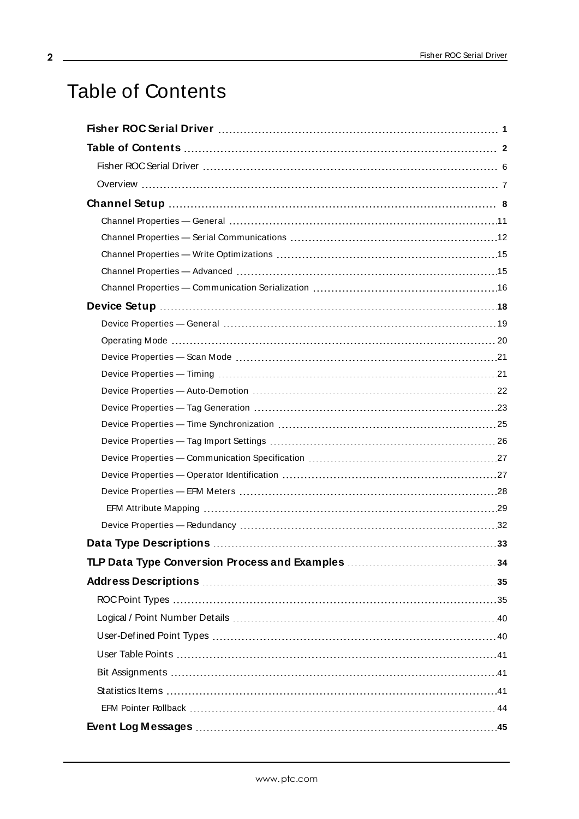# <span id="page-1-0"></span>Table of Contents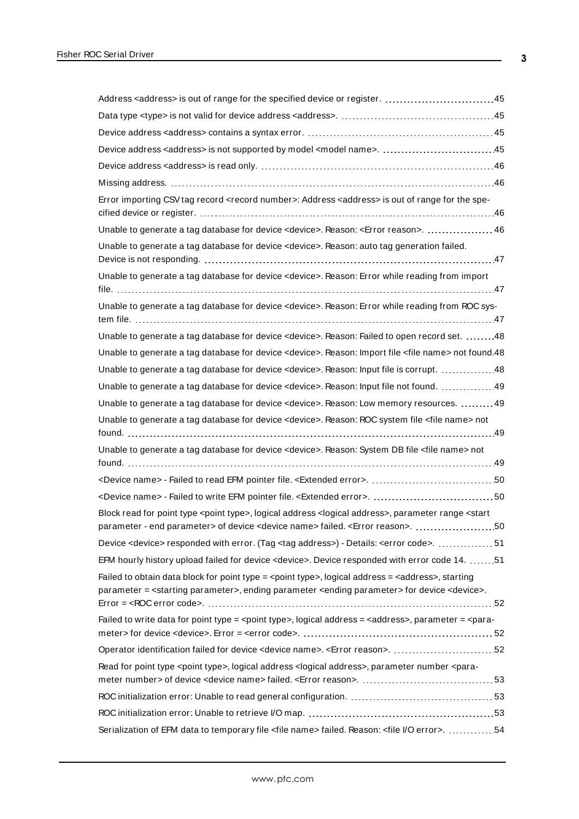| Error importing CSV tag record <record number="">: Address <address> is out of range for the spe-</address></record>                                                                                                                                    |
|---------------------------------------------------------------------------------------------------------------------------------------------------------------------------------------------------------------------------------------------------------|
| Unable to generate a tag database for device <device>. Reason: <error reason="">.  46</error></device>                                                                                                                                                  |
| Unable to generate a tag database for device <device>. Reason: auto tag generation failed.</device>                                                                                                                                                     |
| Unable to generate a tag database for device < device>. Reason: Error while reading from import                                                                                                                                                         |
| Unable to generate a tag database for device < device>. Reason: Error while reading from ROC sys-                                                                                                                                                       |
| Unable to generate a tag database for device <device>. Reason: Failed to open record set. 48</device>                                                                                                                                                   |
| Unable to generate a tag database for device <device>. Reason: Import file <file name=""> not found.48</file></device>                                                                                                                                  |
| Unable to generate a tag database for device <device>. Reason: Input file is corrupt. 48</device>                                                                                                                                                       |
| Unable to generate a tag database for device <device>. Reason: Input file not found. 49</device>                                                                                                                                                        |
| Unable to generate a tag database for device < device>. Reason: Low memory resources. 49                                                                                                                                                                |
| Unable to generate a tag database for device < device>. Reason: ROC system file < file name> not                                                                                                                                                        |
| Unable to generate a tag database for device < device>. Reason: System DB file < file name> not                                                                                                                                                         |
|                                                                                                                                                                                                                                                         |
|                                                                                                                                                                                                                                                         |
|                                                                                                                                                                                                                                                         |
| Block read for point type <point type="">, logical address <logical address="">, parameter range <start<br>parameter - end parameter&gt; of device <device name=""> failed. <error reason="">. <br/>50</error></device></start<br></logical></point>    |
| Device <device> responded with error. (Tag <tag address="">) - Details: <error code="">.  51</error></tag></device>                                                                                                                                     |
| EFM hourly history upload failed for device <device>. Device responded with error code 14. 51</device>                                                                                                                                                  |
| Failed to obtain data block for point type = <point type="">, logical address = <address>, starting<br/>parameter = <starting parameter="">, ending parameter <ending parameter=""> for device <device>.</device></ending></starting></address></point> |
| Failed to write data for point type = <point type="">, logical address = <address>, parameter = <para-< td=""></para-<></address></point>                                                                                                               |
|                                                                                                                                                                                                                                                         |
|                                                                                                                                                                                                                                                         |
| Read for point type <point type="">, logical address <logical address="">, parameter number <para-< td=""></para-<></logical></point>                                                                                                                   |
|                                                                                                                                                                                                                                                         |
|                                                                                                                                                                                                                                                         |
| Serialization of EFM data to temporary file <file name=""> failed. Reason: <file error="" i="" o="">. 54</file></file>                                                                                                                                  |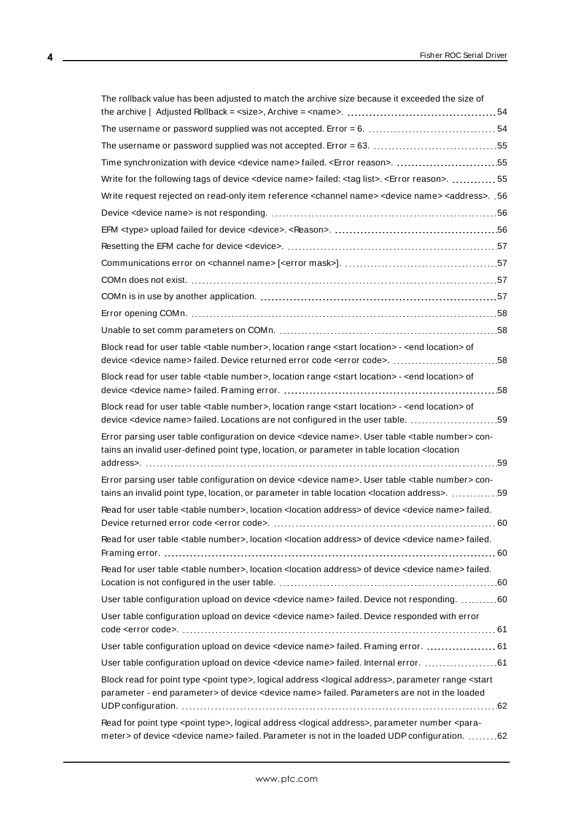| The rollback value has been adjusted to match the archive size because it exceeded the size of                                                                                                                                                     |
|----------------------------------------------------------------------------------------------------------------------------------------------------------------------------------------------------------------------------------------------------|
|                                                                                                                                                                                                                                                    |
|                                                                                                                                                                                                                                                    |
| Time synchronization with device <device name=""> failed. <error reason="">. 55</error></device>                                                                                                                                                   |
| Write for the following tags of device <device name=""> failed: <tag list="">. <error reason="">.  55</error></tag></device>                                                                                                                       |
| 06. .< Write request rejected on read-only item reference <channel name=""> <device name=""> <address></address></device></channel>                                                                                                                |
|                                                                                                                                                                                                                                                    |
|                                                                                                                                                                                                                                                    |
|                                                                                                                                                                                                                                                    |
|                                                                                                                                                                                                                                                    |
|                                                                                                                                                                                                                                                    |
|                                                                                                                                                                                                                                                    |
|                                                                                                                                                                                                                                                    |
|                                                                                                                                                                                                                                                    |
|                                                                                                                                                                                                                                                    |
| Block read for user table <table number="">, location range <start location=""> - <end location=""> of</end></start></table>                                                                                                                       |
| Block read for user table <table number="">, location range <start location=""> - <end location=""> of</end></start></table>                                                                                                                       |
| Block read for user table <table number="">, location range <start location=""> - <end location=""> of<br/>device <device name=""> failed. Locations are not configured in the user table. 59</device></end></start></table>                       |
| Error parsing user table configuration on device <device name="">. User table <table number=""> con-<br/>tains an invalid user-defined point type, location, or parameter in table location <location< td=""></location<></table></device>         |
| Error parsing user table configuration on device <device name="">. User table <table number=""> con-<br/>tains an invalid point type, location, or parameter in table location <location address="">. 59</location></table></device>               |
| Read for user table <table number="">, location <location address=""> of device <device name=""> failed.</device></location></table>                                                                                                               |
| Read for user table <table number="">, location <location address=""> of device <device name=""> failed.</device></location></table>                                                                                                               |
| Read for user table <table number="">, location <location address=""> of device <device name=""> failed.</device></location></table>                                                                                                               |
| User table configuration upload on device <device name=""> failed. Device not responding. 60</device>                                                                                                                                              |
| User table configuration upload on device <device name=""> failed. Device responded with error</device>                                                                                                                                            |
| User table configuration upload on device <device name="">failed. Framing error.  61</device>                                                                                                                                                      |
| User table configuration upload on device <device name=""> failed. Internal error.  61</device>                                                                                                                                                    |
| Block read for point type <point type="">, logical address <logical address="">, parameter range <start<br>parameter - end parameter&gt; of device <device name=""> failed. Parameters are not in the loaded</device></start<br></logical></point> |
| Read for point type <point type="">, logical address <logical address="">, parameter number <para-<br>meter&gt; of device <device name=""> failed. Parameter is not in the loaded UDP configuration. 62</device></para-<br></logical></point>      |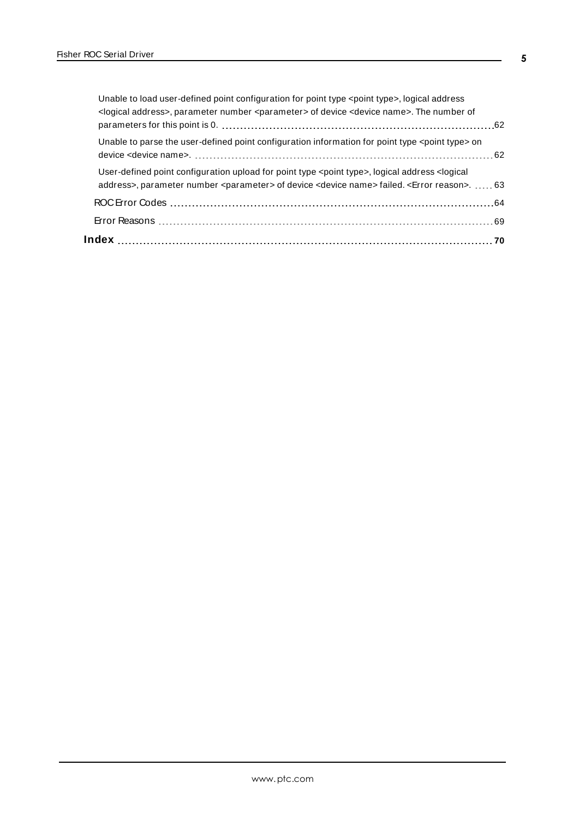| Unable to load user-defined point configuration for point type <point type="">, logical address<br/><logical address="">, parameter number <parameter> of device <device name="">. The number of</device></parameter></logical></point>                   |  |
|-----------------------------------------------------------------------------------------------------------------------------------------------------------------------------------------------------------------------------------------------------------|--|
|                                                                                                                                                                                                                                                           |  |
| Unable to parse the user-defined point configuration information for point type <point type=""> on</point>                                                                                                                                                |  |
| User-defined point configuration upload for point type <point type="">, logical address <logical<br>address&gt;, parameter number <parameter> of device <device name=""> failed. <error reason="">.  63</error></device></parameter></logical<br></point> |  |
|                                                                                                                                                                                                                                                           |  |
|                                                                                                                                                                                                                                                           |  |
|                                                                                                                                                                                                                                                           |  |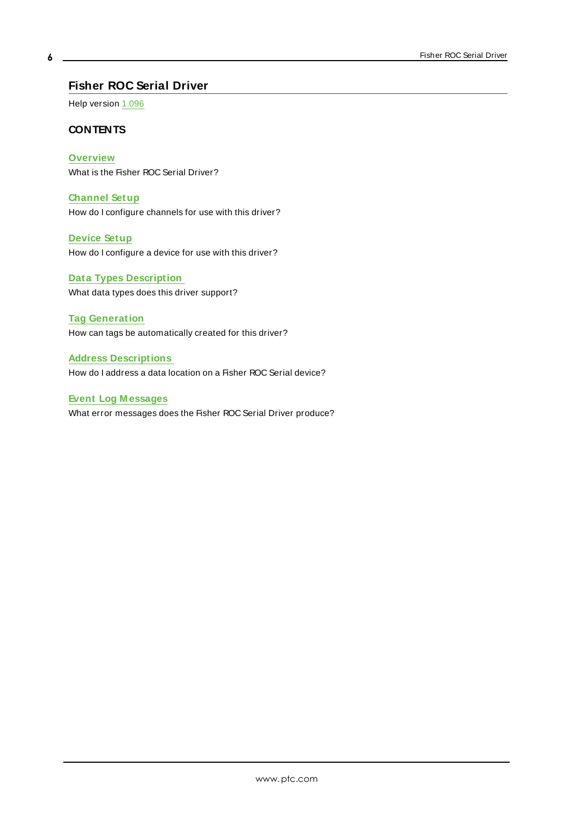# <span id="page-5-0"></span>**Fisher ROC Serial Driver**

Help version 1.096

#### **CONTENTS**

**[Overview](#page-6-0)** What is the Fisher ROC Serial Driver?

**[Channel](#page-7-0) Setup** How do I configure channels for use with this driver?

**[Device](#page-17-0) Setup** How do I configure a device for use with this driver?

**Data Types [Description](#page-32-0)** What data types does this driver support?

**Tag [Generation](#page-22-0)** How can tags be automatically created for this driver?

**Address [Descriptions](#page-34-0)** How do I address a data location on a Fisher ROC Serial device?

# **Event Log [M essages](#page-44-0)**

What error messages does the Fisher ROC Serial Driver produce?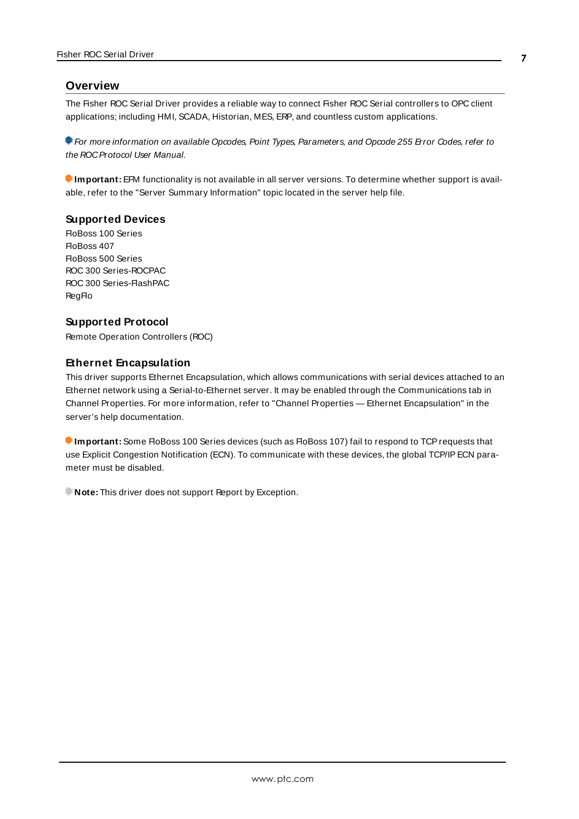#### <span id="page-6-0"></span>**Overview**

The Fisher ROC Serial Driver provides a reliable way to connect Fisher ROC Serial controllers to OPC client applications; including HMI, SCADA, Historian, MES, ERP, and countless custom applications.

For more information on available Opcodes, Point Types, Parameters, and Opcode 255 Error Codes, refer to the ROCProtocol User Manual.

**Important:** EFM functionality is not available in all server versions. To determine whether support is available, refer to the "Server Summary Information" topic located in the server help file.

#### **Supported Devices**

FloBoss 100 Series FloBoss 407 FloBoss 500 Series ROC 300 Series-ROCPAC ROC 300 Series-FlashPAC RegFlo

#### **Supported Protocol**

Remote Operation Controllers (ROC)

#### **Ethernet Encapsulation**

This driver supports Ethernet Encapsulation, which allows communications with serial devices attached to an Ethernet network using a Serial-to-Ethernet server. It may be enabled through the Communications tab in Channel Properties. For more information, refer to "Channel Properties — Ethernet Encapsulation" in the server's help documentation.

**Important:** Some FloBoss 100 Series devices (such as FloBoss 107) fail to respond to TCP requests that use Explicit Congestion Notification (ECN). To communicate with these devices, the global TCP/IPECN parameter must be disabled.

**Note:** This driver does not support Report by Exception.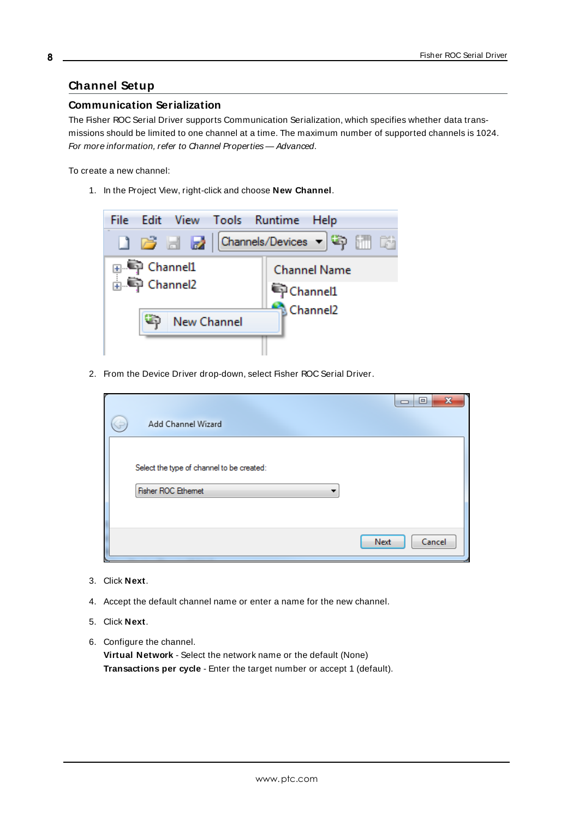# <span id="page-7-0"></span>**Channel Setup**

#### **Communication Serialization**

The Fisher ROC Serial Driver supports Communication Serialization, which specifies whether data transmissions should be limited to one channel at a time. The maximum number of supported channels is 1024. For more information, refer to Channel Properties — Advanced.

To create a new channel:

1. In the Project View, right-click and choose **New Channel**.



2. From the Device Driver drop-down, select Fisher ROC Serial Driver.

| Add Channel Wizard                                              | $\mathbf{x}$<br>$\blacksquare$<br>⊐ |
|-----------------------------------------------------------------|-------------------------------------|
| Select the type of channel to be created:<br>Fisher ROC Ethemet |                                     |
|                                                                 | Cancel<br>Next                      |

- 3. Click **Next**.
- 4. Accept the default channel name or enter a name for the new channel.
- 5. Click **Next**.
- 6. Configure the channel.

**Virtual Network** - Select the network name or the default (None) **Transactions per cycle** - Enter the target number or accept 1 (default).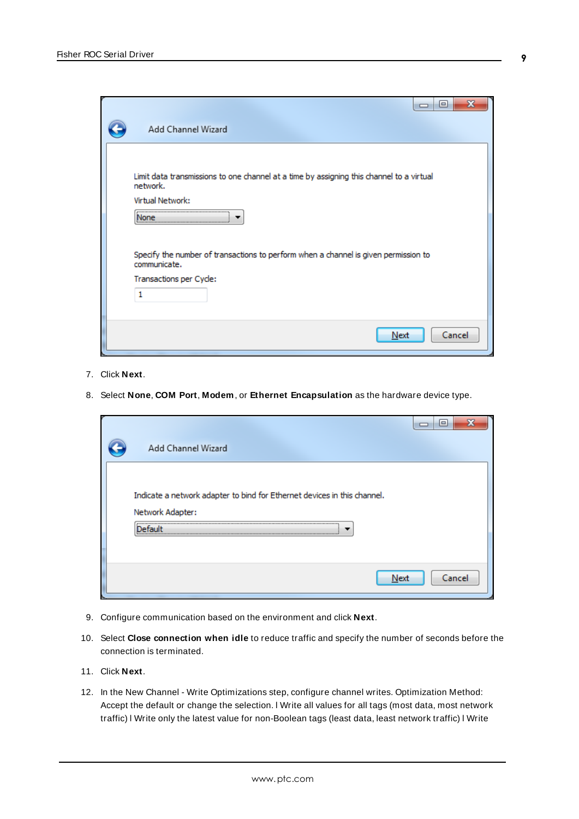| e<br>—<br>Add Channel Wizard                                                                                                        |
|-------------------------------------------------------------------------------------------------------------------------------------|
| Limit data transmissions to one channel at a time by assigning this channel to a virtual<br>network.<br>Virtual Network:<br>None    |
| Specify the number of transactions to perform when a channel is given permission to<br>communicate.<br>Transactions per Cycle:<br>1 |
| Next<br>Cancel                                                                                                                      |

- 7. Click **Next**.
- 8. Select **None**, **COM Port**, **Modem**, or **Ethernet Encapsulation** as the hardware device type.

| Add Channel Wizard                                                       | $\qquad \qquad \blacksquare$ |
|--------------------------------------------------------------------------|------------------------------|
| Indicate a network adapter to bind for Ethernet devices in this channel. |                              |
| Network Adapter:<br>- ni t<br>letar                                      |                              |
| Next                                                                     | Cancel                       |

- 9. Configure communication based on the environment and click **Next**.
- 10. Select **Close connection when idle** to reduce traffic and specify the number of seconds before the connection is terminated.
- 11. Click **Next**.
- 12. In the New Channel Write Optimizations step, configure channel writes. Optimization Method: Accept the default or change the selection. l Write all values for all tags (most data, most network traffic) l Write only the latest value for non-Boolean tags (least data, least network traffic) l Write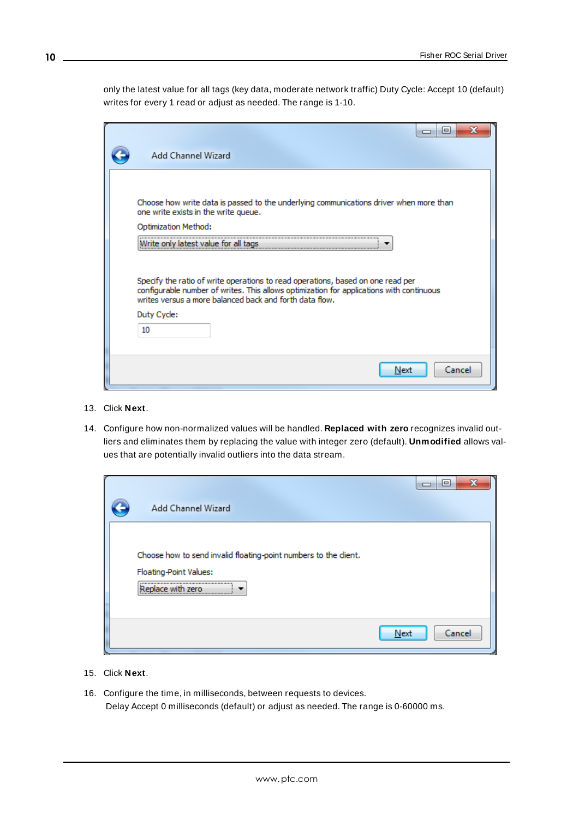only the latest value for all tags (key data, moderate network traffic) Duty Cycle: Accept 10 (default) writes for every 1 read or adjust as needed. The range is 1-10.

| x<br>e                                                                                                                                                                                                                                 |
|----------------------------------------------------------------------------------------------------------------------------------------------------------------------------------------------------------------------------------------|
| Add Channel Wizard                                                                                                                                                                                                                     |
|                                                                                                                                                                                                                                        |
| Choose how write data is passed to the underlying communications driver when more than<br>one write exists in the write queue.                                                                                                         |
| Optimization Method:                                                                                                                                                                                                                   |
| rite only latest value for al<br>tads                                                                                                                                                                                                  |
| Specify the ratio of write operations to read operations, based on one read per<br>configurable number of writes. This allows optimization for applications with continuous<br>writes versus a more balanced back and forth data flow. |
| Duty Cyde:                                                                                                                                                                                                                             |
| 10                                                                                                                                                                                                                                     |
|                                                                                                                                                                                                                                        |
| Cancel<br>Next                                                                                                                                                                                                                         |

- 13. Click **Next**.
- 14. Configure how non-normalized values will be handled. **Replaced with zero** recognizes invalid outliers and eliminates them by replacing the value with integer zero (default). **Unmodified** allows values that are potentially invalid outliers into the data stream.

| Add Channel Wizard                                                                                              | X<br>$\blacksquare$ |
|-----------------------------------------------------------------------------------------------------------------|---------------------|
| Choose how to send invalid floating-point numbers to the client.<br>Floating-Point Values:<br>Replace with zero |                     |
|                                                                                                                 | Next<br>Cancel      |

- 15. Click **Next**.
- 16. Configure the time, in milliseconds, between requests to devices. Delay Accept 0 milliseconds (default) or adjust as needed. The range is 0-60000 ms.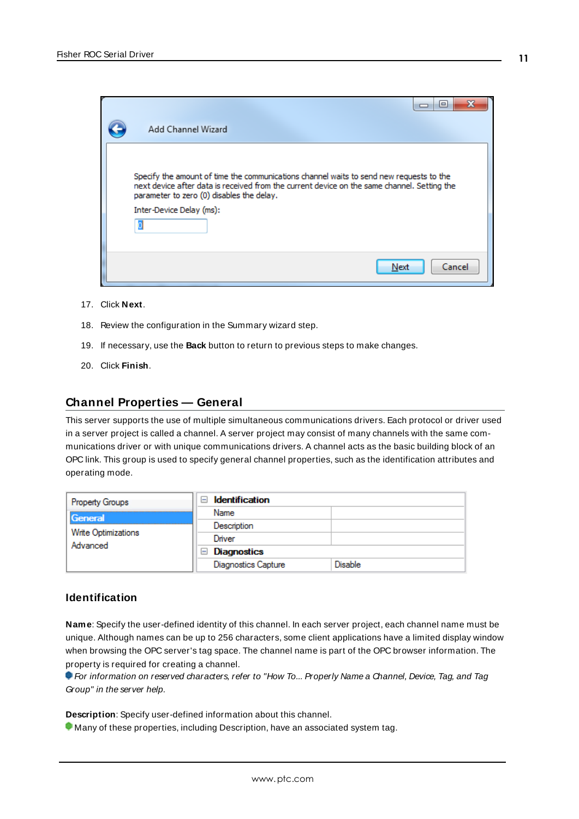|                                                                                                                                                                                                                                                                 | $\blacksquare$ |
|-----------------------------------------------------------------------------------------------------------------------------------------------------------------------------------------------------------------------------------------------------------------|----------------|
| Add Channel Wizard                                                                                                                                                                                                                                              |                |
| Specify the amount of time the communications channel waits to send new requests to the<br>next device after data is received from the current device on the same channel. Setting the<br>parameter to zero (0) disables the delay.<br>Inter-Device Delay (ms): |                |
| Next                                                                                                                                                                                                                                                            | Cancel         |

- 17. Click **Next**.
- 18. Review the configuration in the Summary wizard step.
- 19. If necessary, use the **Back** button to return to previous steps to make changes.
- 20. Click **Finish**.

#### <span id="page-10-0"></span>**Channel Properties — General**

This server supports the use of multiple simultaneous communications drivers. Each protocol or driver used in a server project is called a channel. A server project may consist of many channels with the same communications driver or with unique communications drivers. A channel acts as the basic building block of an OPC link. This group is used to specify general channel properties, such as the identification attributes and operating mode.

| <b>Property Groups</b>         | $\Box$ Identification      |         |
|--------------------------------|----------------------------|---------|
| General<br>Write Optimizations | Name                       |         |
|                                | Description                |         |
|                                | Driver                     |         |
| Advanced                       | $\Box$ Diagnostics         |         |
|                                | <b>Diagnostics Capture</b> | Disable |

#### **Identification**

**Name**: Specify the user-defined identity of this channel. In each server project, each channel name must be unique. Although names can be up to 256 characters, some client applications have a limited display window when browsing the OPC server's tag space. The channel name is part of the OPC browser information. The property is required for creating a channel.

For information on reserved characters, refer to "How To... Properly Name a Channel, Device, Tag, and Tag Group" in the server help.

**Description**: Specify user-defined information about this channel.

Many of these properties, including Description, have an associated system tag.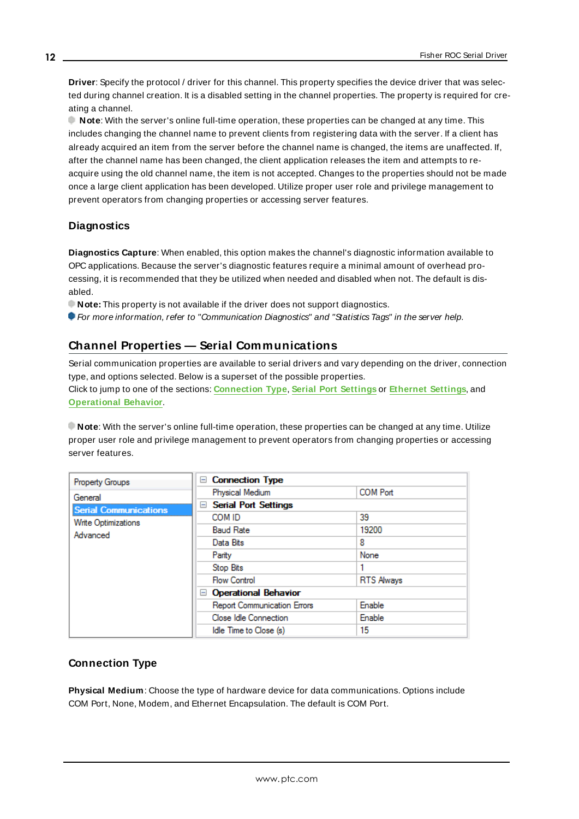**Driver**: Specify the protocol / driver for this channel. This property specifies the device driver that was selected during channel creation. It is a disabled setting in the channel properties. The property is required for creating a channel.

**Note**: With the server's online full-time operation, these properties can be changed at any time. This includes changing the channel name to prevent clients from registering data with the server. If a client has already acquired an item from the server before the channel name is changed, the items are unaffected. If, after the channel name has been changed, the client application releases the item and attempts to reacquire using the old channel name, the item is not accepted. Changes to the properties should not be made once a large client application has been developed. Utilize proper user role and privilege management to prevent operators from changing properties or accessing server features.

# **Diagnostics**

**Diagnostics Capture**: When enabled, this option makes the channel's diagnostic information available to OPC applications. Because the server's diagnostic features require a minimal amount of overhead processing, it is recommended that they be utilized when needed and disabled when not. The default is disabled.

**Note:** This property is not available if the driver does not support diagnostics.

<span id="page-11-0"></span>For more information, refer to "Communication Diagnostics" and "Statistics Tags" in the server help.

# **Channel Properties — Serial Communications**

Serial communication properties are available to serial drivers and vary depending on the driver, connection type, and options selected. Below is a superset of the possible properties. Click to jump to one of the sections: **[Connection](#page-11-1) Type**, **Serial Port [Settings](#page-12-0)** or **[Ethernet](#page-13-0) Settings**, and **[Operational](#page-13-1) Behavior**.

**Note**: With the server's online full-time operation, these properties can be changed at any time. Utilize proper user role and privilege management to prevent operators from changing properties or accessing server features.

| <b>Property Groups</b>       | □ Connection Type                       |                   |  |
|------------------------------|-----------------------------------------|-------------------|--|
| General                      | Physical Medium                         | <b>COM Port</b>   |  |
| <b>Serial Communications</b> | <b>Serial Port Settings</b><br>$\equiv$ |                   |  |
| <b>Write Optimizations</b>   | COM ID                                  | 39                |  |
| Advanced                     | <b>Baud Rate</b>                        | 19200             |  |
|                              | Data Bits                               | 8                 |  |
|                              | Parity                                  | None              |  |
|                              | Stop Bits                               |                   |  |
|                              | <b>Flow Control</b>                     | <b>RTS Always</b> |  |
|                              | Operational Behavior                    |                   |  |
|                              | <b>Report Communication Errors</b>      | Enable            |  |
|                              | Close Idle Connection                   | Enable            |  |
|                              | Idle Time to Close (s)                  | 15                |  |

# <span id="page-11-1"></span>**Connection Type**

**Physical Medium**: Choose the type of hardware device for data communications. Options include COM Port, None, Modem, and Ethernet Encapsulation. The default is COM Port.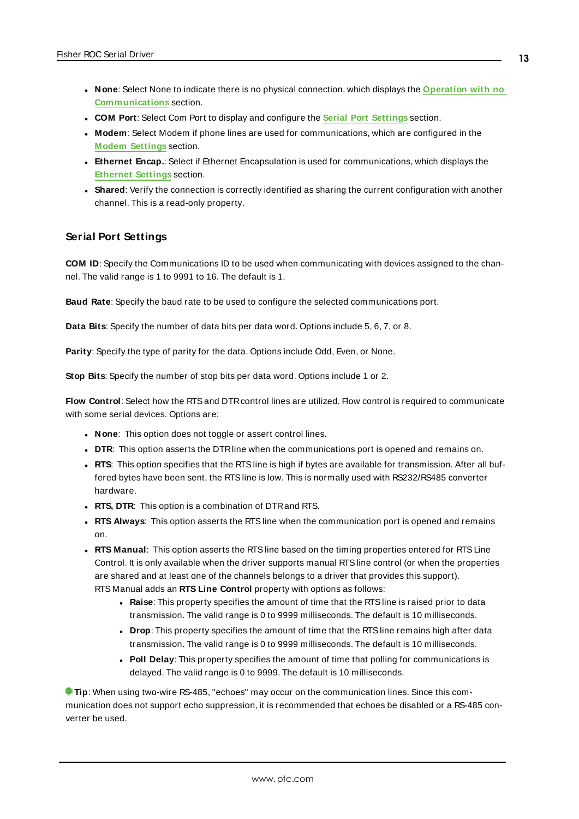- <sup>l</sup> **None**: Select None to indicate there is no physical connection, which displays the **[Operation](#page-13-2) with no [Communications](#page-13-2)** section.
- <sup>l</sup> **COM Port**: Select Com Port to display and configure the **Serial Port [Settings](#page-12-0)** section.
- **Modem**: Select Modem if phone lines are used for communications, which are configured in the **Modem [Settings](#page-13-3)** section.
- **Ethernet Encap.**: Select if Ethernet Encapsulation is used for communications, which displays the **[Ethernet](#page-13-0) Settings** section.
- Shared: Verify the connection is correctly identified as sharing the current configuration with another channel. This is a read-only property.

#### <span id="page-12-0"></span>**Serial Port Settings**

**COM ID**: Specify the Communications ID to be used when communicating with devices assigned to the channel. The valid range is 1 to 9991 to 16. The default is 1.

**Baud Rate**: Specify the baud rate to be used to configure the selected communications port.

**Data Bits**: Specify the number of data bits per data word. Options include 5, 6, 7, or 8.

**Parity**: Specify the type of parity for the data. Options include Odd, Even, or None.

**Stop Bits**: Specify the number of stop bits per data word. Options include 1 or 2.

**Flow Control**: Select how the RTS and DTR control lines are utilized. Flow control is required to communicate with some serial devices. Options are:

- **None:** This option does not toggle or assert control lines.
- **DTR:** This option asserts the DTR line when the communications port is opened and remains on.
- RTS: This option specifies that the RTS line is high if bytes are available for transmission. After all buffered bytes have been sent, the RTSline is low. This is normally used with RS232/RS485 converter hardware.
- **RTS, DTR:** This option is a combination of DTR and RTS.
- <sup>l</sup> **RTS Always**: This option asserts the RTSline when the communication port is opened and remains on.
- <sup>l</sup> **RTS Manual**: This option asserts the RTSline based on the timing properties entered for RTSLine Control. It is only available when the driver supports manual RTSline control (or when the properties are shared and at least one of the channels belongs to a driver that provides this support). RTS Manual adds an **RTS Line Control** property with options as follows:
	- **Raise**: This property specifies the amount of time that the RTS line is raised prior to data transmission. The valid range is 0 to 9999 milliseconds. The default is 10 milliseconds.
	- **Drop**: This property specifies the amount of time that the RTS line remains high after data transmission. The valid range is 0 to 9999 milliseconds. The default is 10 milliseconds.
	- **Poll Delay**: This property specifies the amount of time that polling for communications is delayed. The valid range is 0 to 9999. The default is 10 milliseconds.

**Tip**: When using two-wire RS-485, "echoes" may occur on the communication lines. Since this communication does not support echo suppression, it is recommended that echoes be disabled or a RS-485 converter be used.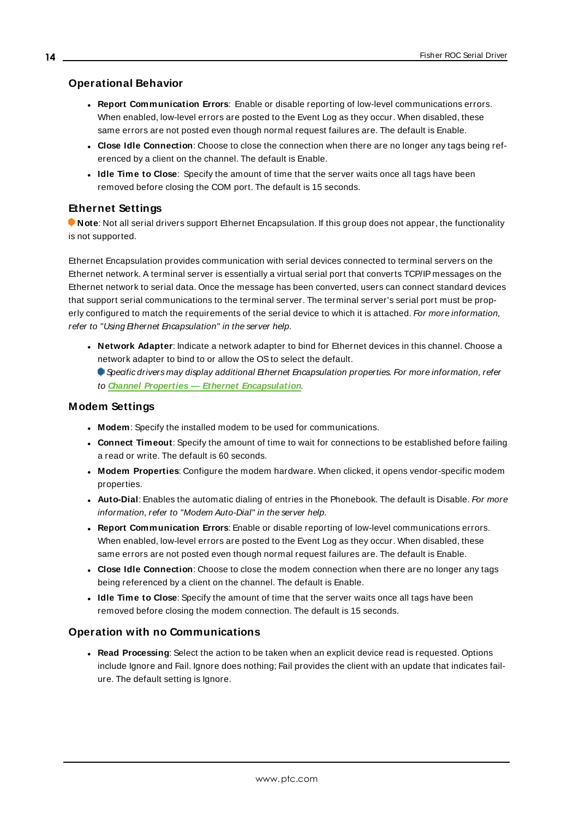#### <span id="page-13-1"></span>**Operational Behavior**

- <sup>l</sup> **Report Communication Errors**: Enable or disable reporting of low-level communications errors. When enabled, low-level errors are posted to the Event Log as they occur. When disabled, these same errors are not posted even though normal request failures are. The default is Enable.
- <sup>l</sup> **Close Idle Connection**: Choose to close the connection when there are no longer any tags being referenced by a client on the channel. The default is Enable.
- <sup>l</sup> **Idle Time to Close**: Specify the amount of time that the server waits once all tags have been removed before closing the COM port. The default is 15 seconds.

#### <span id="page-13-0"></span>**Ethernet Settings**

**Note**: Not all serial drivers support Ethernet Encapsulation. If this group does not appear, the functionality is not supported.

Ethernet Encapsulation provides communication with serial devices connected to terminal servers on the Ethernet network. A terminal server is essentially a virtual serial port that converts TCP/IP messages on the Ethernet network to serial data. Once the message has been converted, users can connect standard devices that support serial communications to the terminal server. The terminal server's serial port must be properly configured to match the requirements of the serial device to which it is attached. For more information, refer to "Using Ethernet Encapsulation" in the server help.

- **· Network Adapter**: Indicate a network adapter to bind for Ethernet devices in this channel. Choose a network adapter to bind to or allow the OSto select the default.
	- Specific drivers may display additional Ethernet Encapsulation properties. For more information, refer to **Channel Properties — Ethernet Encapsulation**.

#### <span id="page-13-3"></span>**Modem Settings**

- **Modem**: Specify the installed modem to be used for communications.
- <sup>l</sup> **Connect Timeout**: Specify the amount of time to wait for connections to be established before failing a read or write. The default is 60 seconds.
- <sup>l</sup> **Modem Properties**: Configure the modem hardware. When clicked, it opens vendor-specific modem properties.
- **Auto-Dial**: Enables the automatic dialing of entries in the Phonebook. The default is Disable. For more information, refer to "Modem Auto-Dial" in the server help.
- <sup>l</sup> **Report Communication Errors**: Enable or disable reporting of low-level communications errors. When enabled, low-level errors are posted to the Event Log as they occur. When disabled, these same errors are not posted even though normal request failures are. The default is Enable.
- **.** Close Idle Connection: Choose to close the modem connection when there are no longer any tags being referenced by a client on the channel. The default is Enable.
- **.** Idle Time to Close: Specify the amount of time that the server waits once all tags have been removed before closing the modem connection. The default is 15 seconds.

#### <span id="page-13-2"></span>**Operation with no Communications**

**Read Processing**: Select the action to be taken when an explicit device read is requested. Options include Ignore and Fail. Ignore does nothing; Fail provides the client with an update that indicates failure. The default setting is Ignore.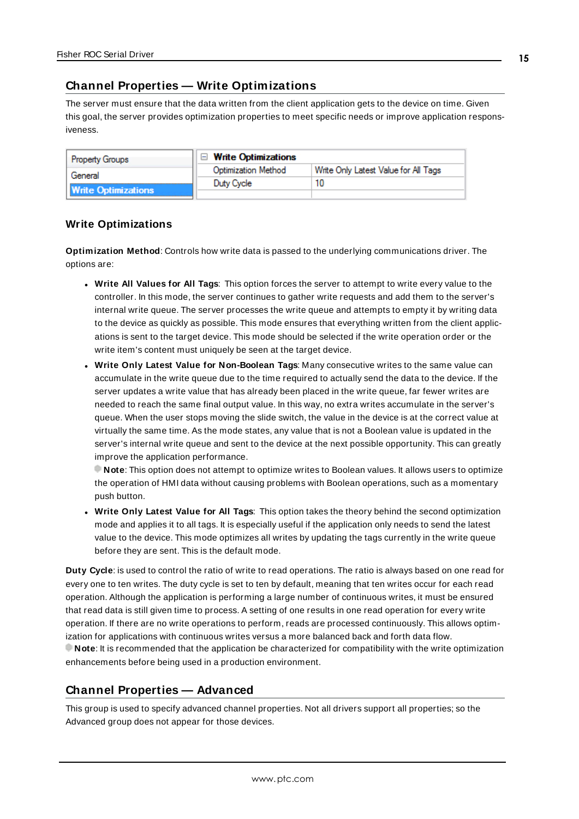# <span id="page-14-0"></span>**Channel Properties — Write Optimizations**

The server must ensure that the data written from the client application gets to the device on time. Given this goal, the server provides optimization properties to meet specific needs or improve application responsiveness.

| <b>Property Groups</b>     | $\Box$ Write Optimizations |                                      |
|----------------------------|----------------------------|--------------------------------------|
| General                    | Optimization Method        | Write Only Latest Value for All Tags |
|                            | Duty Cycle                 |                                      |
| <b>Write Optimizations</b> |                            |                                      |

#### **Write Optimizations**

**Optimization Method**: Controls how write data is passed to the underlying communications driver. The options are:

- <sup>l</sup> **Write All Values for All Tags**: This option forces the server to attempt to write every value to the controller. In this mode, the server continues to gather write requests and add them to the server's internal write queue. The server processes the write queue and attempts to empty it by writing data to the device as quickly as possible. This mode ensures that everything written from the client applications is sent to the target device. This mode should be selected if the write operation order or the write item's content must uniquely be seen at the target device.
- <sup>l</sup> **Write Only Latest Value for Non-Boolean Tags**: Many consecutive writes to the same value can accumulate in the write queue due to the time required to actually send the data to the device. If the server updates a write value that has already been placed in the write queue, far fewer writes are needed to reach the same final output value. In this way, no extra writes accumulate in the server's queue. When the user stops moving the slide switch, the value in the device is at the correct value at virtually the same time. As the mode states, any value that is not a Boolean value is updated in the server's internal write queue and sent to the device at the next possible opportunity. This can greatly improve the application performance.

**Note**: This option does not attempt to optimize writes to Boolean values. It allows users to optimize the operation of HMI data without causing problems with Boolean operations, such as a momentary push button.

**• Write Only Latest Value for All Tags**: This option takes the theory behind the second optimization mode and applies it to all tags. It is especially useful if the application only needs to send the latest value to the device. This mode optimizes all writes by updating the tags currently in the write queue before they are sent. This is the default mode.

**Duty Cycle**: is used to control the ratio of write to read operations. The ratio is always based on one read for every one to ten writes. The duty cycle is set to ten by default, meaning that ten writes occur for each read operation. Although the application is performing a large number of continuous writes, it must be ensured that read data is still given time to process. A setting of one results in one read operation for every write operation. If there are no write operations to perform, reads are processed continuously. This allows optimization for applications with continuous writes versus a more balanced back and forth data flow. **Note**: It is recommended that the application be characterized for compatibility with the write optimization enhancements before being used in a production environment.

# <span id="page-14-1"></span>**Channel Properties — Advanced**

This group is used to specify advanced channel properties. Not all drivers support all properties; so the Advanced group does not appear for those devices.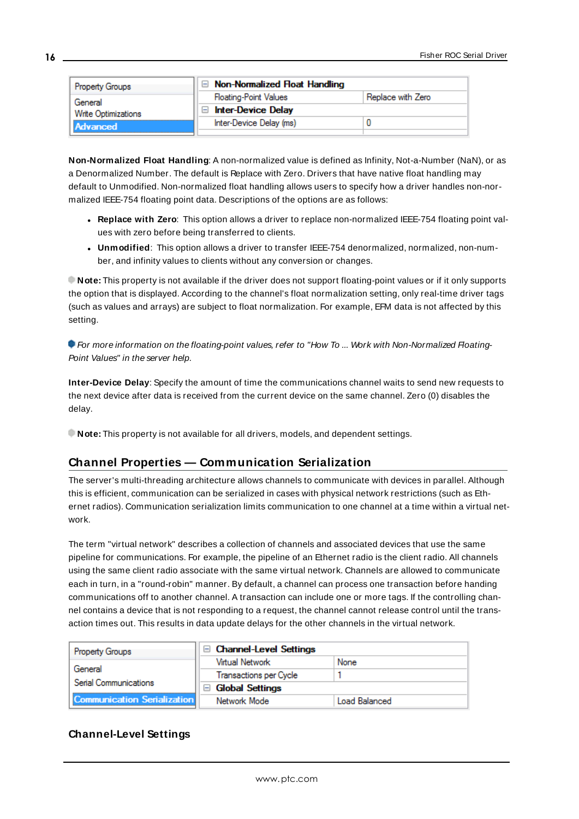| <b>Property Groups</b>          | $\Box$ Non-Normalized Float Handling |                   |
|---------------------------------|--------------------------------------|-------------------|
| General                         | <b>Floating-Point Values</b>         | Replace with Zero |
| Write Optimizations<br>Advanced | <b>Inter-Device Delay</b>            |                   |
|                                 | Inter-Device Delay (ms)              |                   |
|                                 |                                      |                   |

**Non-Normalized Float Handling**: A non-normalized value is defined as Infinity, Not-a-Number (NaN), or as a Denormalized Number. The default is Replace with Zero. Drivers that have native float handling may default to Unmodified. Non-normalized float handling allows users to specify how a driver handles non-normalized IEEE-754 floating point data. Descriptions of the options are as follows:

- <sup>l</sup> **Replace with Zero**: This option allows a driver to replace non-normalized IEEE-754 floating point values with zero before being transferred to clients.
- <sup>l</sup> **Unmodified**: This option allows a driver to transfer IEEE-754 denormalized, normalized, non-number, and infinity values to clients without any conversion or changes.

**Note:** This property is not available if the driver does not support floating-point values or if it only supports the option that is displayed. According to the channel's float normalization setting, only real-time driver tags (such as values and arrays) are subject to float normalization. For example, EFM data is not affected by this setting.

For more information on the floating-point values, refer to "How To ... Work with Non-Normalized Floating-Point Values" in the server help.

**Inter-Device Delay**: Specify the amount of time the communications channel waits to send new requests to the next device after data is received from the current device on the same channel. Zero (0) disables the delay.

<span id="page-15-0"></span>**Note:** This property is not available for all drivers, models, and dependent settings.

# **Channel Properties — Communication Serialization**

The server's multi-threading architecture allows channels to communicate with devices in parallel. Although this is efficient, communication can be serialized in cases with physical network restrictions (such as Ethernet radios). Communication serialization limits communication to one channel at a time within a virtual network.

The term "virtual network" describes a collection of channels and associated devices that use the same pipeline for communications. For example, the pipeline of an Ethernet radio is the client radio. All channels using the same client radio associate with the same virtual network. Channels are allowed to communicate each in turn, in a "round-robin" manner. By default, a channel can process one transaction before handing communications off to another channel. A transaction can include one or more tags. If the controlling channel contains a device that is not responding to a request, the channel cannot release control until the transaction times out. This results in data update delays for the other channels in the virtual network.

| Property Groups                    | <b>Channel-Level Settings</b>                      |                      |
|------------------------------------|----------------------------------------------------|----------------------|
|                                    | Virtual Network                                    | None                 |
| General<br>Serial Communications   | <b>Transactions per Cycle</b>                      |                      |
|                                    | <b>Global Settings</b><br>$\overline{\phantom{0}}$ |                      |
| <b>Communication Serialization</b> | Network Mode                                       | <b>Load Balanced</b> |

# **Channel-Level Settings**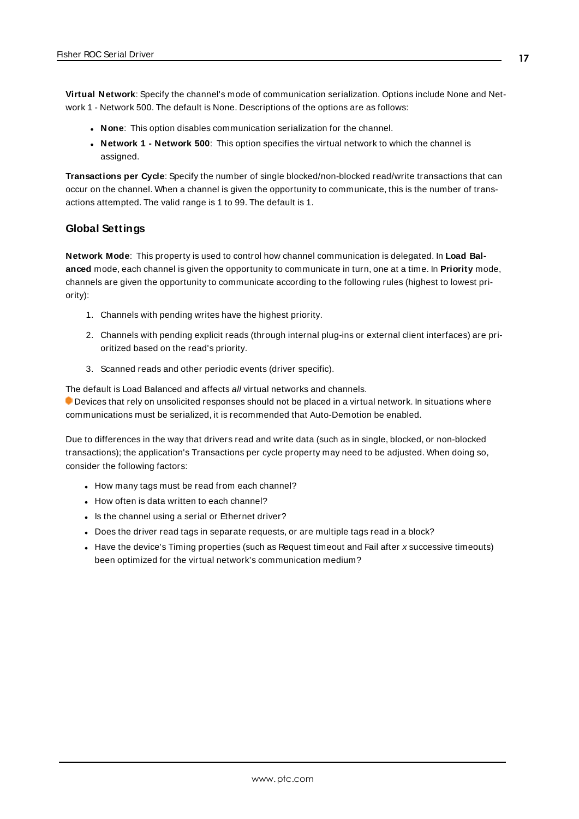**Virtual Network**: Specify the channel's mode of communication serialization. Options include None and Network 1 - Network 500. The default is None. Descriptions of the options are as follows:

- **None:** This option disables communication serialization for the channel.
- <sup>l</sup> **Network 1 - Network 500**: This option specifies the virtual network to which the channel is assigned.

**Transactions per Cycle**: Specify the number of single blocked/non-blocked read/write transactions that can occur on the channel. When a channel is given the opportunity to communicate, this is the number of transactions attempted. The valid range is 1 to 99. The default is 1.

#### **Global Settings**

**Network Mode**: This property is used to control how channel communication is delegated. In **Load Balanced** mode, each channel is given the opportunity to communicate in turn, one at a time. In **Priority** mode, channels are given the opportunity to communicate according to the following rules (highest to lowest priority):

- 1. Channels with pending writes have the highest priority.
- 2. Channels with pending explicit reads (through internal plug-ins or external client interfaces) are prioritized based on the read's priority.
- 3. Scanned reads and other periodic events (driver specific).

The default is Load Balanced and affects all virtual networks and channels.

 Devices that rely on unsolicited responses should not be placed in a virtual network. In situations where communications must be serialized, it is recommended that Auto-Demotion be enabled.

Due to differences in the way that drivers read and write data (such as in single, blocked, or non-blocked transactions); the application's Transactions per cycle property may need to be adjusted. When doing so, consider the following factors:

- How many tags must be read from each channel?
- How often is data written to each channel?
- Is the channel using a serial or Ethernet driver?
- Does the driver read tags in separate requests, or are multiple tags read in a block?
- Have the device's Timing properties (such as Request timeout and Fail after x successive timeouts) been optimized for the virtual network's communication medium?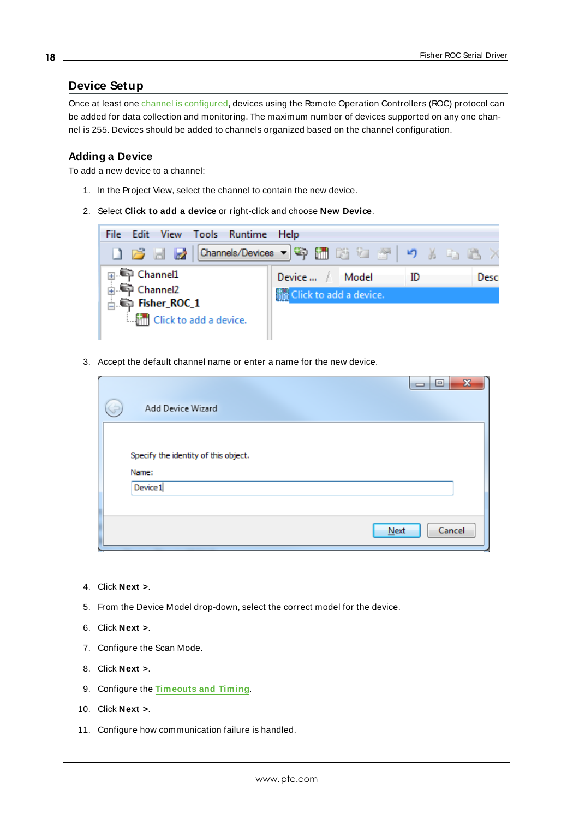# <span id="page-17-0"></span>**Device Setup**

Once at least one channel is [configured,](#page-7-0) devices using the Remote Operation Controllers (ROC) protocol can be added for data collection and monitoring. The maximum number of devices supported on any one channel is 255. Devices should be added to channels organized based on the channel configuration.

#### **Adding a Device**

To add a new device to a channel:

- 1. In the Project View, select the channel to contain the new device.
- 2. Select **Click to add a device** or right-click and choose **New Device**.



3. Accept the default channel name or enter a name for the new device.

| Add Device Wizard                                         | $\mathbf{x}$<br>▣<br>$\Box$ |
|-----------------------------------------------------------|-----------------------------|
| Specify the identity of this object.<br>Name:<br>Device 1 |                             |
|                                                           | Cancel<br>Next              |

- 4. Click **Next >**.
- 5. From the Device Model drop-down, select the correct model for the device.
- 6. Click **Next >**.
- 7. Configure the Scan Mode.
- 8. Click **Next >**.
- 9. Configure the **[Timeouts](#page-20-1) and Timing**.
- 10. Click **Next >**.
- 11. Configure how communication failure is handled.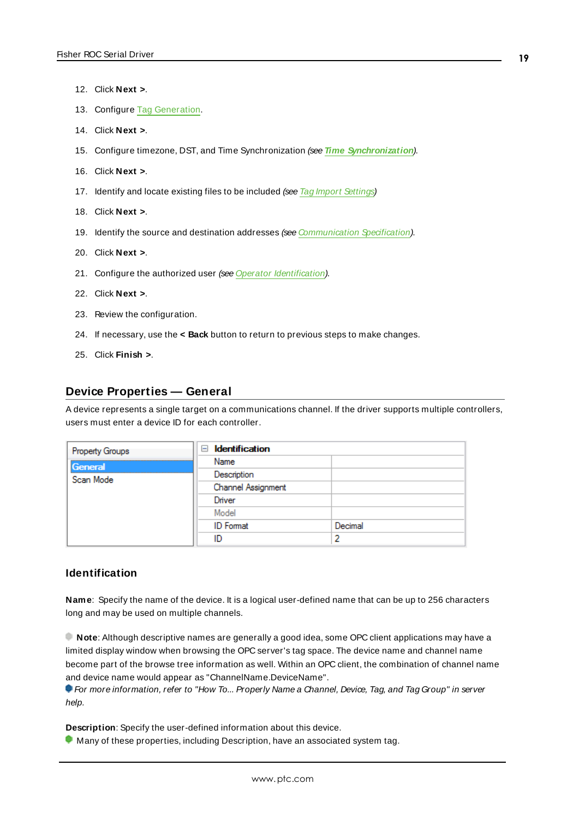**19**

- 12. Click **Next >**.
- 13. Configure Tag [Generation](#page-22-0).
- 14. Click **Next >**.
- 15. Configure timezone, DST, and Time Synchronization (see **Time [Synchronization](#page-24-0)**).
- 16. Click **Next >**.
- 17. Identify and locate existing files to be included (see Tag Import [Settings\)](#page-25-0)
- 18. Click **Next >**.
- 19. Identify the source and destination addresses (see [Communication](#page-26-0) Specification).
- 20. Click **Next >**.
- 21. Configure the authorized user (see Operator [Identification](#page-26-1)).
- 22. Click **Next >**.
- 23. Review the configuration.
- 24. If necessary, use the **< Back** button to return to previous steps to make changes.
- <span id="page-18-0"></span>25. Click **Finish >**.

#### **Device Properties — General**

A device represents a single target on a communications channel. If the driver supports multiple controllers, users must enter a device ID for each controller.

| <b>Property Groups</b> | <b>Identification</b><br>$=$ |         |
|------------------------|------------------------------|---------|
| General                | Name                         |         |
| Scan Mode              | Description                  |         |
|                        | Channel Assignment           |         |
|                        | Driver                       |         |
|                        | Model                        |         |
|                        | <b>ID</b> Format             | Decimal |
|                        | ID                           | י       |

#### **Identification**

**Name**: Specify the name of the device. It is a logical user-defined name that can be up to 256 characters long and may be used on multiple channels.

**Note**: Although descriptive names are generally a good idea, some OPC client applications may have a limited display window when browsing the OPC server's tag space. The device name and channel name become part of the browse tree information as well. Within an OPC client, the combination of channel name and device name would appear as "ChannelName.DeviceName".

For more information, refer to "How To... Properly Name a Channel, Device, Tag, and Tag Group" in server help.

**Description**: Specify the user-defined information about this device.

**Many of these properties, including Description, have an associated system tag.**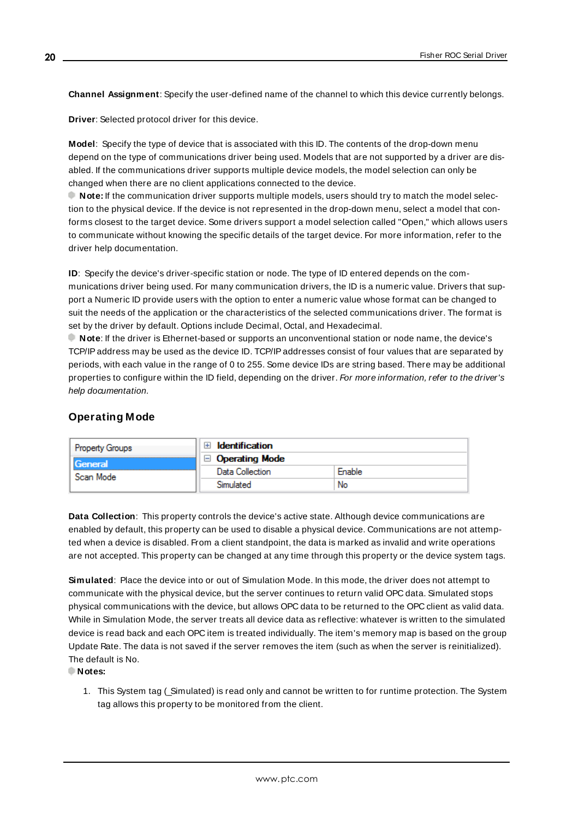**Channel Assignment**: Specify the user-defined name of the channel to which this device currently belongs.

**Driver**: Selected protocol driver for this device.

**Model**: Specify the type of device that is associated with this ID. The contents of the drop-down menu depend on the type of communications driver being used. Models that are not supported by a driver are disabled. If the communications driver supports multiple device models, the model selection can only be changed when there are no client applications connected to the device.

**Note:** If the communication driver supports multiple models, users should try to match the model selection to the physical device. If the device is not represented in the drop-down menu, select a model that conforms closest to the target device. Some drivers support a model selection called "Open," which allows users to communicate without knowing the specific details of the target device. For more information, refer to the driver help documentation.

**ID**: Specify the device's driver-specific station or node. The type of ID entered depends on the communications driver being used. For many communication drivers, the ID is a numeric value. Drivers that support a Numeric ID provide users with the option to enter a numeric value whose format can be changed to suit the needs of the application or the characteristics of the selected communications driver. The format is set by the driver by default. Options include Decimal, Octal, and Hexadecimal.

**Note**: If the driver is Ethernet-based or supports an unconventional station or node name, the device's TCP/IPaddress may be used as the device ID. TCP/IPaddresses consist of four values that are separated by periods, with each value in the range of 0 to 255. Some device IDs are string based. There may be additional properties to configure within the ID field, depending on the driver. For more information, refer to the driver's help documentation.

# <span id="page-19-0"></span>**Operating Mode**

| <b>Property Groups</b>        | <b>Identification</b> |           |
|-------------------------------|-----------------------|-----------|
| <b>I</b> General<br>Scan Mode | $\Box$ Operating Mode |           |
|                               | Data Collection       | $r$ nable |
|                               |                       | No        |

**Data Collection**: This property controls the device's active state. Although device communications are enabled by default, this property can be used to disable a physical device. Communications are not attempted when a device is disabled. From a client standpoint, the data is marked as invalid and write operations are not accepted. This property can be changed at any time through this property or the device system tags.

**Simulated**: Place the device into or out of Simulation Mode. In this mode, the driver does not attempt to communicate with the physical device, but the server continues to return valid OPC data. Simulated stops physical communications with the device, but allows OPC data to be returned to the OPC client as valid data. While in Simulation Mode, the server treats all device data as reflective: whatever is written to the simulated device is read back and each OPC item is treated individually. The item's memory map is based on the group Update Rate. The data is not saved if the server removes the item (such as when the server is reinitialized). The default is No.

**Notes:**

1. This System tag (\_Simulated) is read only and cannot be written to for runtime protection. The System tag allows this property to be monitored from the client.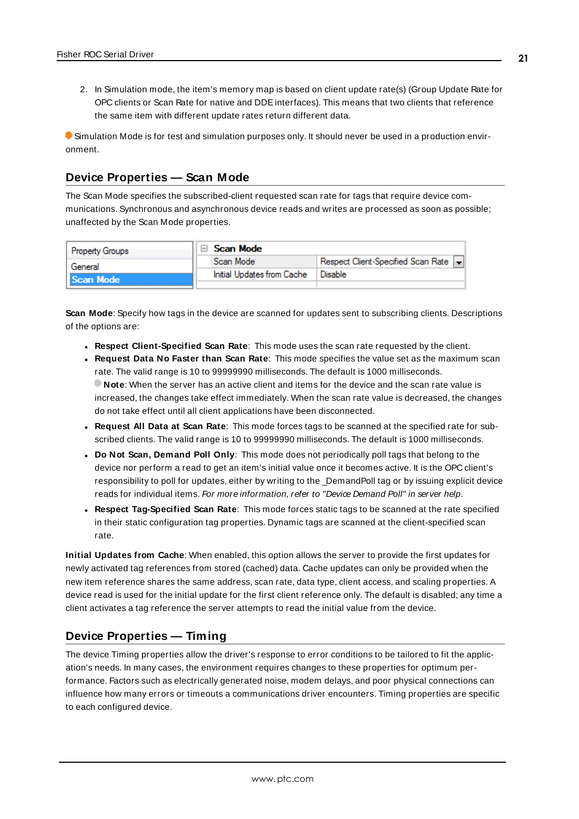2. In Simulation mode, the item's memory map is based on client update rate(s) (Group Update Rate for OPC clients or Scan Rate for native and DDEinterfaces). This means that two clients that reference the same item with different update rates return different data.

 Simulation Mode is for test and simulation purposes only. It should never be used in a production environment.

#### <span id="page-20-0"></span>**Device Properties — Scan Mode**

The Scan Mode specifies the subscribed-client requested scan rate for tags that require device communications. Synchronous and asynchronous device reads and writes are processed as soon as possible; unaffected by the Scan Mode properties.

| <b>Property Groups</b> | Scan Mode |                            |                                       |
|------------------------|-----------|----------------------------|---------------------------------------|
| General                |           | Scan Mode                  | Respect Client-Specified Scan Rate  - |
| Scan Mode              |           | Initial Updates from Cache | Disable                               |
|                        |           |                            |                                       |

**Scan Mode**: Specify how tags in the device are scanned for updates sent to subscribing clients. Descriptions of the options are:

- <sup>l</sup> **Respect Client-Specified Scan Rate**: This mode uses the scan rate requested by the client.
- <sup>l</sup> **Request Data No Faster than Scan Rate**: This mode specifies the value set as the maximum scan rate. The valid range is 10 to 99999990 milliseconds. The default is 1000 milliseconds. **Note**: When the server has an active client and items for the device and the scan rate value is increased, the changes take effect immediately. When the scan rate value is decreased, the changes do not take effect until all client applications have been disconnected.
- <sup>l</sup> **Request All Data at Scan Rate**: This mode forces tags to be scanned at the specified rate for subscribed clients. The valid range is 10 to 99999990 milliseconds. The default is 1000 milliseconds.
- <sup>l</sup> **Do Not Scan, Demand Poll Only**: This mode does not periodically poll tags that belong to the device nor perform a read to get an item's initial value once it becomes active. It is the OPC client's responsibility to poll for updates, either by writing to the \_DemandPoll tag or by issuing explicit device reads for individual items. For more information, refer to "Device Demand Poll" in server help.
- <sup>l</sup> **Respect Tag-Specified Scan Rate**: This mode forces static tags to be scanned at the rate specified in their static configuration tag properties. Dynamic tags are scanned at the client-specified scan rate.

**Initial Updates from Cache**: When enabled, this option allows the server to provide the first updates for newly activated tag references from stored (cached) data. Cache updates can only be provided when the new item reference shares the same address, scan rate, data type, client access, and scaling properties. A device read is used for the initial update for the first client reference only. The default is disabled; any time a client activates a tag reference the server attempts to read the initial value from the device.

# <span id="page-20-1"></span>**Device Properties — Timing**

The device Timing properties allow the driver's response to error conditions to be tailored to fit the application's needs. In many cases, the environment requires changes to these properties for optimum performance. Factors such as electrically generated noise, modem delays, and poor physical connections can influence how many errors or timeouts a communications driver encounters. Timing properties are specific to each configured device.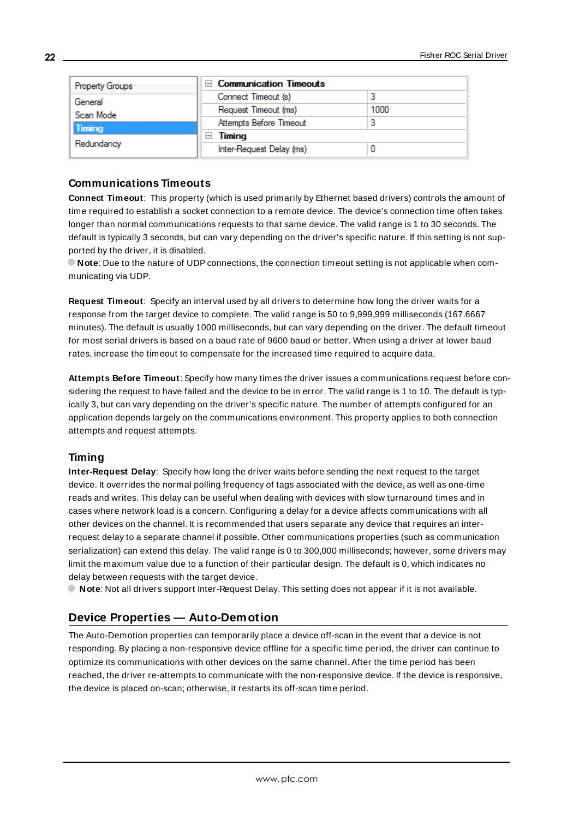| <b>Property Groups</b> | <b>Communication Timeouts</b><br>$-1$ |      |
|------------------------|---------------------------------------|------|
| General                | Connect Timeout (s)                   |      |
| Scan Mode              | Request Timeout (ms)                  | 1000 |
| Timing                 | Attempts Before Timeout               |      |
|                        | Timing<br>-                           |      |
| Redundancy             | Inter-Request Delay (ms)              |      |

#### **Communications Timeouts**

**Connect Timeout**: This property (which is used primarily by Ethernet based drivers) controls the amount of time required to establish a socket connection to a remote device. The device's connection time often takes longer than normal communications requests to that same device. The valid range is 1 to 30 seconds. The default is typically 3 seconds, but can vary depending on the driver's specific nature. If this setting is not supported by the driver, it is disabled.

**Note**: Due to the nature of UDPconnections, the connection timeout setting is not applicable when communicating via UDP.

**Request Timeout**: Specify an interval used by all drivers to determine how long the driver waits for a response from the target device to complete. The valid range is 50 to 9,999,999 milliseconds (167.6667 minutes). The default is usually 1000 milliseconds, but can vary depending on the driver. The default timeout for most serial drivers is based on a baud rate of 9600 baud or better. When using a driver at lower baud rates, increase the timeout to compensate for the increased time required to acquire data.

**Attempts Before Timeout**: Specify how many times the driver issues a communications request before considering the request to have failed and the device to be in error. The valid range is 1 to 10. The default is typically 3, but can vary depending on the driver's specific nature. The number of attempts configured for an application depends largely on the communications environment. This property applies to both connection attempts and request attempts.

# **Timing**

**Inter-Request Delay**: Specify how long the driver waits before sending the next request to the target device. It overrides the normal polling frequency of tags associated with the device, as well as one-time reads and writes. This delay can be useful when dealing with devices with slow turnaround times and in cases where network load is a concern. Configuring a delay for a device affects communications with all other devices on the channel. It is recommended that users separate any device that requires an interrequest delay to a separate channel if possible. Other communications properties (such as communication serialization) can extend this delay. The valid range is 0 to 300,000 milliseconds; however, some drivers may limit the maximum value due to a function of their particular design. The default is 0, which indicates no delay between requests with the target device.

<span id="page-21-0"></span>**Note**: Not all drivers support Inter-Request Delay. This setting does not appear if it is not available.

# **Device Properties — Auto-Demotion**

The Auto-Demotion properties can temporarily place a device off-scan in the event that a device is not responding. By placing a non-responsive device offline for a specific time period, the driver can continue to optimize its communications with other devices on the same channel. After the time period has been reached, the driver re-attempts to communicate with the non-responsive device. If the device is responsive, the device is placed on-scan; otherwise, it restarts its off-scan time period.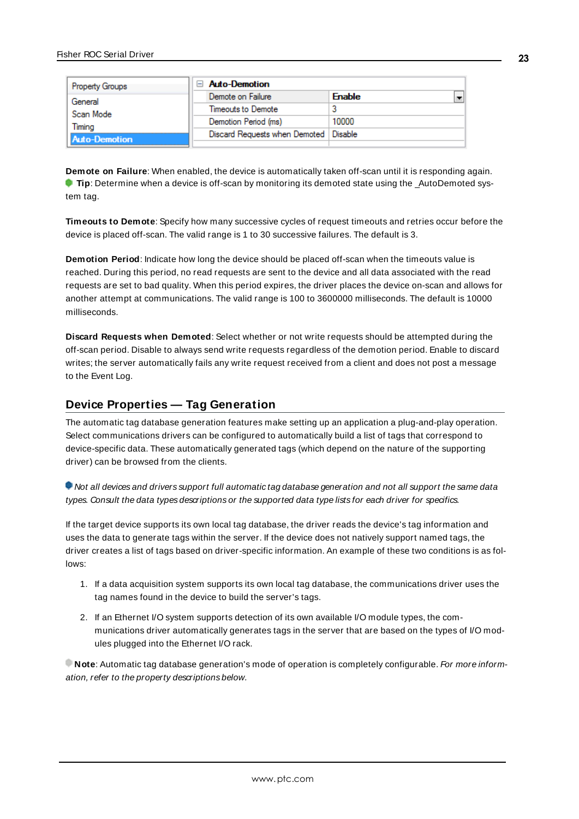| <b>Property Groups</b> | $\Box$ Auto-Demotion                    |               |  |
|------------------------|-----------------------------------------|---------------|--|
| General                | Demote on Failure                       | <b>Enable</b> |  |
| Scan Mode              | Timeouts to Demote                      | w             |  |
| Timina                 | Demotion Period (ms)                    | 10000         |  |
| <b>Auto-Demotion</b>   | Discard Requests when Demoted   Disable |               |  |
|                        |                                         |               |  |

**Demote on Failure**: When enabled, the device is automatically taken off-scan until it is responding again. **Tip**: Determine when a device is off-scan by monitoring its demoted state using the \_AutoDemoted system tag.

**Timeouts to Demote**: Specify how many successive cycles of request timeouts and retries occur before the device is placed off-scan. The valid range is 1 to 30 successive failures. The default is 3.

**Demotion Period**: Indicate how long the device should be placed off-scan when the timeouts value is reached. During this period, no read requests are sent to the device and all data associated with the read requests are set to bad quality. When this period expires, the driver places the device on-scan and allows for another attempt at communications. The valid range is 100 to 3600000 milliseconds. The default is 10000 milliseconds.

**Discard Requests when Demoted**: Select whether or not write requests should be attempted during the off-scan period. Disable to always send write requests regardless of the demotion period. Enable to discard writes; the server automatically fails any write request received from a client and does not post a message to the Event Log.

# <span id="page-22-0"></span>**Device Properties — Tag Generation**

The automatic tag database generation features make setting up an application a plug-and-play operation. Select communications drivers can be configured to automatically build a list of tags that correspond to device-specific data. These automatically generated tags (which depend on the nature of the supporting driver) can be browsed from the clients.

Not all devices and drivers support full automatic tag database generation and not all support the same data types. Consult the data types descriptions or the supported data type lists for each driver for specifics.

If the target device supports its own local tag database, the driver reads the device's tag information and uses the data to generate tags within the server. If the device does not natively support named tags, the driver creates a list of tags based on driver-specific information. An example of these two conditions is as follows:

- 1. If a data acquisition system supports its own local tag database, the communications driver uses the tag names found in the device to build the server's tags.
- 2. If an Ethernet I/O system supports detection of its own available I/O module types, the communications driver automatically generates tags in the server that are based on the types of I/O modules plugged into the Ethernet I/O rack.

**Note:** Automatic tag database generation's mode of operation is completely configurable. For more information, refer to the property descriptions below.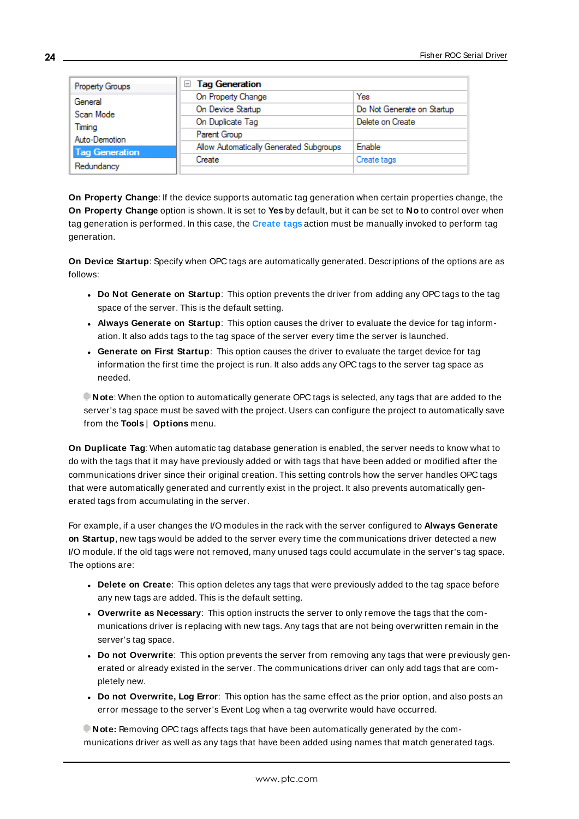| Property Groups                                 | □ Tag Generation                        |                            |  |  |
|-------------------------------------------------|-----------------------------------------|----------------------------|--|--|
| General<br>Scan Mode<br>Timina<br>Auto-Demotion | On Property Change                      | Yes                        |  |  |
|                                                 | On Device Startup                       | Do Not Generate on Startup |  |  |
|                                                 | On Duplicate Tag                        | Delete on Create           |  |  |
|                                                 | Parent Group                            |                            |  |  |
| <b>Tag Generation</b>                           | Allow Automatically Generated Subgroups | Enable                     |  |  |
| Redundancy                                      | Create                                  | Create tags                |  |  |
|                                                 |                                         |                            |  |  |

**On Property Change**: If the device supports automatic tag generation when certain properties change, the **On Property Change** option is shown. It is set to **Yes** by default, but it can be set to **No** to control over when tag generation is performed. In this case, the **Create tags** action must be manually invoked to perform tag generation.

**On Device Startup**: Specify when OPC tags are automatically generated. Descriptions of the options are as follows:

- <sup>l</sup> **Do Not Generate on Startup**: This option prevents the driver from adding any OPC tags to the tag space of the server. This is the default setting.
- <sup>l</sup> **Always Generate on Startup**: This option causes the driver to evaluate the device for tag information. It also adds tags to the tag space of the server every time the server is launched.
- <sup>l</sup> **Generate on First Startup**: This option causes the driver to evaluate the target device for tag information the first time the project is run. It also adds any OPC tags to the server tag space as needed.

**Note**: When the option to automatically generate OPC tags is selected, any tags that are added to the server's tag space must be saved with the project. Users can configure the project to automatically save from the **Tools** | **Options** menu.

**On Duplicate Tag**: When automatic tag database generation is enabled, the server needs to know what to do with the tags that it may have previously added or with tags that have been added or modified after the communications driver since their original creation. This setting controls how the server handles OPC tags that were automatically generated and currently exist in the project. It also prevents automatically generated tags from accumulating in the server.

For example, if a user changes the I/O modules in the rack with the server configured to **Always Generate on Startup**, new tags would be added to the server every time the communications driver detected a new I/O module. If the old tags were not removed, many unused tags could accumulate in the server's tag space. The options are:

- **.** Delete on Create: This option deletes any tags that were previously added to the tag space before any new tags are added. This is the default setting.
- <sup>l</sup> **Overwrite as Necessary**: This option instructs the server to only remove the tags that the communications driver is replacing with new tags. Any tags that are not being overwritten remain in the server's tag space.
- **.** Do not Overwrite: This option prevents the server from removing any tags that were previously generated or already existed in the server. The communications driver can only add tags that are completely new.
- <sup>l</sup> **Do not Overwrite, Log Error**: This option has the same effect as the prior option, and also posts an error message to the server's Event Log when a tag overwrite would have occurred.

**Note:** Removing OPC tags affects tags that have been automatically generated by the communications driver as well as any tags that have been added using names that match generated tags.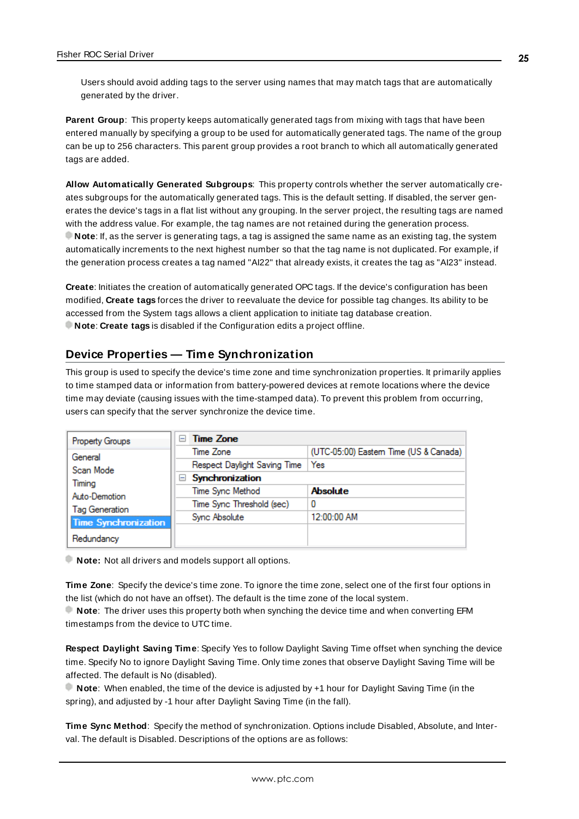Users should avoid adding tags to the server using names that may match tags that are automatically generated by the driver.

**Parent Group**: This property keeps automatically generated tags from mixing with tags that have been entered manually by specifying a group to be used for automatically generated tags. The name of the group can be up to 256 characters. This parent group provides a root branch to which all automatically generated tags are added.

**Allow Automatically Generated Subgroups**: This property controls whether the server automatically creates subgroups for the automatically generated tags. This is the default setting. If disabled, the server generates the device's tags in a flat list without any grouping. In the server project, the resulting tags are named with the address value. For example, the tag names are not retained during the generation process. **Note**: If, as the server is generating tags, a tag is assigned the same name as an existing tag, the system automatically increments to the next highest number so that the tag name is not duplicated. For example, if the generation process creates a tag named "AI22" that already exists, it creates the tag as "AI23" instead.

**Create**: Initiates the creation of automatically generated OPC tags. If the device's configuration has been modified, **Create tags** forces the driver to reevaluate the device for possible tag changes. Its ability to be accessed from the System tags allows a client application to initiate tag database creation. **Note**: **Create tags** is disabled if the Configuration edits a project offline.

#### <span id="page-24-0"></span>**Device Properties — Time Synchronization**

This group is used to specify the device's time zone and time synchronization properties. It primarily applies to time stamped data or information from battery-powered devices at remote locations where the device time may deviate (causing issues with the time-stamped data). To prevent this problem from occurring, users can specify that the server synchronize the device time.

| Property Groups                                  | <b>Time Zone</b><br>l—       |                                        |  |  |
|--------------------------------------------------|------------------------------|----------------------------------------|--|--|
| General                                          | Time Zone                    | (UTC-05:00) Eastern Time (US & Canada) |  |  |
| Scan Mode                                        | Respect Daylight Saving Time | Yes                                    |  |  |
| Timing<br>Auto-Demotion<br><b>Tag Generation</b> | Synchronization              |                                        |  |  |
|                                                  | Time Sync Method             | <b>Absolute</b>                        |  |  |
|                                                  | Time Sync Threshold (sec)    | 0                                      |  |  |
|                                                  | Sync Absolute                | 12:00:00 AM                            |  |  |
| <b>Time Synchronization</b>                      |                              |                                        |  |  |
| Redundancy                                       |                              |                                        |  |  |

**Note:** Not all drivers and models support all options.

**Time Zone**: Specify the device's time zone. To ignore the time zone, select one of the first four options in the list (which do not have an offset). The default is the time zone of the local system.

**Note**: The driver uses this property both when synching the device time and when converting EFM timestamps from the device to UTC time.

**Respect Daylight Saving Time**: Specify Yes to follow Daylight Saving Time offset when synching the device time. Specify No to ignore Daylight Saving Time. Only time zones that observe Daylight Saving Time will be affected. The default is No (disabled).

**Note**: When enabled, the time of the device is adjusted by +1 hour for Daylight Saving Time (in the spring), and adjusted by -1 hour after Daylight Saving Time (in the fall).

**Time Sync Method**: Specify the method of synchronization. Options include Disabled, Absolute, and Interval. The default is Disabled. Descriptions of the options are as follows: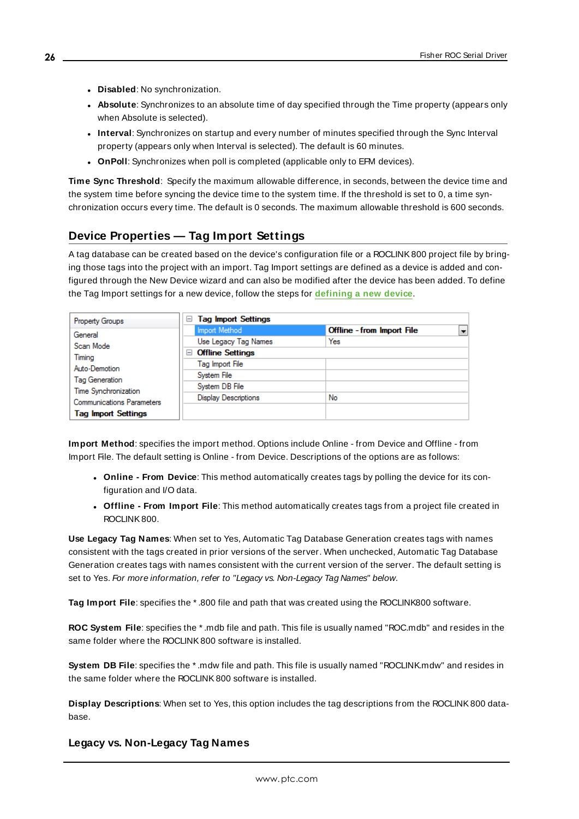- **.** Disabled: No synchronization.
- **Absolute**: Synchronizes to an absolute time of day specified through the Time property (appears only when Absolute is selected).
- <sup>l</sup> **Interval**: Synchronizes on startup and every number of minutes specified through the Sync Interval property (appears only when Interval is selected). The default is 60 minutes.
- **.** OnPoll: Synchronizes when poll is completed (applicable only to EFM devices).

**Time Sync Threshold**: Specify the maximum allowable difference, in seconds, between the device time and the system time before syncing the device time to the system time. If the threshold is set to 0, a time synchronization occurs every time. The default is 0 seconds. The maximum allowable threshold is 600 seconds.

# <span id="page-25-0"></span>**Device Properties — Tag Import Settings**

A tag database can be created based on the device's configuration file or a ROCLINK800 project file by bringing those tags into the project with an import. Tag Import settings are defined as a device is added and configured through the New Device wizard and can also be modified after the device has been added. To define the Tag Import settings for a new device, follow the steps for **[defining](#page-17-0) a new device**.

| <b>Property Groups</b>                                  | <b>Tag Import Settings</b><br>$=$ |                            |  |
|---------------------------------------------------------|-----------------------------------|----------------------------|--|
| General                                                 | Import Method                     | Offline - from Import File |  |
| Scan Mode                                               | Use Legacy Tag Names              | Yes                        |  |
| Timina                                                  | <b>□ Offline Settings</b>         |                            |  |
| Auto-Demotion<br>Tag Generation<br>Time Synchronization | Tag Import File                   |                            |  |
|                                                         | System File                       |                            |  |
|                                                         | System DB File                    |                            |  |
| <b>Communications Parameters</b>                        | <b>Display Descriptions</b>       | No                         |  |
|                                                         |                                   |                            |  |
| <b>Tag Import Settings</b>                              |                                   |                            |  |

**Import Method**: specifies the import method. Options include Online - from Device and Offline - from Import File. The default setting is Online - from Device. Descriptions of the options are as follows:

- <sup>l</sup> **Online - From Device**: This method automatically creates tags by polling the device for its configuration and I/O data.
- <sup>l</sup> **Offline - From Import File**: This method automatically creates tags from a project file created in ROCLINK800.

**Use Legacy Tag Names**: When set to Yes, Automatic Tag Database Generation creates tags with names consistent with the tags created in prior versions of the server. When unchecked, Automatic Tag Database Generation creates tags with names consistent with the current version of the server. The default setting is set to Yes. For more information, refer to "Legacy vs. Non-Legacy Tag Names" below.

**Tag Import File**: specifies the \* .800 file and path that was created using the ROCLINK800 software.

**ROC System File**: specifies the \* .mdb file and path. This file is usually named "ROC.mdb" and resides in the same folder where the ROCLINK800 software is installed.

**System DB File**: specifies the \* .mdw file and path. This file is usually named "ROCLINK.mdw" and resides in the same folder where the ROCLINK800 software is installed.

**Display Descriptions**: When set to Yes, this option includes the tag descriptions from the ROCLINK800 database.

# **Legacy vs. Non-Legacy Tag Names**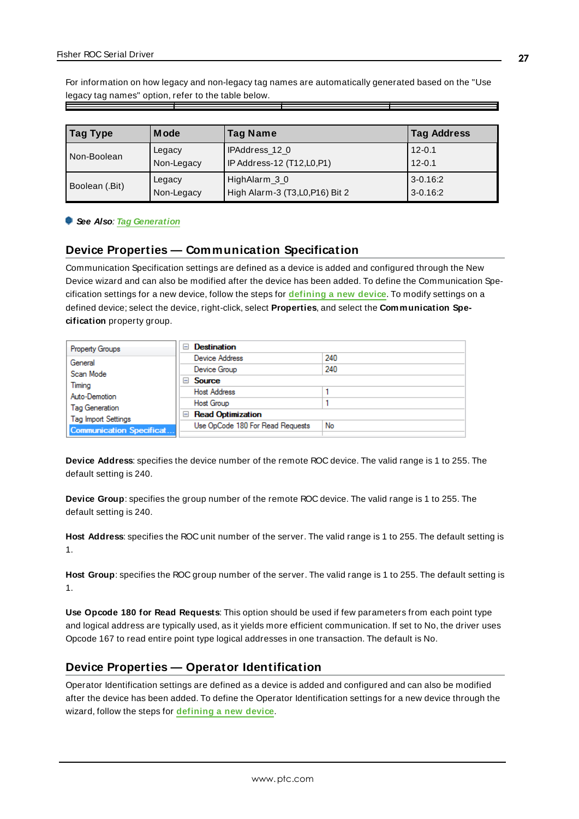For information on how legacy and non-legacy tag names are automatically generated based on the "Use legacy tag names" option, refer to the table below.

| Tag Type       | <b>Mode</b> | <b>Tag Name</b>                  | <b>Tag Address</b> |
|----------------|-------------|----------------------------------|--------------------|
| Non-Boolean    | Legacy      | IPAddress 12 0                   | $12 - 0.1$         |
|                | Non-Legacy  | IP Address-12 (T12,L0,P1)        | $12 - 0.1$         |
| Boolean (.Bit) | Legacy      | HighAlarm_3_0                    | 3-0.16:2           |
|                | Non-Legacy  | High Alarm-3 (T3, L0, P16) Bit 2 | $3 - 0.16:2$       |

#### <span id="page-26-0"></span>**See Also**: **Tag [Generation](#page-22-0)**

#### **Device Properties — Communication Specification**

Communication Specification settings are defined as a device is added and configured through the New Device wizard and can also be modified after the device has been added. To define the Communication Specification settings for a new device, follow the steps for **[defining](#page-17-0) a new device**. To modify settings on a defined device; select the device, right-click, select **Properties**, and select the **Communication Specification** property group.

| <b>Property Groups</b>                              | <b>Destination</b><br>$\overline{ }$ |     |
|-----------------------------------------------------|--------------------------------------|-----|
| General                                             | Device Address                       | 240 |
| Scan Mode                                           | Device Group                         | 240 |
| Timing                                              | $\Box$ Source                        |     |
| Auto-Demotion                                       | <b>Host Address</b>                  |     |
|                                                     | <b>Host Group</b>                    |     |
| <b>Tag Generation</b><br><b>Tag Import Settings</b> | <b>Read Optimization</b><br>$=$      |     |
|                                                     | Use OpCode 180 For Read Requests     | No  |
| <b>Communication Specificat</b>                     |                                      |     |

**Device Address**: specifies the device number of the remote ROC device. The valid range is 1 to 255. The default setting is 240.

**Device Group**: specifies the group number of the remote ROC device. The valid range is 1 to 255. The default setting is 240.

**Host Address**: specifies the ROC unit number of the server. The valid range is 1 to 255. The default setting is 1.

**Host Group**: specifies the ROC group number of the server. The valid range is 1 to 255. The default setting is 1.

**Use Opcode 180 for Read Requests**: This option should be used if few parameters from each point type and logical address are typically used, as it yields more efficient communication. If set to No, the driver uses Opcode 167 to read entire point type logical addresses in one transaction. The default is No.

#### <span id="page-26-1"></span>**Device Properties — Operator Identification**

Operator Identification settings are defined as a device is added and configured and can also be modified after the device has been added. To define the Operator Identification settings for a new device through the wizard, follow the steps for **[defining](#page-17-0) a new device**.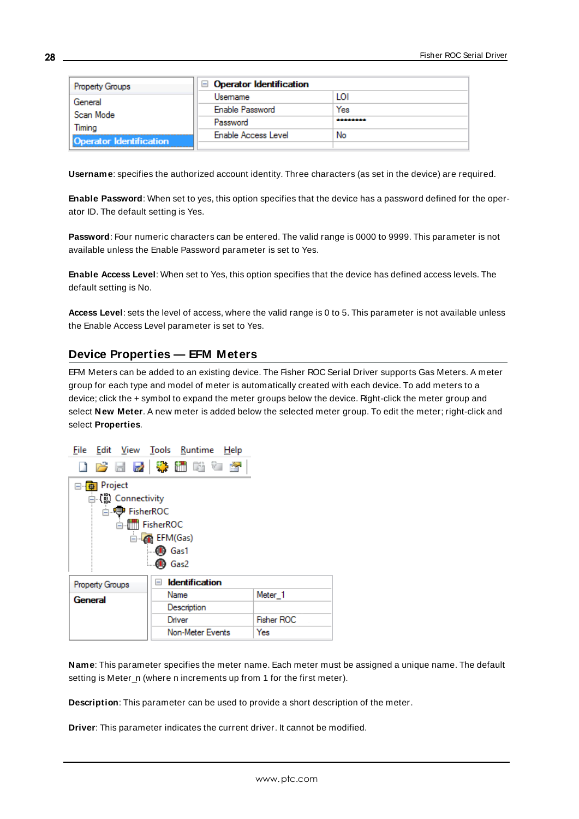| <b>Property Groups</b>         | $\Box$ Operator Identification |          |
|--------------------------------|--------------------------------|----------|
| General<br>Scan Mode<br>Timina | Usemame                        | LOI      |
|                                | Enable Password                | Yes      |
|                                | Password                       | -------- |
|                                | Enable Access Level            | No       |
| <b>Operator Identification</b> |                                |          |

**Username**: specifies the authorized account identity. Three characters (as set in the device) are required.

**Enable Password**: When set to yes, this option specifies that the device has a password defined for the operator ID. The default setting is Yes.

**Password**: Four numeric characters can be entered. The valid range is 0000 to 9999. This parameter is not available unless the Enable Password parameter is set to Yes.

**Enable Access Level**: When set to Yes, this option specifies that the device has defined access levels. The default setting is No.

**Access Level**: sets the level of access, where the valid range is 0 to 5. This parameter is not available unless the Enable Access Level parameter is set to Yes.

# <span id="page-27-0"></span>**Device Properties — EFM Meters**

EFM Meters can be added to an existing device. The Fisher ROC Serial Driver supports Gas Meters. A meter group for each type and model of meter is automatically created with each device. To add meters to a device; click the + symbol to expand the meter groups below the device. Right-click the meter group and select **New Meter**. A new meter is added below the selected meter group. To edit the meter; right-click and select **Properties**.



**Name**: This parameter specifies the meter name. Each meter must be assigned a unique name. The default setting is Meter\_n (where n increments up from 1 for the first meter).

**Description**: This parameter can be used to provide a short description of the meter.

**Driver**: This parameter indicates the current driver. It cannot be modified.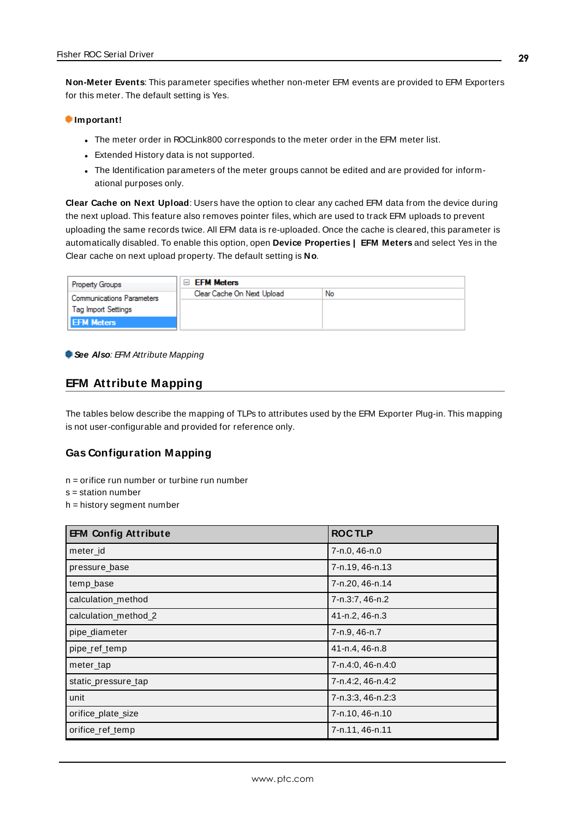**Non-Meter Events**: This parameter specifies whether non-meter EFM events are provided to EFM Exporters for this meter. The default setting is Yes.

#### **Important!**

- The meter order in ROCLink800 corresponds to the meter order in the EFM meter list.
- Extended History data is not supported.
- . The Identification parameters of the meter groups cannot be edited and are provided for informational purposes only.

**Clear Cache on Next Upload**: Users have the option to clear any cached EFM data from the device during the next upload. This feature also removes pointer files, which are used to track EFM uploads to prevent uploading the same records twice. All EFM data is re-uploaded. Once the cache is cleared, this parameter is automatically disabled. To enable this option, open **Device Properties | EFM Meters** and select Yes in the Clear cache on next upload property. The default setting is **No**.

| <b>Property Groups</b>           | <b>EFM Meters</b>          |    |
|----------------------------------|----------------------------|----|
| <b>Communications Parameters</b> | Clear Cache On Next Upload | No |
| <b>Tag Import Settings</b>       |                            |    |
| <b>EFM Meters</b>                |                            |    |

#### <span id="page-28-0"></span>**See Also: EFM Attribute Mapping**

#### **EFM Attribute Mapping**

The tables below describe the mapping of TLPs to attributes used by the EFM Exporter Plug-in. This mapping is not user-configurable and provided for reference only.

#### **Gas Configuration Mapping**

- n = orifice run number or turbine run number
- s = station number
- h = history segment number

| <b>EFM Config Attribute</b> | <b>ROCTLP</b>     |
|-----------------------------|-------------------|
| meter id                    | 7-n.0, 46-n.0     |
| pressure base               | 7-n.19, 46-n.13   |
| temp_base                   | 7-n.20, 46-n.14   |
| calculation_method          | 7-n.3:7, 46-n.2   |
| calculation_method_2        | 41-n.2, 46-n.3    |
| pipe_diameter               | 7-n.9, 46-n.7     |
| pipe_ref_temp               | 41-n.4, 46-n.8    |
| meter_tap                   | 7-n.4:0, 46-n.4:0 |
| static_pressure_tap         | 7-n.4:2, 46-n.4:2 |
| unit                        | 7-n.3:3, 46-n.2:3 |
| orifice_plate_size          | 7-n.10, 46-n.10   |
| orifice_ref_temp            | 7-n.11, 46-n.11   |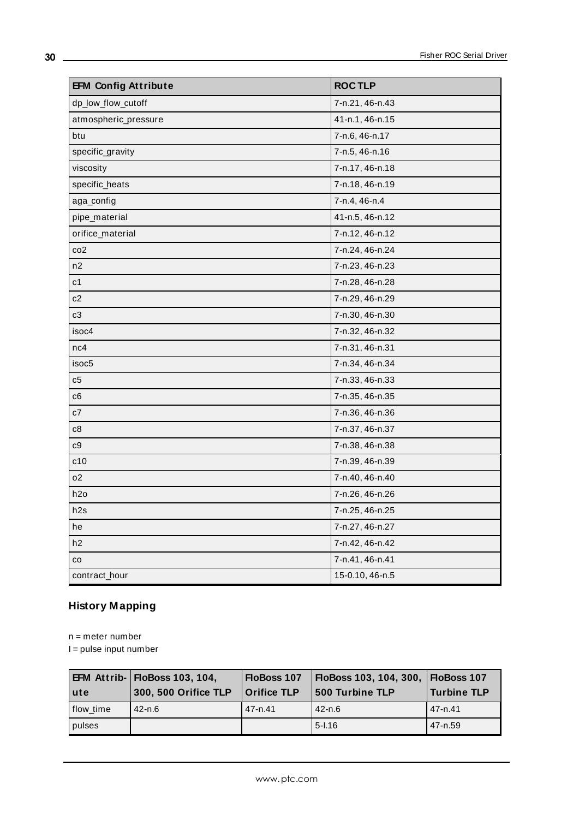| <b>EFM Config Attribute</b> | <b>ROCTLP</b>   |
|-----------------------------|-----------------|
| dp_low_flow_cutoff          | 7-n.21, 46-n.43 |
| atmospheric_pressure        | 41-n.1, 46-n.15 |
| btu                         | 7-n.6, 46-n.17  |
| specific_gravity            | 7-n.5, 46-n.16  |
| viscosity                   | 7-n.17, 46-n.18 |
| specific_heats              | 7-n.18, 46-n.19 |
| aga_config                  | 7-n.4, 46-n.4   |
| pipe_material               | 41-n.5, 46-n.12 |
| orifice_material            | 7-n.12, 46-n.12 |
| co <sub>2</sub>             | 7-n.24, 46-n.24 |
| n2                          | 7-n.23, 46-n.23 |
| c1                          | 7-n.28, 46-n.28 |
| c2                          | 7-n.29, 46-n.29 |
| c3                          | 7-n.30, 46-n.30 |
| isoc4                       | 7-n.32, 46-n.32 |
| nc4                         | 7-n.31, 46-n.31 |
| isoc <sub>5</sub>           | 7-n.34, 46-n.34 |
| c5                          | 7-n.33, 46-n.33 |
| c <sub>6</sub>              | 7-n.35, 46-n.35 |
| c7                          | 7-n.36, 46-n.36 |
| c8                          | 7-n.37, 46-n.37 |
| C <sub>0</sub>              | 7-n.38, 46-n.38 |
| c10                         | 7-n.39, 46-n.39 |
| 02                          | 7-n.40, 46-n.40 |
| h2o                         | 7-n.26, 46-n.26 |
| h2s                         | 7-n.25, 46-n.25 |
| he                          | 7-n.27, 46-n.27 |
| h <sub>2</sub>              | 7-n.42, 46-n.42 |
| $_{\rm CO}$                 | 7-n.41, 46-n.41 |
| contract_hour               | 15-0.10, 46-n.5 |

# **History Mapping**

n = meter number

I = pulse input number

| ∣ute      | <b>EFM Attrib- FloBoss 103, 104,</b><br>300, 500 Orifice TLP | FloBoss 107<br><b>Orifice TLP</b> | FloBoss 103, 104, 300, FloBoss 107<br>500 Turbine TLP | ∣Turbine TLP |
|-----------|--------------------------------------------------------------|-----------------------------------|-------------------------------------------------------|--------------|
| flow time | $42 - n.6$                                                   | 47-n.41                           | 42-n.6                                                | 47-n.41      |
| pulses    |                                                              |                                   | $5 - 1.16$                                            | 47-n.59      |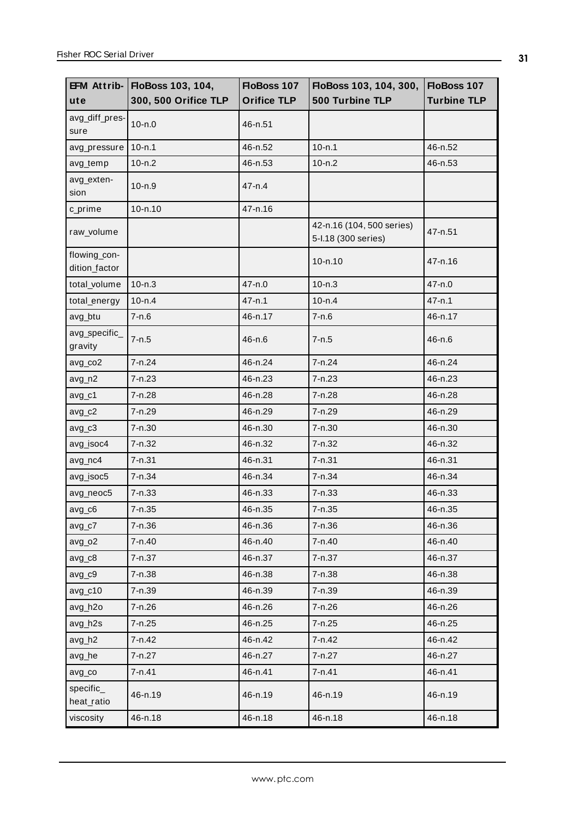|                               | EFM Attrib- FloBoss 103, 104, | FloBoss 107        | FloBoss 103, 104, 300,                           | FloBoss 107        |
|-------------------------------|-------------------------------|--------------------|--------------------------------------------------|--------------------|
| ute                           | 300, 500 Orifice TLP          | <b>Orifice TLP</b> | 500 Turbine TLP                                  | <b>Turbine TLP</b> |
| avg_diff_pres-<br>sure        | $10 - n.0$                    | 46-n.51            |                                                  |                    |
| avg_pressure                  | $10 - n.1$                    | 46-n.52            | $10 - n.1$                                       | 46-n.52            |
| avg_temp                      | $10 - n.2$                    | 46-n.53            | $10 - n.2$                                       | 46-n.53            |
| avg_exten-<br>sion            | $10 - n.9$                    | $47 - n.4$         |                                                  |                    |
| c_prime                       | $10 - n.10$                   | 47-n.16            |                                                  |                    |
| raw_volume                    |                               |                    | 42-n.16 (104, 500 series)<br>5-I.18 (300 series) | 47-n.51            |
| flowing_con-<br>dition_factor |                               |                    | $10 - n.10$                                      | $47 - n.16$        |
| total_volume                  | $10 - n.3$                    | 47-n.0             | $10 - n.3$                                       | 47-n.0             |
| total_energy                  | $10 - n.4$                    | $47 - n.1$         | $10 - n.4$                                       | $47 - n.1$         |
| avg_btu                       | $7 - n.6$                     | 46-n.17            | $7 - n.6$                                        | 46-n.17            |
| avg_specific_<br>gravity      | $7 - n.5$                     | $46 - n.6$         | 7-n.5                                            | 46-n.6             |
| avg_co2                       | 7-n.24                        | 46-n.24            | $7 - n.24$                                       | 46-n.24            |
| avg_n2                        | $7 - n.23$                    | 46-n.23            | $7 - n.23$                                       | 46-n.23            |
| avg_c1                        | 7-n.28                        | 46-n.28            | 7-n.28                                           | 46-n.28            |
| $avg_c2$                      | 7-n.29                        | 46-n.29            | 7-n.29                                           | 46-n.29            |
| $avg_c3$                      | $7 - n.30$                    | 46-n.30            | 7-n.30                                           | 46-n.30            |
| avg_isoc4                     | 7-n.32                        | 46-n.32            | 7-n.32                                           | 46-n.32            |
| avg_nc4                       | $7 - n.31$                    | 46-n.31            | $7 - n.31$                                       | 46-n.31            |
| avg_isoc5                     | 7-n.34                        | 46-n.34            | 7-n.34                                           | 46-n.34            |
| avg_neoc5                     | 7-n.33                        | 46-n.33            | 7-n.33                                           | 46-n.33            |
| $avg_c6$                      | 7-n.35                        | 46-n.35            | 7-n.35                                           | 46-n.35            |
| $avg_c7$                      | 7-n.36                        | 46-n.36            | 7-n.36                                           | 46-n.36            |
| avg_o2                        | 7-n.40                        | 46-n.40            | 7-n.40                                           | 46-n.40            |
| $avg_c8$                      | 7-n.37                        | 46-n.37            | 7-n.37                                           | 46-n.37            |
| $avg_c9$                      | $7 - n.38$                    | 46-n.38            | 7-n.38                                           | 46-n.38            |
| $avg_c10$                     | 7-n.39                        | 46-n.39            | 7-n.39                                           | 46-n.39            |
| avg_h2o                       | 7-n.26                        | 46-n.26            | 7-n.26                                           | 46-n.26            |
| avg_h2s                       | 7-n.25                        | 46-n.25            | 7-n.25                                           | 46-n.25            |
| avg_h2                        | 7-n.42                        | 46-n.42            | 7-n.42                                           | 46-n.42            |
| avg_he                        | 7-n.27                        | 46-n.27            | 7-n.27                                           | 46-n.27            |
| avg_co                        | $7 - n.41$                    | 46-n.41            | $7 - n.41$                                       | 46-n.41            |
| specific_<br>heat_ratio       | 46-n.19                       | 46-n.19            | 46-n.19                                          | 46-n.19            |
| viscosity                     | 46-n.18                       | 46-n.18            | 46-n.18                                          | 46-n.18            |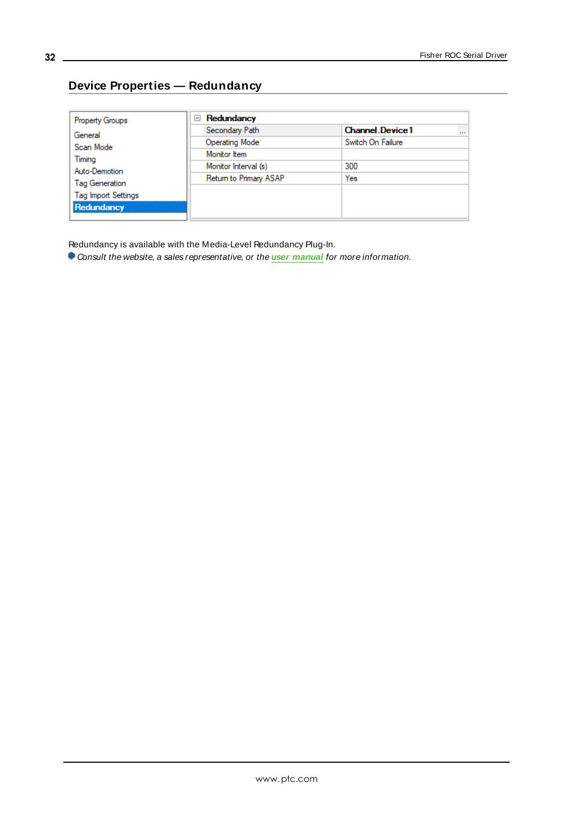# <span id="page-31-0"></span>**Device Properties — Redundancy**

| <b>Property Groups</b>     | Redundancy<br>$=$      |                                    |
|----------------------------|------------------------|------------------------------------|
| General                    | Secondary Path         | <b>Channel Device1</b><br>$\cdots$ |
| Scan Mode                  | <b>Operating Mode</b>  | Switch On Failure                  |
| Timing                     | Monitor Item           |                                    |
| Auto-Demotion              | Monitor Interval (s)   | 300                                |
| Tag Generation             | Return to Primary ASAP | Yes                                |
| <b>Tag Import Settings</b> |                        |                                    |
| Redundancy                 |                        |                                    |
|                            |                        |                                    |

Redundancy is available with the Media-Level Redundancy Plug-In.

Consult the website, a sales representative, or the **user [manual](https://www.kepware.com/getattachment/35461efd-b53a-4219-a109-a89fad20b230/media-level-redundancy-manual.pdf)** for more information.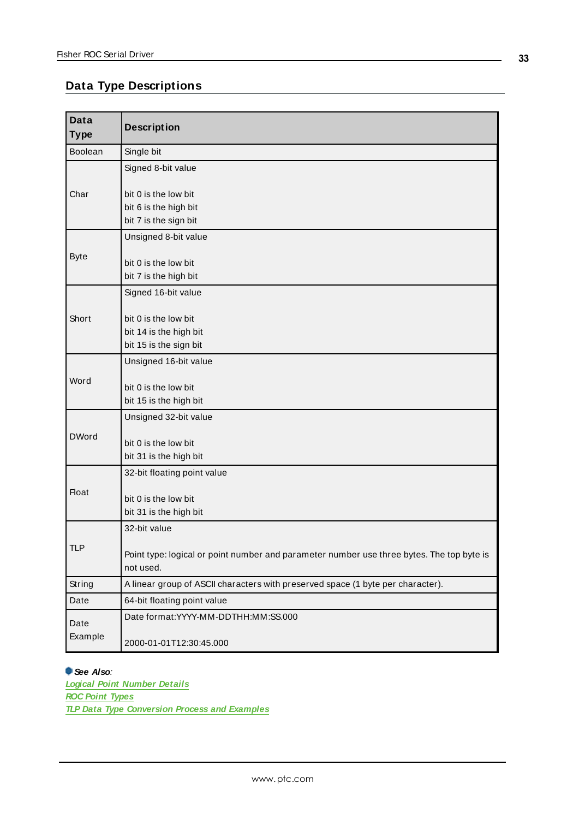# <span id="page-32-0"></span>**Data Type Descriptions**

| <b>Data</b><br><b>Type</b> | <b>Description</b>                                                                                     |
|----------------------------|--------------------------------------------------------------------------------------------------------|
| <b>Boolean</b>             | Single bit                                                                                             |
|                            | Signed 8-bit value                                                                                     |
| Char                       | bit 0 is the low bit                                                                                   |
|                            | bit 6 is the high bit<br>bit 7 is the sign bit                                                         |
|                            | Unsigned 8-bit value                                                                                   |
|                            |                                                                                                        |
| <b>Byte</b>                | bit 0 is the low bit                                                                                   |
|                            | bit 7 is the high bit                                                                                  |
|                            | Signed 16-bit value                                                                                    |
| Short                      | bit 0 is the low bit                                                                                   |
|                            | bit 14 is the high bit                                                                                 |
|                            | bit 15 is the sign bit                                                                                 |
|                            | Unsigned 16-bit value                                                                                  |
| Word                       | bit 0 is the low bit                                                                                   |
|                            | bit 15 is the high bit                                                                                 |
|                            | Unsigned 32-bit value                                                                                  |
| <b>DWord</b>               |                                                                                                        |
|                            | bit 0 is the low bit<br>bit 31 is the high bit                                                         |
|                            | 32-bit floating point value                                                                            |
| Float                      |                                                                                                        |
|                            | bit 0 is the low bit                                                                                   |
|                            | bit 31 is the high bit                                                                                 |
|                            | 32-bit value                                                                                           |
| TLP                        | Point type: logical or point number and parameter number use three bytes. The top byte is<br>not used. |
| String                     | A linear group of ASCII characters with preserved space (1 byte per character).                        |
| Date                       | 64-bit floating point value                                                                            |
| Date                       | Date format:YYYY-MM-DDTHH:MM:SS.000                                                                    |
| Example                    | 2000-01-01T12:30:45.000                                                                                |

#### **See Also**:

**Logical Point [Number](#page-39-0) Details ROC Point [Types](#page-34-1) TLP Data Type [Conversion](#page-33-0) Process and Examples**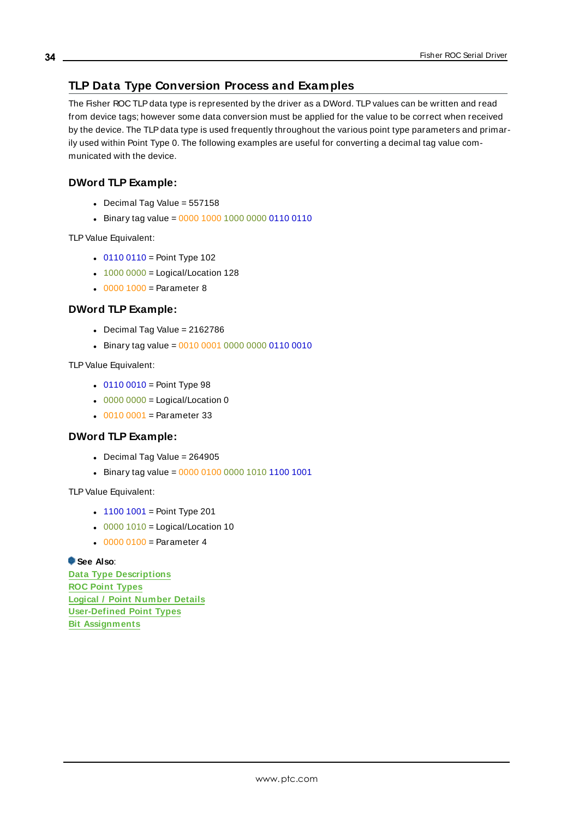# <span id="page-33-0"></span>**TLP Data Type Conversion Process and Examples**

The Fisher ROC TLPdata type is represented by the driver as a DWord. TLPvalues can be written and read from device tags; however some data conversion must be applied for the value to be correct when received by the device. The TLPdata type is used frequently throughout the various point type parameters and primarily used within Point Type 0. The following examples are useful for converting a decimal tag value communicated with the device.

# **DWord TLP Example:**

- $\bullet$  Decimal Tag Value = 557158
- Binary tag value =  $0000 1000 1000 0000 0110 0110$

TLPValue Equivalent:

- $.01100110 =$  Point Type 102
- $\cdot$  1000 0000 = Logical/Location 128
- $.00001000 =$  Parameter 8

# **DWord TLP Example:**

- $\bullet$  Decimal Tag Value = 2162786
- Binary tag value =  $0010000100000000001100010$

TLP Value Equivalent:

- $.01100010 =$  Point Type 98
- $\cdot$  0000 0000 = Logical/Location 0
- $.00100001 =$  Parameter 33

# **DWord TLP Example:**

- $\bullet$  Decimal Tag Value = 264905
- Binary tag value =  $000001000000101011001001$

TLPValue Equivalent:

- $\cdot$  1100 1001 = Point Type 201
- $\cdot$  0000 1010 = Logical/Location 10
- $000000100 =$  Parameter 4

#### **See Also**:

**Data Type [Descriptions](#page-32-0) ROC Point [Types](#page-34-1) Logical / Point [Number](#page-39-0) Details [User-Defined](#page-39-1) Point Types Bit [Assignments](#page-40-1)**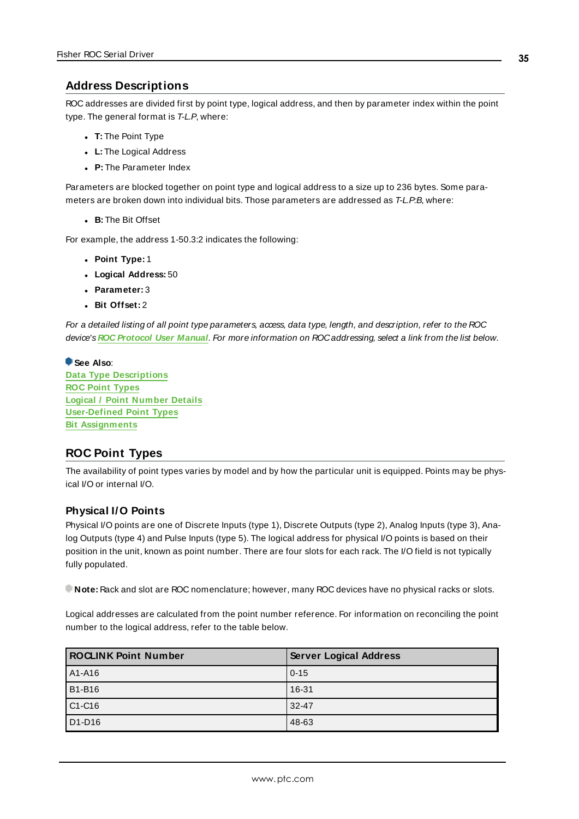# <span id="page-34-0"></span>**Address Descriptions**

ROC addresses are divided first by point type, logical address, and then by parameter index within the point type. The general format is T-L.P, where:

- <sup>l</sup> **T:** The Point Type
- **.** L: The Logical Address
- **.** P: The Parameter Index

Parameters are blocked together on point type and logical address to a size up to 236 bytes. Some parameters are broken down into individual bits. Those parameters are addressed as T-L.P:B, where:

**B:** The Bit Offset

For example, the address 1-50.3:2 indicates the following:

- <sup>l</sup> **Point Type:** 1
- <sup>l</sup> **Logical Address:** 50
- <sup>l</sup> **Parameter:** 3
- <sup>l</sup> **Bit Offset:** 2

For a detailed listing of all point type parameters, access, data type, length, and description, refer to the ROC device's **ROC [Protocol](https://www.emerson.com/documents/automation/roc-protocol-specifications-manual-en-132436.pdf) User Manual**. For more information on ROCaddressing, select a link from the list below.

#### **See Also**:

**Data Type [Descriptions](#page-32-0) ROC Point [Types](#page-34-1) Logical / Point [Number](#page-39-0) Details [User-Defined](#page-39-1) Point Types Bit [Assignments](#page-40-1)**

# <span id="page-34-1"></span>**ROC Point Types**

The availability of point types varies by model and by how the particular unit is equipped. Points may be physical I/O or internal I/O.

#### **Physical I/O Points**

Physical I/O points are one of Discrete Inputs (type 1), Discrete Outputs (type 2), Analog Inputs (type 3), Analog Outputs (type 4) and Pulse Inputs (type 5). The logical address for physical I/O points is based on their position in the unit, known as point number. There are four slots for each rack. The I/O field is not typically fully populated.

**Note:** Rack and slot are ROC nomenclature; however, many ROC devices have no physical racks or slots.

Logical addresses are calculated from the point number reference. For information on reconciling the point number to the logical address, refer to the table below.

| <b>ROCLINK Point Number</b>     | <b>Server Logical Address</b> |
|---------------------------------|-------------------------------|
| A1-A16                          | $0 - 15$                      |
| <b>B1-B16</b>                   | 16-31                         |
| $C1-C16$                        | $32 - 47$                     |
| D <sub>1</sub> -D <sub>16</sub> | 48-63                         |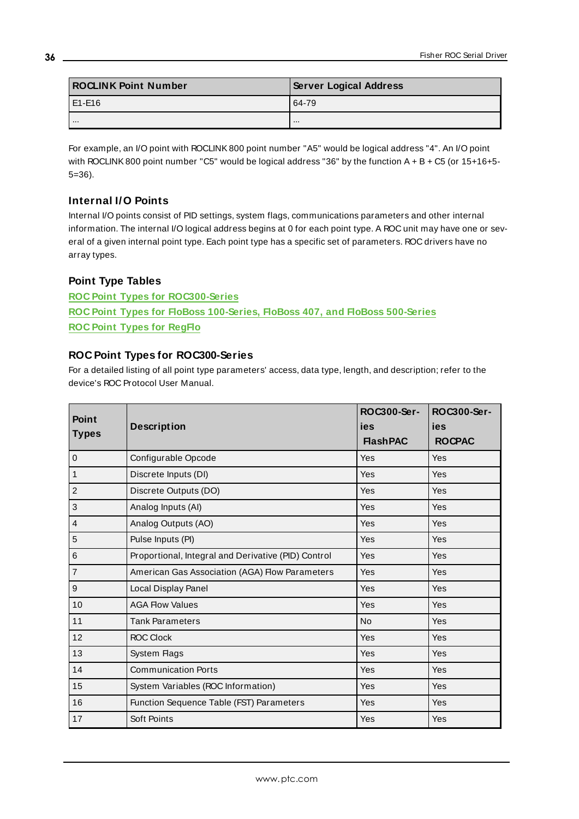| <b>ROCLINK Point Number</b> | <b>Server Logical Address</b> |
|-----------------------------|-------------------------------|
| LE1-E16                     | 64-79                         |
|                             |                               |

For example, an I/O point with ROCLINK800 point number "A5" would be logical address "4". An I/O point with ROCLINK800 point number "C5" would be logical address "36" by the function A + B + C5 (or 15+16+5- 5=36).

#### **Internal I/O Points**

Internal I/O points consist of PID settings, system flags, communications parameters and other internal information. The internal I/O logical address begins at 0 for each point type. A ROC unit may have one or several of a given internal point type. Each point type has a specific set of parameters. ROC drivers have no array types.

#### **Point Type Tables**

**ROC Point Types for [ROC300-Series](#page-35-0) ROC Point Types for FloBoss [100-Series,](#page-36-0) FloBoss 407, and FloBoss 500-Series ROC Point Types for [RegFlo](#page-38-0)**

#### <span id="page-35-0"></span>**ROC Point Types for ROC300-Series**

For a detailed listing of all point type parameters' access, data type, length, and description; refer to the device's ROC Protocol User Manual.

| <b>Point</b><br><b>Types</b> | <b>Description</b>                                  | ROC300-Ser-<br>ies<br><b>FlashPAC</b> | ROC300-Ser-<br>ies<br><b>ROCPAC</b> |
|------------------------------|-----------------------------------------------------|---------------------------------------|-------------------------------------|
| $\mathbf 0$                  | Configurable Opcode                                 | Yes                                   | Yes                                 |
| $\mathbf{1}$                 | Discrete Inputs (DI)                                | Yes                                   | <b>Yes</b>                          |
| $\overline{c}$               | Discrete Outputs (DO)                               | Yes                                   | <b>Yes</b>                          |
| 3                            | Analog Inputs (AI)                                  | Yes                                   | <b>Yes</b>                          |
| $\overline{4}$               | Analog Outputs (AO)                                 | Yes                                   | Yes                                 |
| 5                            | Pulse Inputs (PI)                                   | Yes                                   | Yes                                 |
| $6\phantom{1}6$              | Proportional, Integral and Derivative (PID) Control | Yes                                   | Yes                                 |
| $\overline{7}$               | American Gas Association (AGA) Flow Parameters      | Yes                                   | <b>Yes</b>                          |
| $\boldsymbol{9}$             | Local Display Panel                                 | Yes                                   | Yes                                 |
| 10                           | <b>AGA Flow Values</b>                              | Yes                                   | Yes                                 |
| 11                           | <b>Tank Parameters</b>                              | <b>No</b>                             | <b>Yes</b>                          |
| 12                           | <b>ROC Clock</b>                                    | Yes                                   | Yes                                 |
| 13                           | System Flags                                        | Yes                                   | Yes                                 |
| 14                           | <b>Communication Ports</b>                          | Yes                                   | Yes                                 |
| 15                           | System Variables (ROC Information)                  | Yes                                   | Yes                                 |
| 16                           | Function Sequence Table (FST) Parameters            | Yes                                   | Yes                                 |
| 17                           | Soft Points                                         | Yes                                   | Yes                                 |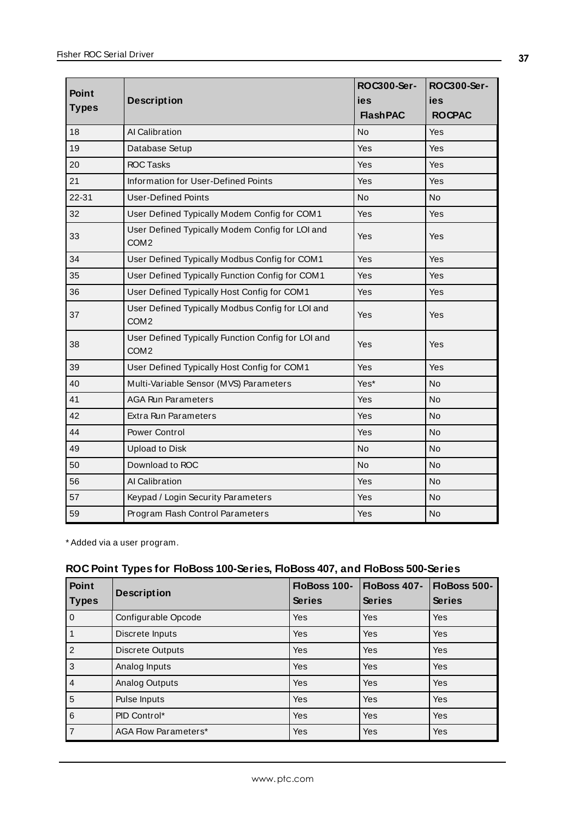| Point        |                                                                        | ROC300-Ser-     | ROC300-Ser-   |
|--------------|------------------------------------------------------------------------|-----------------|---------------|
|              | <b>Description</b>                                                     | ies             | ies           |
| <b>Types</b> |                                                                        | <b>FlashPAC</b> | <b>ROCPAC</b> |
| 18           | Al Calibration                                                         | No              | Yes           |
| 19           | Database Setup                                                         | Yes             | Yes           |
| 20           | <b>ROC Tasks</b>                                                       | Yes             | Yes           |
| 21           | Information for User-Defined Points                                    | Yes             | Yes           |
| $22 - 31$    | <b>User-Defined Points</b>                                             | <b>No</b>       | <b>No</b>     |
| 32           | User Defined Typically Modem Config for COM1                           | Yes             | Yes           |
| 33           | User Defined Typically Modem Config for LOI and<br>COM <sub>2</sub>    | Yes             | Yes           |
| 34           | User Defined Typically Modbus Config for COM1                          | Yes             | Yes           |
| 35           | User Defined Typically Function Config for COM1                        | Yes             | Yes           |
| 36           | User Defined Typically Host Config for COM1                            | Yes             | Yes           |
| 37           | User Defined Typically Modbus Config for LOI and<br>COM <sub>2</sub>   | Yes             | Yes           |
| 38           | User Defined Typically Function Config for LOI and<br>COM <sub>2</sub> | Yes             | Yes           |
| 39           | User Defined Typically Host Config for COM1                            | Yes             | Yes           |
| 40           | Multi-Variable Sensor (MVS) Parameters                                 | Yes*            | No            |
| 41           | <b>AGA Run Parameters</b>                                              | Yes             | No            |
| 42           | <b>Extra Run Parameters</b>                                            | Yes             | <b>No</b>     |
| 44           | Power Control                                                          | Yes             | <b>No</b>     |
| 49           | <b>Upload to Disk</b>                                                  | <b>No</b>       | No            |
| 50           | Download to ROC                                                        | No              | No            |
| 56           | Al Calibration                                                         | Yes             | No            |
| 57           | Keypad / Login Security Parameters                                     | Yes             | <b>No</b>     |
| 59           | Program Flash Control Parameters                                       | Yes             | <b>No</b>     |

\* Added via a user program.

### **ROC Point Types for FloBoss 100-Series, FloBoss 407, and FloBoss 500-Series**

| Point<br><b>Types</b> | <b>Description</b>          | FloBoss 100-<br><b>Series</b> | FloBoss 407-<br><b>Series</b> | FloBoss 500-<br><b>Series</b> |
|-----------------------|-----------------------------|-------------------------------|-------------------------------|-------------------------------|
| $\mathbf 0$           | Configurable Opcode         | <b>Yes</b>                    | <b>Yes</b>                    | Yes                           |
| $\overline{1}$        | Discrete Inputs             | Yes                           | Yes                           | Yes                           |
| $\overline{2}$        | Discrete Outputs            | Yes                           | Yes                           | <b>Yes</b>                    |
| 3                     | Analog Inputs               | Yes                           | Yes                           | <b>Yes</b>                    |
| $\overline{4}$        | <b>Analog Outputs</b>       | <b>Yes</b>                    | Yes                           | Yes                           |
| 5                     | Pulse Inputs                | Yes                           | Yes                           | Yes                           |
| 6                     | PID Control*                | Yes                           | Yes                           | <b>Yes</b>                    |
| $\overline{7}$        | <b>AGA Flow Parameters*</b> | <b>Yes</b>                    | <b>Yes</b>                    | <b>Yes</b>                    |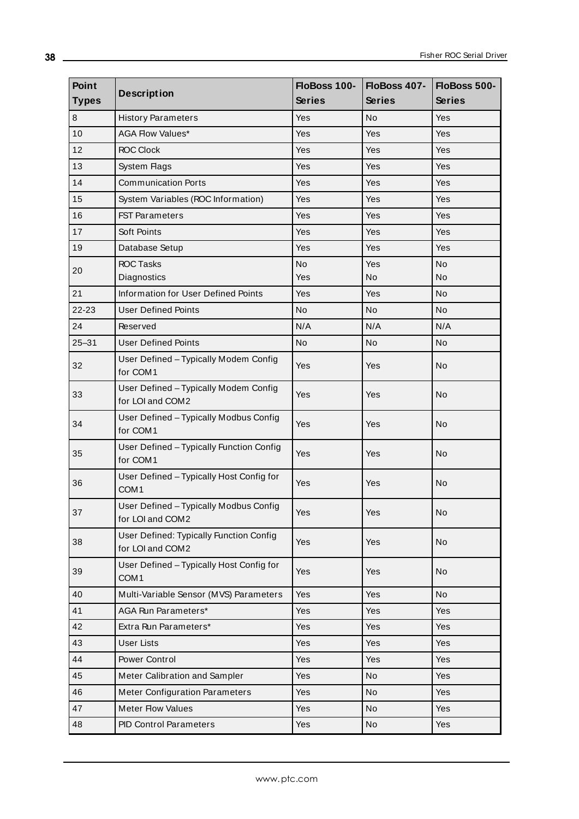| Point<br><b>Types</b> | <b>Description</b>                                           | FloBoss 100-<br><b>Series</b> | FloBoss 407-<br><b>Series</b> | FloBoss 500-<br><b>Series</b> |
|-----------------------|--------------------------------------------------------------|-------------------------------|-------------------------------|-------------------------------|
| $\bf 8$               | <b>History Parameters</b>                                    | Yes                           | No                            | <b>Yes</b>                    |
| 10                    | <b>AGA Flow Values*</b>                                      | Yes                           | Yes                           | <b>Yes</b>                    |
| 12                    | <b>ROC Clock</b>                                             | Yes                           | Yes                           | <b>Yes</b>                    |
| 13                    | System Flags                                                 | Yes                           | Yes                           | Yes                           |
| 14                    | <b>Communication Ports</b>                                   | Yes                           | Yes                           | Yes                           |
| 15                    | System Variables (ROC Information)                           | <b>Yes</b>                    | Yes                           | <b>Yes</b>                    |
| 16                    | <b>FST Parameters</b>                                        | <b>Yes</b>                    | Yes                           | <b>Yes</b>                    |
| 17                    | Soft Points                                                  | Yes                           | Yes                           | <b>Yes</b>                    |
| 19                    | Database Setup                                               | Yes                           | Yes                           | Yes                           |
| 20                    | <b>ROC Tasks</b>                                             | No                            | Yes                           | No                            |
|                       | Diagnostics                                                  | Yes                           | No                            | No                            |
| 21                    | Information for User Defined Points                          | Yes                           | Yes                           | No                            |
| 22-23                 | <b>User Defined Points</b>                                   | No.                           | <b>No</b>                     | <b>No</b>                     |
| 24                    | Reserved                                                     | N/A                           | N/A                           | N/A                           |
| $25 - 31$             | <b>User Defined Points</b>                                   | No                            | No                            | <b>No</b>                     |
| 32                    | User Defined - Typically Modem Config<br>for COM1            | <b>Yes</b>                    | Yes                           | <b>No</b>                     |
| 33                    | User Defined - Typically Modem Config<br>for LOI and COM2    | Yes                           | Yes                           | <b>No</b>                     |
| 34                    | User Defined - Typically Modbus Config<br>for COM1           | <b>Yes</b>                    | Yes                           | <b>No</b>                     |
| 35                    | User Defined - Typically Function Config<br>for COM1         | Yes                           | Yes                           | <b>No</b>                     |
| 36                    | User Defined - Typically Host Config for<br>COM <sub>1</sub> | Yes                           | Yes                           | <b>No</b>                     |
| 37                    | User Defined - Typically Modbus Config<br>for LOI and COM2   | Yes                           | Yes                           | No                            |
| 38                    | User Defined: Typically Function Config<br>for LOI and COM2  | Yes                           | Yes                           | <b>No</b>                     |
| 39                    | User Defined - Typically Host Config for<br>COM <sub>1</sub> | Yes                           | Yes                           | <b>No</b>                     |
| 40                    | Multi-Variable Sensor (MVS) Parameters                       | Yes                           | Yes                           | No                            |
| 41                    | AGA Run Parameters*                                          | Yes                           | Yes                           | <b>Yes</b>                    |
| 42                    | Extra Run Parameters*                                        | Yes                           | Yes                           | Yes                           |
| 43                    | <b>User Lists</b>                                            | Yes                           | Yes                           | <b>Yes</b>                    |
| 44                    | Power Control                                                | Yes                           | Yes                           | Yes                           |
| 45                    | Meter Calibration and Sampler                                | Yes                           | No                            | Yes                           |
| 46                    | <b>Meter Configuration Parameters</b>                        | Yes                           | No                            | Yes                           |
| 47                    | <b>Meter Flow Values</b>                                     | Yes                           | No                            | Yes                           |
| 48                    | <b>PID Control Parameters</b>                                | Yes                           | No                            | Yes                           |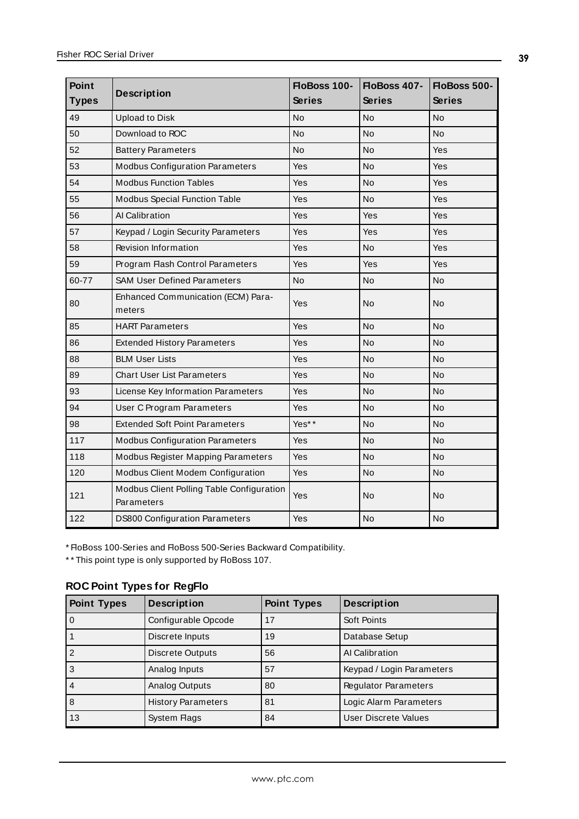| <b>Point</b> | <b>Description</b>                                      | FloBoss 100-  | FloBoss 407-  | FloBoss 500-  |
|--------------|---------------------------------------------------------|---------------|---------------|---------------|
| <b>Types</b> |                                                         | <b>Series</b> | <b>Series</b> | <b>Series</b> |
| 49           | <b>Upload to Disk</b>                                   | No            | No            | <b>No</b>     |
| 50           | Download to ROC                                         | No            | No            | No            |
| 52           | <b>Battery Parameters</b>                               | No            | No            | Yes           |
| 53           | <b>Modbus Configuration Parameters</b>                  | Yes           | No            | Yes           |
| 54           | <b>Modbus Function Tables</b>                           | Yes           | No            | Yes           |
| 55           | <b>Modbus Special Function Table</b>                    | Yes           | No            | Yes           |
| 56           | Al Calibration                                          | Yes           | Yes           | Yes           |
| 57           | Keypad / Login Security Parameters                      | Yes           | Yes           | Yes           |
| 58           | <b>Revision Information</b>                             | Yes           | <b>No</b>     | Yes           |
| 59           | Program Flash Control Parameters                        | Yes           | Yes           | Yes           |
| 60-77        | <b>SAM User Defined Parameters</b>                      | <b>No</b>     | <b>No</b>     | <b>No</b>     |
| 80           | Enhanced Communication (ECM) Para-<br>meters            | Yes           | No            | <b>No</b>     |
| 85           | <b>HART Parameters</b>                                  | Yes           | No            | <b>No</b>     |
| 86           | <b>Extended History Parameters</b>                      | Yes           | No            | <b>No</b>     |
| 88           | <b>BLM User Lists</b>                                   | Yes           | No            | No            |
| 89           | <b>Chart User List Parameters</b>                       | Yes           | No            | No            |
| 93           | License Key Information Parameters                      | Yes           | No            | No            |
| 94           | User C Program Parameters                               | Yes           | No            | No            |
| 98           | <b>Extended Soft Point Parameters</b>                   | Yes**         | No            | No            |
| 117          | <b>Modbus Configuration Parameters</b>                  | Yes           | <b>No</b>     | <b>No</b>     |
| 118          | Modbus Register Mapping Parameters                      | Yes           | No            | No            |
| 120          | Modbus Client Modem Configuration                       | Yes           | No            | No            |
| 121          | Modbus Client Polling Table Configuration<br>Parameters | Yes           | No            | No            |
| 122          | <b>DS800 Configuration Parameters</b>                   | Yes           | No            | <b>No</b>     |

\* FloBoss 100-Series and FloBoss 500-Series Backward Compatibility.

\*\* This point type is only supported by FloBoss 107.

### **ROC Point Types for RegFlo**

| <b>Point Types</b> | <b>Description</b>        | <b>Point Types</b> | <b>Description</b>          |
|--------------------|---------------------------|--------------------|-----------------------------|
| l o                | Configurable Opcode       | 17                 | Soft Points                 |
|                    | Discrete Inputs           | 19                 | Database Setup              |
| l 2                | Discrete Outputs          | 56                 | Al Calibration              |
| 3                  | Analog Inputs             | 57                 | Keypad / Login Parameters   |
| 4                  | Analog Outputs            | 80                 | <b>Regulator Parameters</b> |
| 8                  | <b>History Parameters</b> | 81                 | Logic Alarm Parameters      |
| 13                 | System Flags              | 84                 | User Discrete Values        |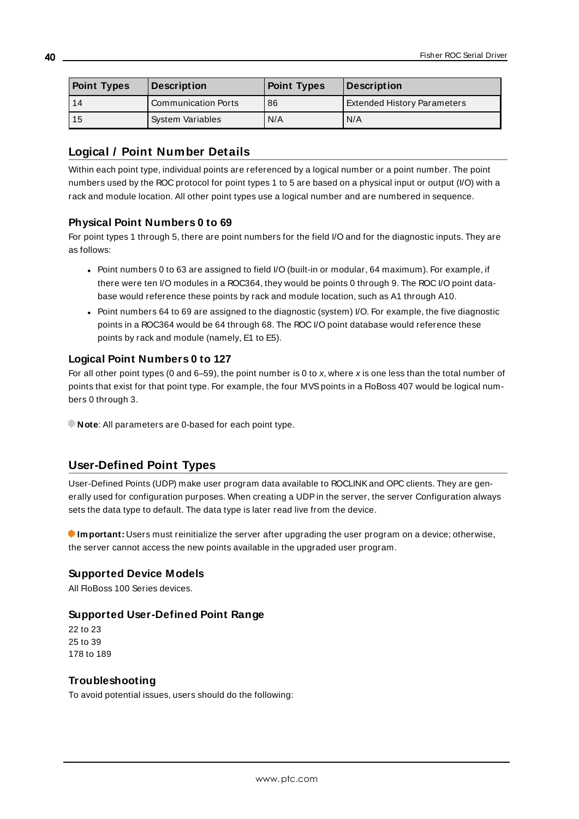| <b>Point Types</b> | <b>Description</b>         | <b>Point Types</b> | Description                        |
|--------------------|----------------------------|--------------------|------------------------------------|
| 14                 | <b>Communication Ports</b> | 86                 | <b>Extended History Parameters</b> |
| i 15               | <b>System Variables</b>    | N/A                | N/A                                |

### **Logical / Point Number Details**

Within each point type, individual points are referenced by a logical number or a point number. The point numbers used by the ROC protocol for point types 1 to 5 are based on a physical input or output (I/O) with a rack and module location. All other point types use a logical number and are numbered in sequence.

### **Physical Point Numbers 0 to 69**

For point types 1 through 5, there are point numbers for the field I/O and for the diagnostic inputs. They are as follows:

- Point numbers 0 to 63 are assigned to field I/O (built-in or modular, 64 maximum). For example, if there were ten I/O modules in a ROC364, they would be points 0 through 9. The ROC I/O point database would reference these points by rack and module location, such as A1 through A10.
- Point numbers 64 to 69 are assigned to the diagnostic (system) I/O. For example, the five diagnostic points in a ROC364 would be 64 through 68. The ROC I/O point database would reference these points by rack and module (namely, E1 to E5).

### **Logical Point Numbers 0 to 127**

For all other point types (0 and 6–59), the point number is 0 to x, where x is one less than the total number of points that exist for that point type. For example, the four MVS points in a FloBoss 407 would be logical numbers 0 through 3.

**Note:** All parameters are 0-based for each point type.

### **User-Defined Point Types**

User-Defined Points (UDP) make user program data available to ROCLINKand OPC clients. They are generally used for configuration purposes. When creating a UDPin the server, the server Configuration always sets the data type to default. The data type is later read live from the device.

**Important:** Users must reinitialize the server after upgrading the user program on a device; otherwise, the server cannot access the new points available in the upgraded user program.

### **Supported Device Models**

All FloBoss 100 Series devices

### **Supported User-Defined Point Range**

22 to 23 25 to 39 178 to 189

### **Troubleshooting**

To avoid potential issues, users should do the following: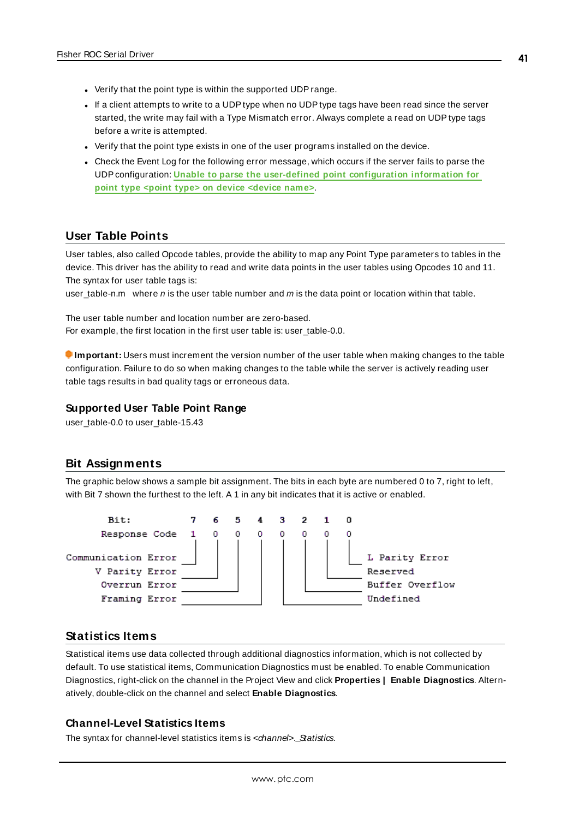- Verify that the point type is within the supported UDP range.
- If a client attempts to write to a UDP type when no UDP type tags have been read since the server started, the write may fail with a Type Mismatch error. Always complete a read on UDPtype tags before a write is attempted.
- Verify that the point type exists in one of the user programs installed on the device.
- Check the Event Log for the following error message, which occurs if the server fails to parse the UDPconfiguration: **Unable to parse the user-defined point [configuration](#page-61-0) information for point type <point type> on device [<device](#page-61-0) name>**.

### **User Table Points**

User tables, also called Opcode tables, provide the ability to map any Point Type parameters to tables in the device. This driver has the ability to read and write data points in the user tables using Opcodes 10 and 11. The syntax for user table tags is:

user\_table-n.m where  $n$  is the user table number and  $m$  is the data point or location within that table.

The user table number and location number are zero-based. For example, the first location in the first user table is: user\_table-0.0.

**Important:** Users must increment the version number of the user table when making changes to the table configuration. Failure to do so when making changes to the table while the server is actively reading user table tags results in bad quality tags or erroneous data.

#### **Supported User Table Point Range**

user\_table-0.0 to user\_table-15.43

### <span id="page-40-0"></span>**Bit Assignments**

The graphic below shows a sample bit assignment. The bits in each byte are numbered 0 to 7, right to left, with Bit 7 shown the furthest to the left. A 1 in any bit indicates that it is active or enabled.



### **Statistics Items**

Statistical items use data collected through additional diagnostics information, which is not collected by default. To use statistical items, Communication Diagnostics must be enabled. To enable Communication Diagnostics, right-click on the channel in the Project View and click **Properties | Enable Diagnostics**. Alternatively, double-click on the channel and select **Enable Diagnostics**.

#### **Channel-Level Statistics Items**

The syntax for channel-level statistics items is <channel>. Statistics.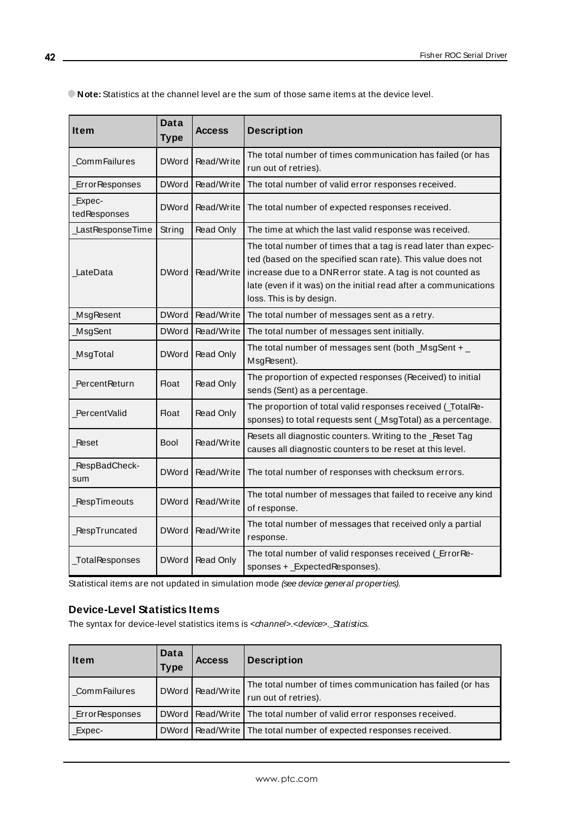**Note:** Statistics at the channel level are the sum of those same items at the device level.

| Item                   | Data<br><b>Type</b> | <b>Access</b>    | <b>Description</b>                                                                                                                                                                                                                                                                          |
|------------------------|---------------------|------------------|---------------------------------------------------------------------------------------------------------------------------------------------------------------------------------------------------------------------------------------------------------------------------------------------|
| CommFailures           | <b>DWord</b>        | Read/Write       | The total number of times communication has failed (or has<br>run out of retries).                                                                                                                                                                                                          |
| <b>ErrorResponses</b>  | <b>DWord</b>        | Read/Write       | The total number of valid error responses received.                                                                                                                                                                                                                                         |
| Expec-<br>tedResponses | <b>DWord</b>        | Read/Write       | The total number of expected responses received.                                                                                                                                                                                                                                            |
| LastResponseTime       | String              | Read Only        | The time at which the last valid response was received.                                                                                                                                                                                                                                     |
| LateData               | <b>DWord</b>        | Read/Write       | The total number of times that a tag is read later than expec-<br>ted (based on the specified scan rate). This value does not<br>increase due to a DNR error state. A tag is not counted as<br>late (even if it was) on the initial read after a communications<br>loss. This is by design. |
| MsgResent              | <b>DWord</b>        | Read/Write       | The total number of messages sent as a retry.                                                                                                                                                                                                                                               |
| MsgSent                | <b>DWord</b>        | Read/Write       | The total number of messages sent initially.                                                                                                                                                                                                                                                |
| MsgTotal               | DWord               | <b>Read Only</b> | The total number of messages sent (both $_$ MsgSent + $_$<br>MsgResent).                                                                                                                                                                                                                    |
| PercentReturn          | Float               | <b>Read Only</b> | The proportion of expected responses (Received) to initial<br>sends (Sent) as a percentage.                                                                                                                                                                                                 |
| PercentValid           | <b>Float</b>        | Read Only        | The proportion of total valid responses received (_TotalRe-<br>sponses) to total requests sent (_MsgTotal) as a percentage.                                                                                                                                                                 |
| Reset                  | Bool                | Read/Write       | Resets all diagnostic counters. Writing to the _Reset Tag<br>causes all diagnostic counters to be reset at this level.                                                                                                                                                                      |
| RespBadCheck-<br>sum   | <b>DWord</b>        | Read/Write       | The total number of responses with checksum errors.                                                                                                                                                                                                                                         |
| <b>RespTimeouts</b>    | <b>DWord</b>        | Read/Write       | The total number of messages that failed to receive any kind<br>of response.                                                                                                                                                                                                                |
| RespTruncated          | <b>DWord</b>        | Read/Write       | The total number of messages that received only a partial<br>response.                                                                                                                                                                                                                      |
| _TotalResponses        | <b>DWord</b>        | <b>Read Only</b> | The total number of valid responses received (ErrorRe-<br>sponses + _ExpectedResponses).                                                                                                                                                                                                    |

Statistical items are not updated in simulation mode (see device general properties).

### **Device-Level Statistics Items**

The syntax for device-level statistics items is <channel>.<device>.\_Statistics.

| <b>Item</b>           | Data<br><b>Type</b> | <b>Access</b>    | <b>Description</b>                                                                 |
|-----------------------|---------------------|------------------|------------------------------------------------------------------------------------|
| <b>CommFailures</b>   |                     | DWord Read/Write | The total number of times communication has failed (or has<br>run out of retries). |
| <b>ErrorResponses</b> |                     |                  | DWord   Read/Write   The total number of valid error responses received.           |
| Expec-                |                     |                  | DWord   Read/Write   The total number of expected responses received.              |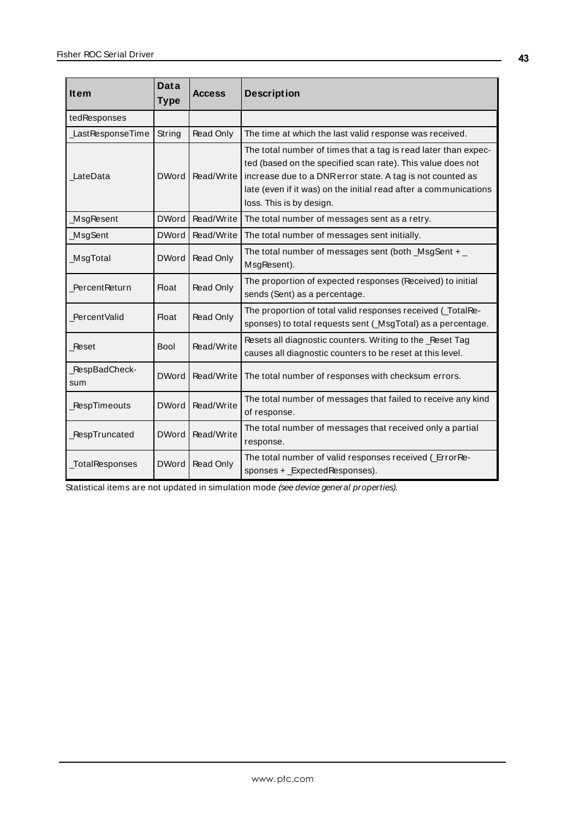| <b>Item</b>           | <b>Data</b><br><b>Type</b> | <b>Access</b> | <b>Description</b>                                                                                                                                                                                                                                                                          |
|-----------------------|----------------------------|---------------|---------------------------------------------------------------------------------------------------------------------------------------------------------------------------------------------------------------------------------------------------------------------------------------------|
| tedResponses          |                            |               |                                                                                                                                                                                                                                                                                             |
| LastResponseTime      | String                     | Read Only     | The time at which the last valid response was received.                                                                                                                                                                                                                                     |
| LateData              | <b>DWord</b>               | Read/Write    | The total number of times that a tag is read later than expec-<br>ted (based on the specified scan rate). This value does not<br>increase due to a DNR error state. A tag is not counted as<br>late (even if it was) on the initial read after a communications<br>loss. This is by design. |
| MsgResent             | <b>DWord</b>               | Read/Write    | The total number of messages sent as a retry.                                                                                                                                                                                                                                               |
| MsgSent               | <b>DWord</b>               | Read/Write    | The total number of messages sent initially.                                                                                                                                                                                                                                                |
| _MsgTotal             | <b>DWord</b>               | Read Only     | The total number of messages sent (both $_$ MsgSent + $_$<br>MsgResent).                                                                                                                                                                                                                    |
| PercentReturn         | <b>Float</b>               | Read Only     | The proportion of expected responses (Received) to initial<br>sends (Sent) as a percentage.                                                                                                                                                                                                 |
| PercentValid          | <b>Float</b>               | Read Only     | The proportion of total valid responses received (TotalRe-<br>sponses) to total requests sent (_MsgTotal) as a percentage.                                                                                                                                                                  |
| Reset                 | <b>Bool</b>                | Read/Write    | Resets all diagnostic counters. Writing to the _Reset Tag<br>causes all diagnostic counters to be reset at this level.                                                                                                                                                                      |
| _RespBadCheck-<br>sum | <b>DWord</b>               | Read/Write    | The total number of responses with checksum errors.                                                                                                                                                                                                                                         |
| RespTimeouts          | <b>DWord</b>               | Read/Write    | The total number of messages that failed to receive any kind<br>of response.                                                                                                                                                                                                                |
| RespTruncated         | <b>DWord</b>               | Read/Write    | The total number of messages that received only a partial<br>response.                                                                                                                                                                                                                      |
| _TotalResponses       | <b>DWord</b>               | Read Only     | The total number of valid responses received (ErrorRe-<br>sponses + _ExpectedResponses).                                                                                                                                                                                                    |

Statistical items are not updated in simulation mode (see device general properties).

**43**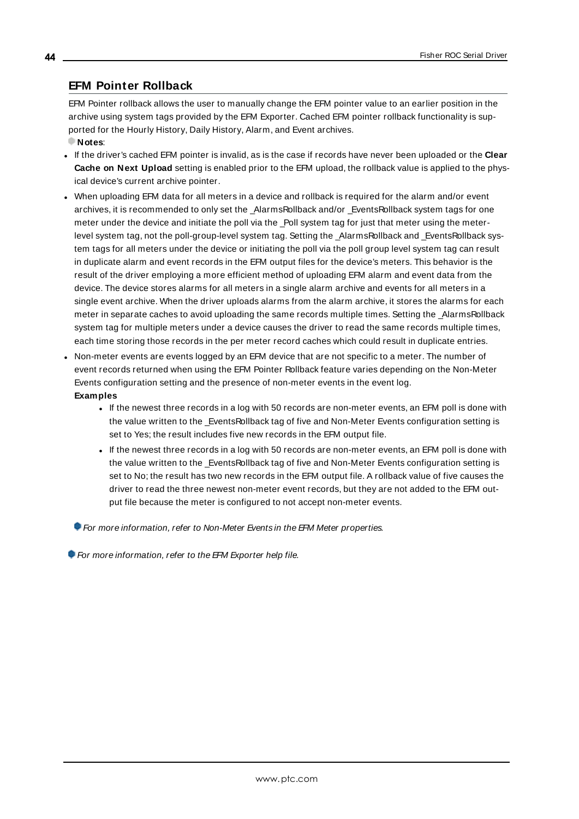### <span id="page-43-0"></span>**EFM Pointer Rollback**

EFM Pointer rollback allows the user to manually change the EFM pointer value to an earlier position in the archive using system tags provided by the EFM Exporter. Cached EFM pointer rollback functionality is supported for the Hourly History, Daily History, Alarm, and Event archives.

- **Notes**:
- <sup>l</sup> If the driver's cached EFM pointer is invalid, as is the case if records have never been uploaded or the **Clear Cache on Next Upload** setting is enabled prior to the EFM upload, the rollback value is applied to the physical device's current archive pointer.
- When uploading EFM data for all meters in a device and rollback is required for the alarm and/or event archives, it is recommended to only set the \_AlarmsRollback and/or \_EventsRollback system tags for one meter under the device and initiate the poll via the \_Poll system tag for just that meter using the meterlevel system tag, not the poll-group-level system tag. Setting the \_AlarmsRollback and \_EventsRollback system tags for all meters under the device or initiating the poll via the poll group level system tag can result in duplicate alarm and event records in the EFM output files for the device's meters. This behavior is the result of the driver employing a more efficient method of uploading EFM alarm and event data from the device. The device stores alarms for all meters in a single alarm archive and events for all meters in a single event archive. When the driver uploads alarms from the alarm archive, it stores the alarms for each meter in separate caches to avoid uploading the same records multiple times. Setting the \_AlarmsRollback system tag for multiple meters under a device causes the driver to read the same records multiple times, each time storing those records in the per meter record caches which could result in duplicate entries.
- Non-meter events are events logged by an EFM device that are not specific to a meter. The number of event records returned when using the EFM Pointer Rollback feature varies depending on the Non-Meter Events configuration setting and the presence of non-meter events in the event log. **Examples**
	- If the newest three records in a log with 50 records are non-meter events, an EFM poll is done with the value written to the \_EventsRollback tag of five and Non-Meter Events configuration setting is set to Yes; the result includes five new records in the EFM output file.
	- <sup>l</sup> If the newest three records in a log with 50 records are non-meter events, an EFM poll is done with the value written to the \_EventsRollback tag of five and Non-Meter Events configuration setting is set to No; the result has two new records in the EFM output file. A rollback value of five causes the driver to read the three newest non-meter event records, but they are not added to the EFM output file because the meter is configured to not accept non-meter events.

For more information, refer to Non-Meter Events in the EFM Meter properties.

For more information, refer to the EFM Exporter help file.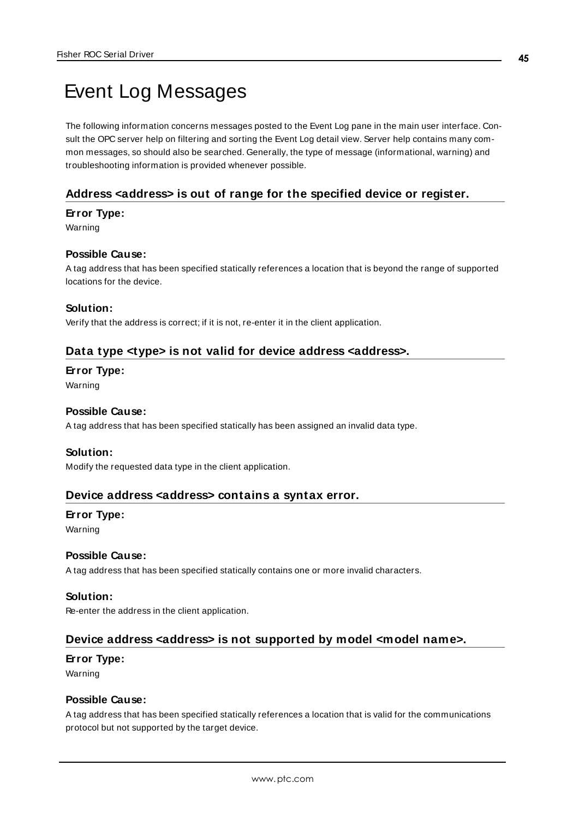# <span id="page-44-4"></span>Event Log Messages

The following information concerns messages posted to the Event Log pane in the main user interface. Consult the OPC server help on filtering and sorting the Event Log detail view. Server help contains many common messages, so should also be searched. Generally, the type of message (informational, warning) and troubleshooting information is provided whenever possible.

### <span id="page-44-0"></span>**Address <address> is out of range for the specified device or register.**

### **Error Type:**

Warning

### **Possible Cause:**

A tag address that has been specified statically references a location that is beyond the range of supported locations for the device.

#### **Solution:**

<span id="page-44-1"></span>Verify that the address is correct; if it is not, re-enter it in the client application.

### **Data type <type> is not valid for device address <address>.**

#### **Error Type:**

Warning

#### **Possible Cause:**

A tag address that has been specified statically has been assigned an invalid data type.

#### **Solution:**

<span id="page-44-2"></span>Modify the requested data type in the client application.

### **Device address <address> contains a syntax error.**

#### **Error Type:**

Warning

### **Possible Cause:**

A tag address that has been specified statically contains one or more invalid characters.

### **Solution:**

<span id="page-44-3"></span>Re-enter the address in the client application.

### **Device address <address> is not supported by model <model name>.**

#### **Error Type:**

Warning

### **Possible Cause:**

A tag address that has been specified statically references a location that is valid for the communications protocol but not supported by the target device.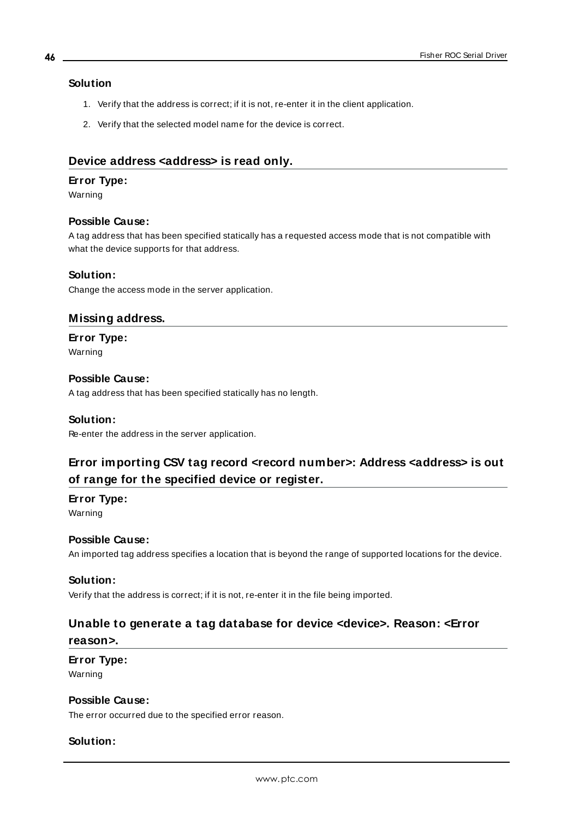### **Solution**

- 1. Verify that the address is correct; if it is not, re-enter it in the client application.
- 2. Verify that the selected model name for the device is correct.

### <span id="page-45-0"></span>**Device address <address> is read only.**

### **Error Type:**

Warning

### **Possible Cause:**

A tag address that has been specified statically has a requested access mode that is not compatible with what the device supports for that address.

### **Solution:**

<span id="page-45-2"></span>Change the access mode in the server application.

### **Missing address.**

### **Error Type:**

Warning

### **Possible Cause:**

A tag address that has been specified statically has no length.

### **Solution:**

<span id="page-45-1"></span>Re-enter the address in the server application.

### **Error importing CSV tag record <record number>: Address <address> is out of range for the specified device or register.**

### **Error Type:**

Warning

### **Possible Cause:**

An imported tag address specifies a location that is beyond the range of supported locations for the device.

### **Solution:**

Verify that the address is correct; if it is not, re-enter it in the file being imported.

# **Unable to generate a tag database for device <device>. Reason: <Error**

### **reason>.**

### **Error Type:**

Warning

### **Possible Cause:**

The error occurred due to the specified error reason.

### **Solution:**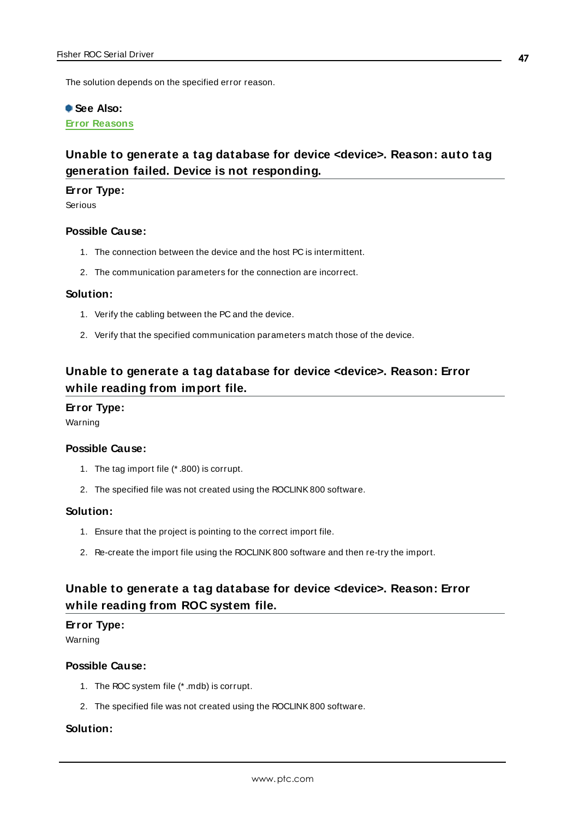The solution depends on the specified error reason.

### **See Also:**

**Error [Reasons](#page-68-0)**

### **Unable to generate a tag database for device <device>. Reason: auto tag generation failed. Device is not responding.**

### **Error Type:**

Serious

### **Possible Cause:**

- 1. The connection between the device and the host PC is intermittent.
- 2. The communication parameters for the connection are incorrect.

### **Solution:**

- 1. Verify the cabling between the PC and the device.
- 2. Verify that the specified communication parameters match those of the device.

### **Unable to generate a tag database for device <device>. Reason: Error while reading from import file.**

#### **Error Type:**

Warning

### **Possible Cause:**

- 1. The tag import file (\* .800) is corrupt.
- 2. The specified file was not created using the ROCLINK800 software.

### **Solution:**

- 1. Ensure that the project is pointing to the correct import file.
- 2. Re-create the import file using the ROCLINK800 software and then re-try the import.

### **Unable to generate a tag database for device <device>. Reason: Error while reading from ROC system file.**

### **Error Type:**

Warning

### **Possible Cause:**

- 1. The ROC system file (\* .mdb) is corrupt.
- 2. The specified file was not created using the ROCLINK800 software.

### **Solution:**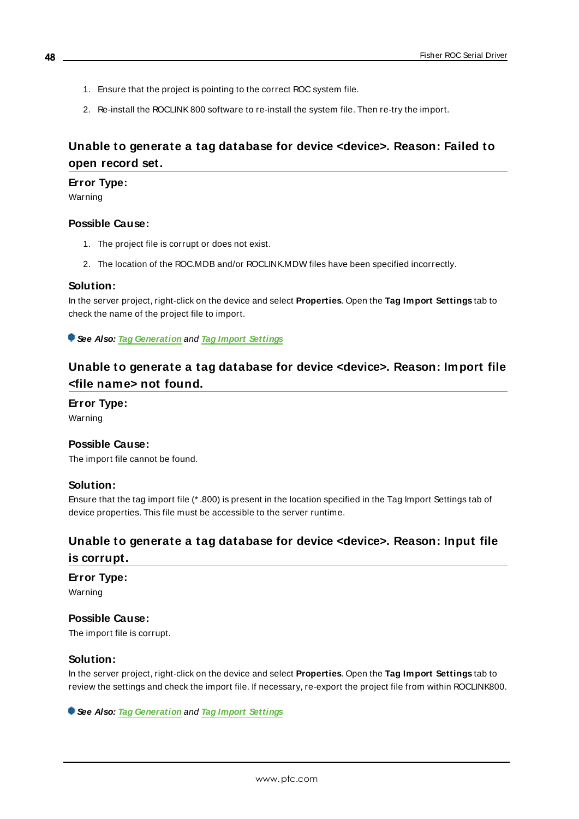- 1. Ensure that the project is pointing to the correct ROC system file.
- 2. Re-install the ROCLINK800 software to re-install the system file. Then re-try the import.

### **Unable to generate a tag database for device <device>. Reason: Failed to open record set.**

### **Error Type:**

Warning

### **Possible Cause:**

- 1. The project file is corrupt or does not exist.
- 2. The location of the ROC.MDB and/or ROCLINK.MDW files have been specified incorrectly.

#### **Solution:**

In the server project, right-click on the device and select **Properties**. Open the **Tag Import Settings** tab to check the name of the project file to import.

**See Also: Tag [Generation](#page-22-0)** and **Tag Import [Settings](#page-25-0)**

### **Unable to generate a tag database for device <device>. Reason: Import file <file name> not found.**

### **Error Type:**

Warning

### **Possible Cause:**

The import file cannot be found.

### **Solution:**

Ensure that the tag import file (\* .800) is present in the location specified in the Tag Import Settings tab of device properties. This file must be accessible to the server runtime.

### **Unable to generate a tag database for device <device>. Reason: Input file is corrupt.**

**Error Type:**

Warning

### **Possible Cause:**

The import file is corrupt.

### **Solution:**

In the server project, right-click on the device and select **Properties**. Open the **Tag Import Settings** tab to review the settings and check the import file. If necessary, re-export the project file from within ROCLINK800.

**See Also: Tag [Generation](#page-22-0)** and **Tag Import [Settings](#page-25-0)**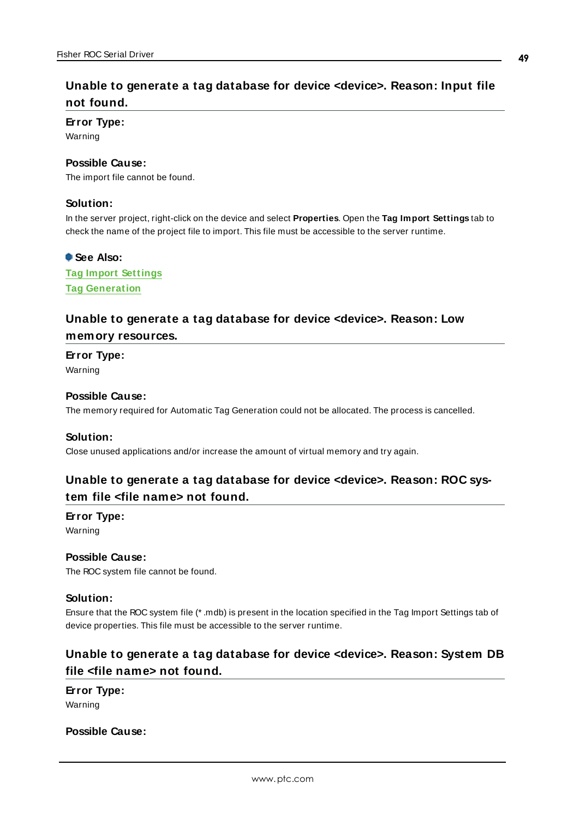### **Unable to generate a tag database for device <device>. Reason: Input file not found.**

#### **Error Type:**

Warning

### **Possible Cause:**

The import file cannot be found.

### **Solution:**

In the server project, right-click on the device and select **Properties**. Open the **Tag Import Settings** tab to check the name of the project file to import. This file must be accessible to the server runtime.

### **See Also:**

**Tag Import [Settings](#page-25-0) Tag [Generation](#page-22-0)**

### **Unable to generate a tag database for device <device>. Reason: Low memory resources.**

**Error Type:**

Warning

### **Possible Cause:**

The memory required for Automatic Tag Generation could not be allocated. The process is cancelled.

#### **Solution:**

Close unused applications and/or increase the amount of virtual memory and try again.

### **Unable to generate a tag database for device <device>. Reason: ROC system file <file name> not found.**

#### **Error Type:**

Warning

**Possible Cause:** The ROC system file cannot be found.

#### **Solution:**

Ensure that the ROC system file (\* .mdb) is present in the location specified in the Tag Import Settings tab of device properties. This file must be accessible to the server runtime.

### **Unable to generate a tag database for device <device>. Reason: System DB file <file name> not found.**

**Error Type:**

Warning

### **Possible Cause:**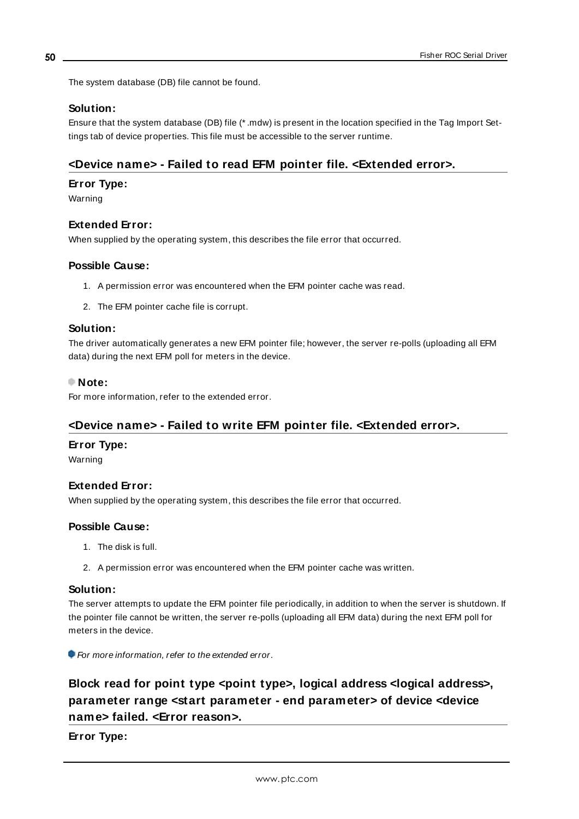The system database (DB) file cannot be found.

### **Solution:**

Ensure that the system database (DB) file (\* .mdw) is present in the location specified in the Tag Import Settings tab of device properties. This file must be accessible to the server runtime.

### <span id="page-49-1"></span>**<Device name> - Failed to read EFM pointer file. <Extended error>.**

### **Error Type:**

Warning

### **Extended Error:**

When supplied by the operating system, this describes the file error that occurred.

### **Possible Cause:**

- 1. A permission error was encountered when the EFM pointer cache was read.
- 2. The EFM pointer cache file is corrupt.

#### **Solution:**

The driver automatically generates a new EFM pointer file; however, the server re-polls (uploading all EFM data) during the next EFM poll for meters in the device.

#### **Note:**

<span id="page-49-2"></span>For more information, refer to the extended error.

### **<Device name> - Failed to write EFM pointer file. <Extended error>.**

#### **Error Type:**

Warning

### **Extended Error:**

When supplied by the operating system, this describes the file error that occurred.

#### **Possible Cause:**

- 1. The disk is full.
- 2. A permission error was encountered when the EFM pointer cache was written.

#### **Solution:**

The server attempts to update the EFM pointer file periodically, in addition to when the server is shutdown. If the pointer file cannot be written, the server re-polls (uploading all EFM data) during the next EFM poll for meters in the device.

<span id="page-49-0"></span>For more information, refer to the extended error.

### **Block read for point type <point type>, logical address <logical address>, parameter range <start parameter - end parameter> of device <device name> failed. <Error reason>.**

**Error Type:**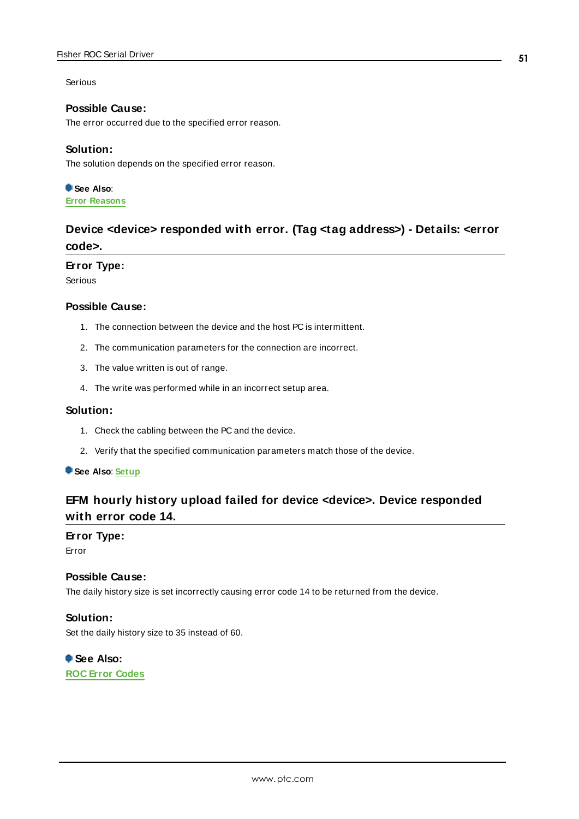#### Serious

### **Possible Cause:**

The error occurred due to the specified error reason.

#### **Solution:**

The solution depends on the specified error reason.

**See Also**: **Error [Reasons](#page-68-0)**

### <span id="page-50-0"></span>**Device <device> responded with error. (Tag <tag address>) - Details: <error code>.**

#### **Error Type:**

Serious

### **Possible Cause:**

- 1. The connection between the device and the host PC is intermittent.
- 2. The communication parameters for the connection are incorrect.
- 3. The value written is out of range.
- 4. The write was performed while in an incorrect setup area.

### **Solution:**

- 1. Check the cabling between the PC and the device.
- 2. Verify that the specified communication parameters match those of the device.

#### <span id="page-50-1"></span>**See Also**: **[Setup](#page-17-0)**

### **EFM hourly history upload failed for device <device>. Device responded with error code 14.**

### **Error Type:**

Error

### **Possible Cause:**

The daily history size is set incorrectly causing error code 14 to be returned from the device.

### **Solution:**

Set the daily history size to 35 instead of 60.

**See Also: ROC Error [Codes](#page-63-0)**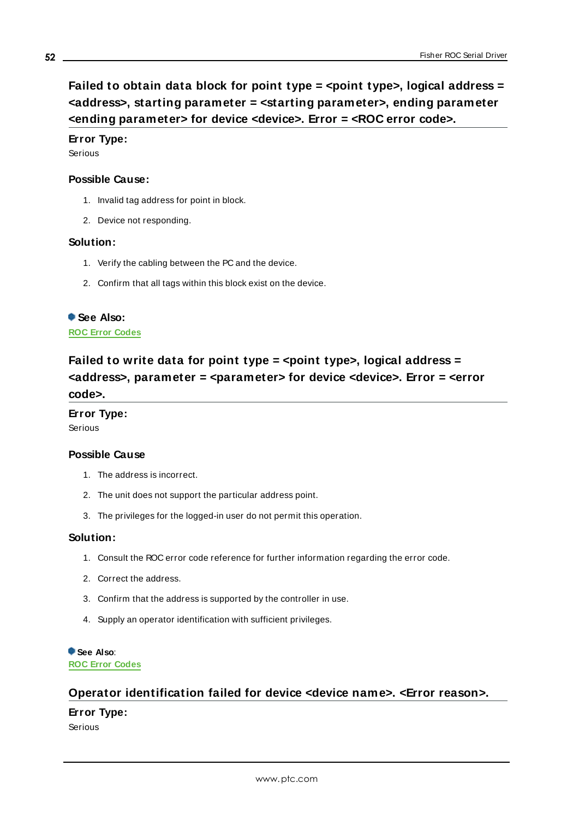### <span id="page-51-0"></span>**Error Type:**

Serious

### **Possible Cause:**

- 1. Invalid tag address for point in block.
- 2. Device not responding.

### **Solution:**

- 1. Verify the cabling between the PC and the device.
- 2. Confirm that all tags within this block exist on the device.

### **See Also:**

<span id="page-51-1"></span>**ROC Error [Codes](#page-63-0)**

### **Failed to write data for point type = <point type>, logical address = <address>, parameter = <parameter> for device <device>. Error = <error code>.**

### **Error Type:**

Serious

### **Possible Cause**

- 1. The address is incorrect.
- 2. The unit does not support the particular address point.
- 3. The privileges for the logged-in user do not permit this operation.

#### **Solution:**

- 1. Consult the ROC error code reference for further information regarding the error code.
- 2. Correct the address.
- 3. Confirm that the address is supported by the controller in use.
- 4. Supply an operator identification with sufficient privileges.

### **See Also**:

**ROC Error [Codes](#page-63-0)**

### **Operator identification failed for device <device name>. <Error reason>.**

### **Error Type:**

Serious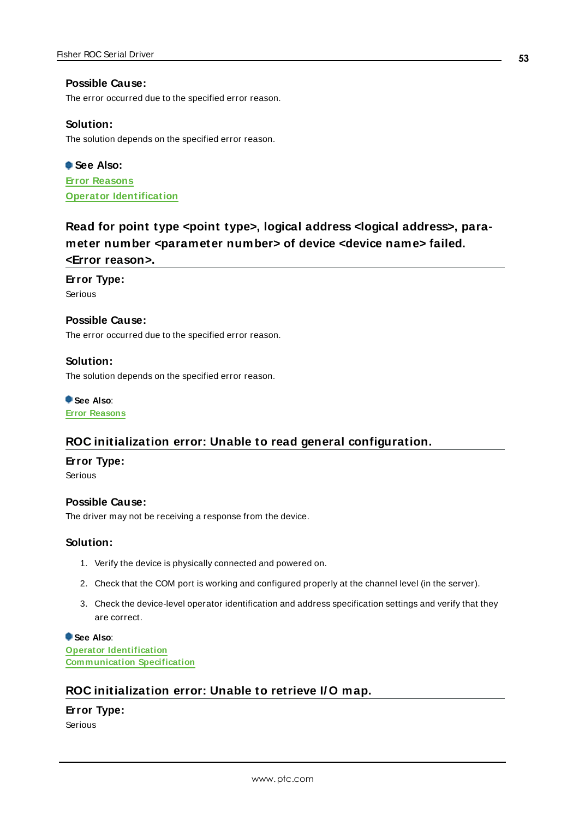### **Possible Cause:**

The error occurred due to the specified error reason.

#### **Solution:**

The solution depends on the specified error reason.

**See Also: Error [Reasons](#page-68-0) Operator [Identification](#page-26-0)**

### **Read for point type <point type>, logical address <logical address>, parameter number <parameter number> of device <device name> failed. <Error reason>.**

**Error Type:**

Serious

### **Possible Cause:**

The error occurred due to the specified error reason.

### **Solution:**

The solution depends on the specified error reason.

**See Also**: **Error [Reasons](#page-68-0)**

### **ROC initialization error: Unable to read general configuration.**

#### **Error Type:**

Serious

### **Possible Cause:**

The driver may not be receiving a response from the device.

#### **Solution:**

- 1. Verify the device is physically connected and powered on.
- 2. Check that the COM port is working and configured properly at the channel level (in the server).
- 3. Check the device-level operator identification and address specification settings and verify that they are correct.

**See Also**: **Operator [Identification](#page-26-0) [Communication](#page-26-1) Specification**

### **ROC initialization error: Unable to retrieve I/ O map.**

### **Error Type:**

Serious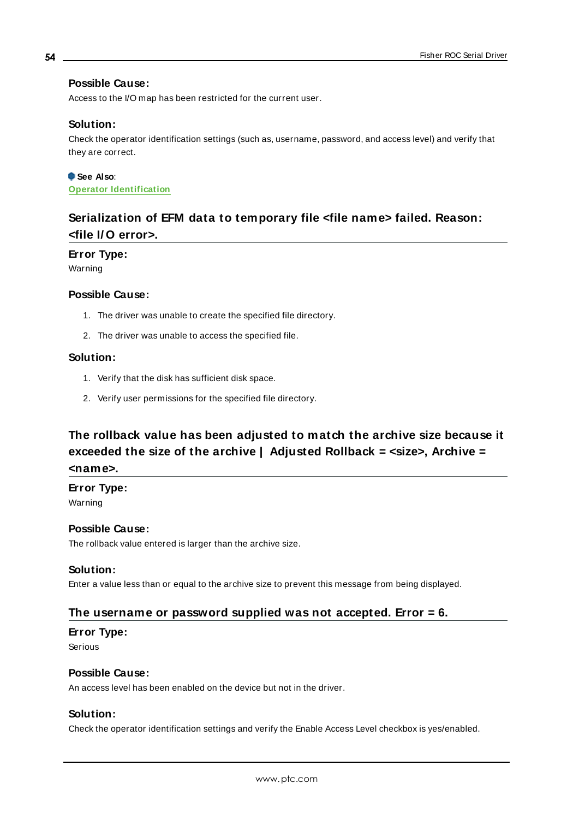### **Possible Cause:**

Access to the I/O map has been restricted for the current user.

### **Solution:**

Check the operator identification settings (such as, username, password, and access level) and verify that they are correct.

### **See Also**: **Operator [Identification](#page-26-0)**

### **Serialization of EFM data to temporary file <file name> failed. Reason: <file I/ O error>.**

### **Error Type:**

Warning

### **Possible Cause:**

- 1. The driver was unable to create the specified file directory.
- 2. The driver was unable to access the specified file.

### **Solution:**

- 1. Verify that the disk has sufficient disk space.
- 2. Verify user permissions for the specified file directory.

## **The rollback value has been adjusted to match the archive size because it exceeded the size of the archive | Adjusted Rollback = <size>, Archive = <name>.**

### **Error Type:**

Warning

### **Possible Cause:**

The rollback value entered is larger than the archive size.

### **Solution:**

Enter a value less than or equal to the archive size to prevent this message from being displayed.

### **The username or password supplied was not accepted. Error = 6.**

### **Error Type:**

Serious

### **Possible Cause:**

An access level has been enabled on the device but not in the driver.

### **Solution:**

Check the operator identification settings and verify the Enable Access Level checkbox is yes/enabled.

#### **54**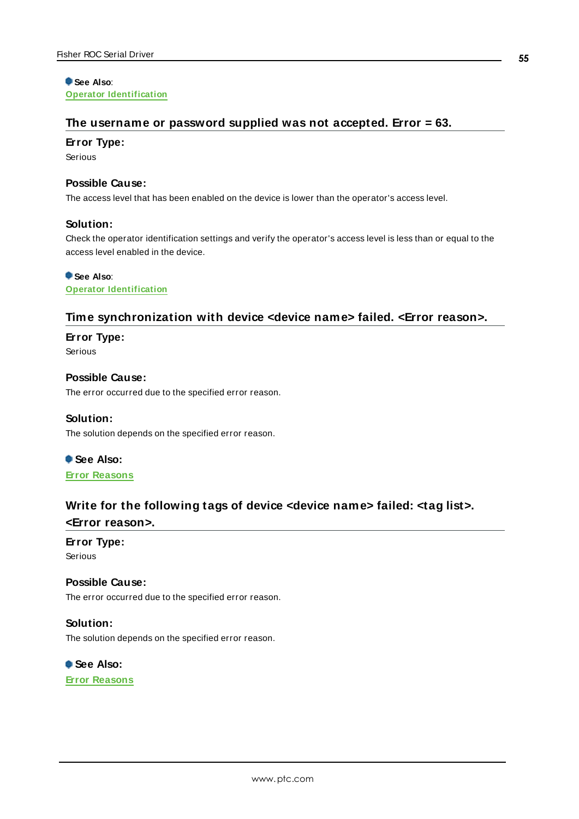**See Also**: **Operator [Identification](#page-26-0)**

### **The username or password supplied was not accepted. Error = 63.**

#### **Error Type:**

Serious

### **Possible Cause:**

The access level that has been enabled on the device is lower than the operator's access level.

#### **Solution:**

Check the operator identification settings and verify the operator's access level is less than or equal to the access level enabled in the device.

### **See Also**:

**Operator [Identification](#page-26-0)**

### **Time synchronization with device <device name> failed. <Error reason>.**

### **Error Type:**

Serious

**Possible Cause:** The error occurred due to the specified error reason.

#### **Solution:**

The solution depends on the specified error reason.

**See Also:**

**Error [Reasons](#page-68-0)**

### **Write for the following tags of device <device name> failed: <tag list>.**

### **<Error reason>.**

### **Error Type:**

Serious

### **Possible Cause:**

The error occurred due to the specified error reason.

### **Solution:**

The solution depends on the specified error reason.

**See Also: Error [Reasons](#page-68-0)**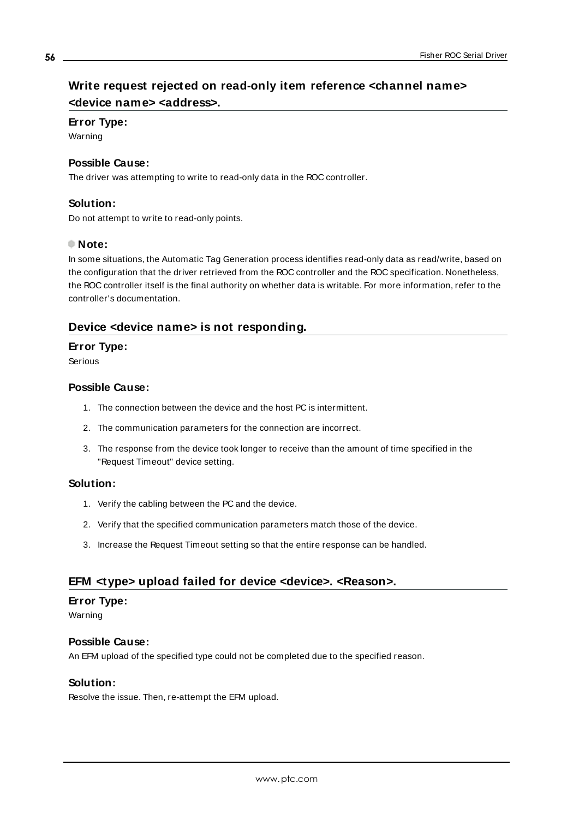### **Write request rejected on read-only item reference <channel name> <device name> <address>.**

### **Error Type:**

Warning

### **Possible Cause:**

The driver was attempting to write to read-only data in the ROC controller.

### **Solution:**

Do not attempt to write to read-only points.

### **Note:**

In some situations, the Automatic Tag Generation process identifies read-only data as read/write, based on the configuration that the driver retrieved from the ROC controller and the ROC specification. Nonetheless, the ROC controller itself is the final authority on whether data is writable. For more information, refer to the controller's documentation.

### <span id="page-55-0"></span>**Device <device name> is not responding.**

### **Error Type:**

Serious

### **Possible Cause:**

- 1. The connection between the device and the host PC is intermittent.
- 2. The communication parameters for the connection are incorrect.
- 3. The response from the device took longer to receive than the amount of time specified in the "Request Timeout" device setting.

### **Solution:**

- 1. Verify the cabling between the PC and the device.
- 2. Verify that the specified communication parameters match those of the device.
- 3. Increase the Request Timeout setting so that the entire response can be handled.

### <span id="page-55-1"></span>**EFM <type> upload failed for device <device>. <Reason>.**

#### **Error Type:**

Warning

### **Possible Cause:**

An EFM upload of the specified type could not be completed due to the specified reason.

### **Solution:**

Resolve the issue. Then, re-attempt the EFM upload.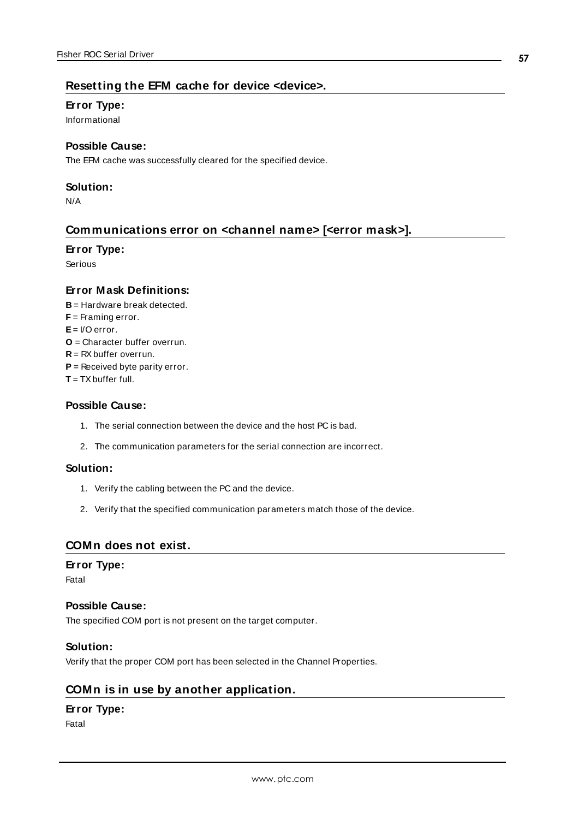### **Resetting the EFM cache for device <device>.**

#### **Error Type:**

Informational

### **Possible Cause:**

The EFM cache was successfully cleared for the specified device.

### **Solution:**

<span id="page-56-0"></span>N/A

### **Communications error on <channel name> [<error mask>].**

### **Error Type:**

Serious

### **Error Mask Definitions:**

- **B** = Hardware break detected.
- **F** = Framing error.
- **E**= I/O error.
- **O** = Character buffer overrun.
- **R** = RXbuffer overrun.
- **P** = Received byte parity error.
- **T** = TXbuffer full.

### **Possible Cause:**

- 1. The serial connection between the device and the host PC is bad.
- 2. The communication parameters for the serial connection are incorrect.

#### **Solution:**

- 1. Verify the cabling between the PC and the device.
- 2. Verify that the specified communication parameters match those of the device.

### <span id="page-56-1"></span>**COMn does not exist.**

#### **Error Type:**

Fatal

#### **Possible Cause:**

The specified COM port is not present on the target computer.

#### **Solution:**

<span id="page-56-2"></span>Verify that the proper COM port has been selected in the Channel Properties.

### **COMn is in use by another application.**

### **Error Type:**

Fatal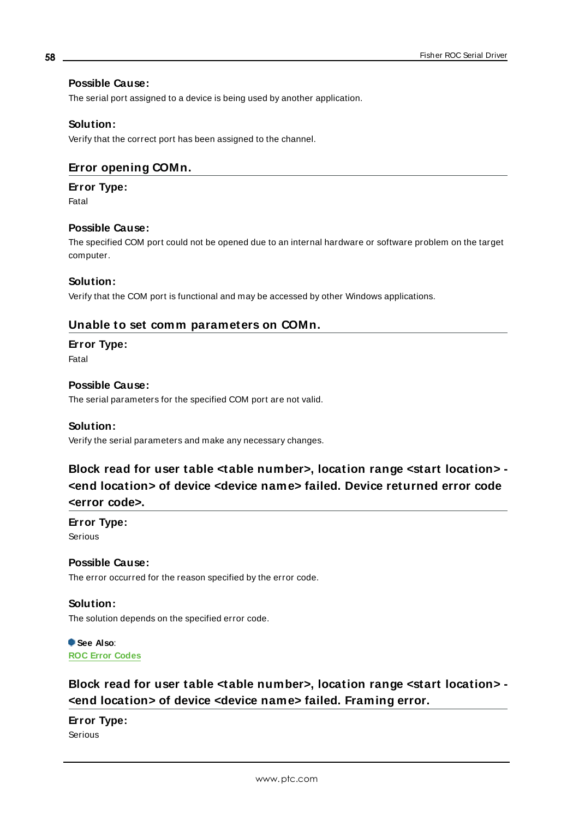### **Possible Cause:**

The serial port assigned to a device is being used by another application.

### **Solution:**

<span id="page-57-2"></span>Verify that the correct port has been assigned to the channel.

### **Error opening COMn.**

### **Error Type:**

Fatal

### **Possible Cause:**

The specified COM port could not be opened due to an internal hardware or software problem on the target computer.

### **Solution:**

Verify that the COM port is functional and may be accessed by other Windows applications.

### **Unable to set comm parameters on COMn.**

### **Error Type:**

Fatal

### **Possible Cause:**

The serial parameters for the specified COM port are not valid.

### **Solution:**

<span id="page-57-0"></span>Verify the serial parameters and make any necessary changes.

### **Block read for user table <table number>, location range <start location> - <end location> of device <device name> failed. Device returned error code <error code>.**

### **Error Type:**

Serious

### **Possible Cause:**

The error occurred for the reason specified by the error code.

### **Solution:**

The solution depends on the specified error code.

**See Also**: **ROC Error [Codes](#page-63-0)**

### <span id="page-57-1"></span>**Block read for user table <table number>, location range <start location> - <end location> of device <device name> failed. Framing error.**

## **Error Type:**

Serious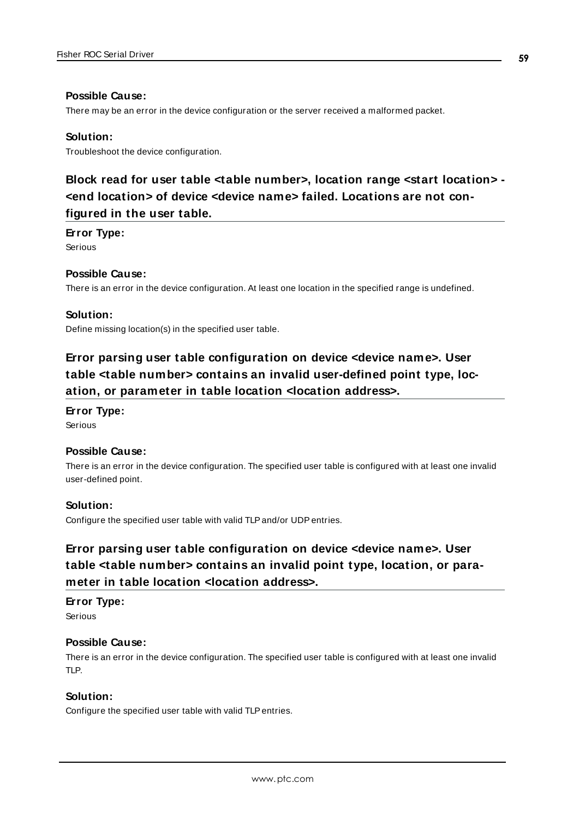#### **Possible Cause:**

There may be an error in the device configuration or the server received a malformed packet.

### **Solution:**

<span id="page-58-0"></span>Troubleshoot the device configuration.

### **Block read for user table <table number>, location range <start location> - <end location> of device <device name> failed. Locations are not configured in the user table.**

#### **Error Type:**

Serious

### **Possible Cause:**

There is an error in the device configuration. At least one location in the specified range is undefined.

### **Solution:**

<span id="page-58-2"></span>Define missing location(s) in the specified user table.

### **Error parsing user table configuration on device <device name>. User table <table number> contains an invalid user-defined point type, location, or parameter in table location <location address>.**

### **Error Type:**

Serious

### **Possible Cause:**

There is an error in the device configuration. The specified user table is configured with at least one invalid user-defined point.

#### **Solution:**

<span id="page-58-1"></span>Configure the specified user table with valid TLPand/or UDPentries.

### **Error parsing user table configuration on device <device name>. User table <table number> contains an invalid point type, location, or parameter in table location <location address>.**

### **Error Type:**

Serious

### **Possible Cause:**

There is an error in the device configuration. The specified user table is configured with at least one invalid TLP.

### **Solution:**

Configure the specified user table with valid TLPentries.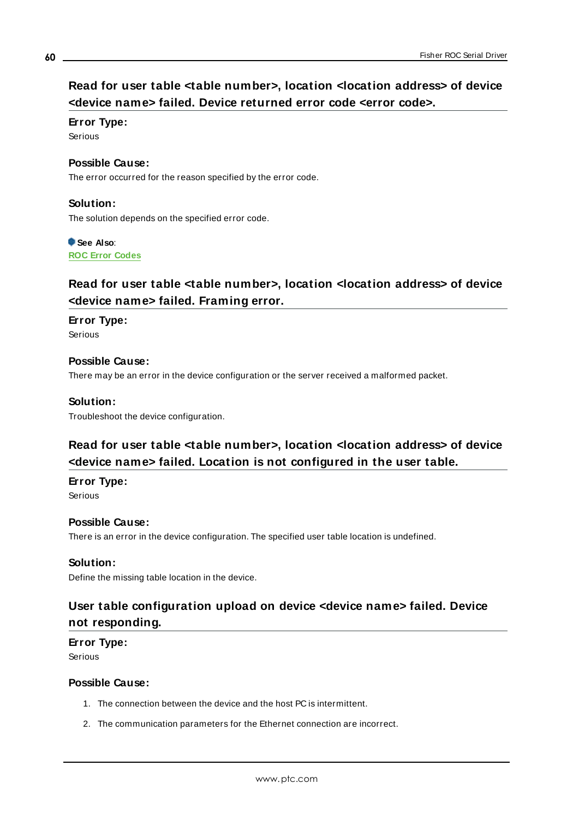### **Read for user table <table number>, location <location address> of device <device name> failed. Device returned error code <error code>.**

### **Error Type:**

Serious

### **Possible Cause:**

The error occurred for the reason specified by the error code.

### **Solution:**

The solution depends on the specified error code.

### **See Also**:

**ROC Error [Codes](#page-63-0)**

### **Read for user table <table number>, location <location address> of device <device name> failed. Framing error.**

### **Error Type:**

Serious

### **Possible Cause:**

There may be an error in the device configuration or the server received a malformed packet.

### **Solution:**

Troubleshoot the device configuration.

### **Read for user table <table number>, location <location address> of device <device name> failed. Location is not configured in the user table.**

### **Error Type:**

Serious

### **Possible Cause:**

There is an error in the device configuration. The specified user table location is undefined.

### **Solution:**

Define the missing table location in the device.

### **User table configuration upload on device <device name> failed. Device not responding.**

### **Error Type:**

Serious

### **Possible Cause:**

- 1. The connection between the device and the host PC is intermittent.
- 2. The communication parameters for the Ethernet connection are incorrect.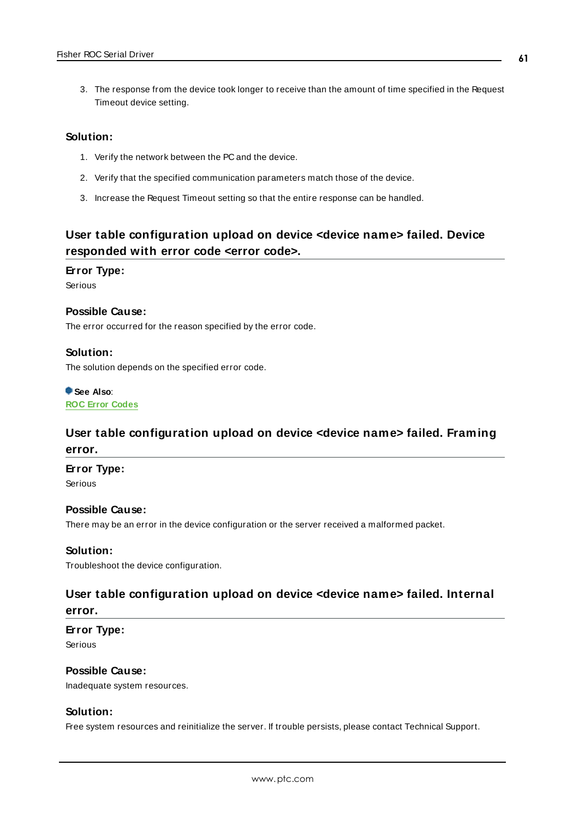3. The response from the device took longer to receive than the amount of time specified in the Request Timeout device setting.

### **Solution:**

- 1. Verify the network between the PC and the device.
- 2. Verify that the specified communication parameters match those of the device.
- 3. Increase the Request Timeout setting so that the entire response can be handled.

### **User table configuration upload on device <device name> failed. Device responded with error code <error code>.**

### **Error Type:**

Serious

#### **Possible Cause:**

The error occurred for the reason specified by the error code.

### **Solution:**

The solution depends on the specified error code.

### **See Also**:

**ROC Error [Codes](#page-63-0)**

### **User table configuration upload on device <device name> failed. Framing error.**

#### **Error Type:**

Serious

### **Possible Cause:**

There may be an error in the device configuration or the server received a malformed packet.

### **Solution:**

Troubleshoot the device configuration.

### **User table configuration upload on device <device name> failed. Internal error.**

### **Error Type:**

Serious

### **Possible Cause:**

Inadequate system resources.

### **Solution:**

Free system resources and reinitialize the server. If trouble persists, please contact Technical Support.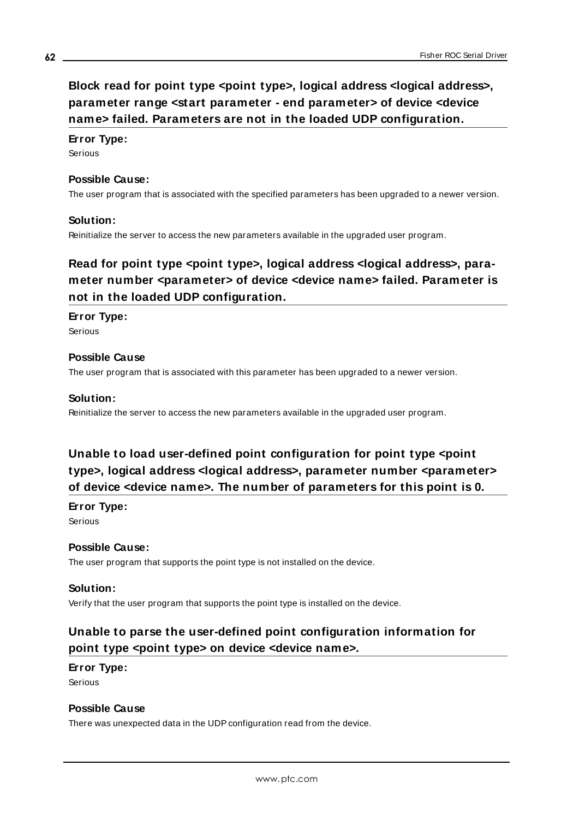## <span id="page-61-1"></span>**Block read for point type <point type>, logical address <logical address>, parameter range <start parameter - end parameter> of device <device name> failed. Parameters are not in the loaded UDP configuration.**

### **Error Type:**

Serious

### **Possible Cause:**

The user program that is associated with the specified parameters has been upgraded to a newer version.

### **Solution:**

Reinitialize the server to access the new parameters available in the upgraded user program.

### **Read for point type <point type>, logical address <logical address>, parameter number <parameter> of device <device name> failed. Parameter is not in the loaded UDP configuration.**

### **Error Type:**

Serious

### **Possible Cause**

The user program that is associated with this parameter has been upgraded to a newer version.

### **Solution:**

Reinitialize the server to access the new parameters available in the upgraded user program.

### **Unable to load user-defined point configuration for point type <point type>, logical address <logical address>, parameter number <parameter> of device <device name>. The number of parameters for this point is 0.**

#### **Error Type:**

Serious

#### **Possible Cause:**

The user program that supports the point type is not installed on the device.

#### **Solution:**

<span id="page-61-0"></span>Verify that the user program that supports the point type is installed on the device.

### **Unable to parse the user-defined point configuration information for point type <point type> on device <device name>.**

### **Error Type:** Serious

### **Possible Cause**

There was unexpected data in the UDP configuration read from the device.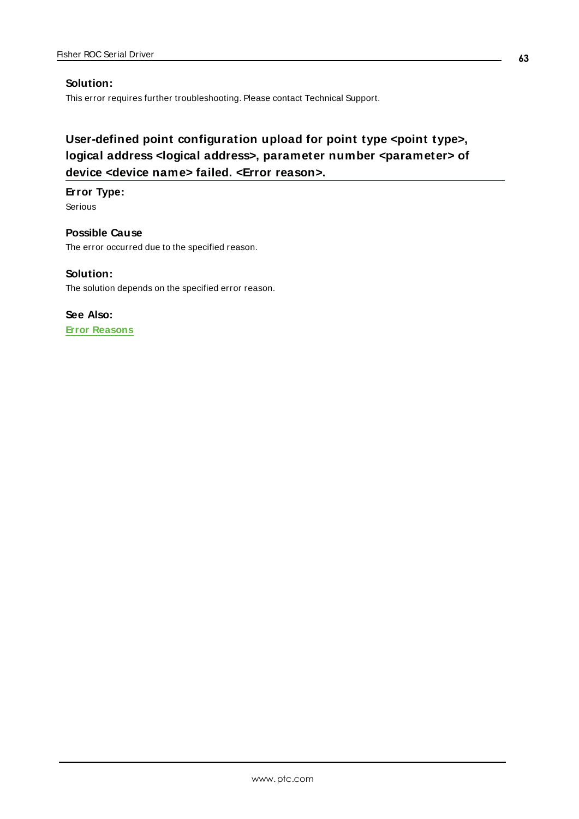### **Solution:**

This error requires further troubleshooting. Please contact Technical Support.

## **User-defined point configuration upload for point type <point type>, logical address <logical address>, parameter number <parameter> of device <device name> failed. <Error reason>.**

### **Error Type:**

Serious

**Possible Cause** The error occurred due to the specified reason.

### **Solution:**

The solution depends on the specified error reason.

**See Also: Error [Reasons](#page-68-0)**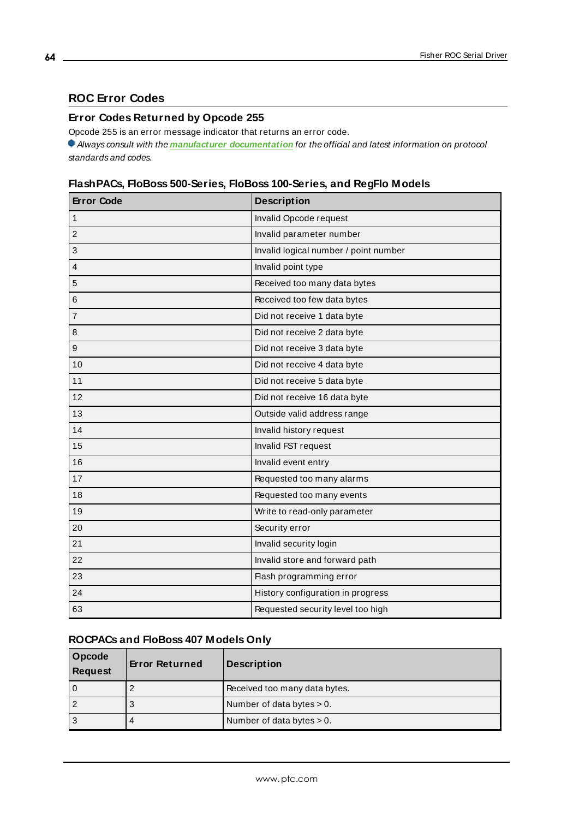### <span id="page-63-0"></span>**ROC Error Codes**

### **Error Codes Returned by Opcode 255**

Opcode 255 is an error message indicator that returns an error code.

Always consult with the **manufacturer [documentation](https://www.emerson.com/documents/automation/roc-protocol-specifications-manual-en-132436.pdf)** for the official and latest information on protocol standards and codes.

### **FlashPACs, FloBoss 500-Series, FloBoss 100-Series, and RegFlo Models**

| <b>Error Code</b> | <b>Description</b>                    |
|-------------------|---------------------------------------|
| $\mathbf{1}$      | Invalid Opcode request                |
| $\overline{2}$    | Invalid parameter number              |
| 3                 | Invalid logical number / point number |
| $\overline{4}$    | Invalid point type                    |
| 5                 | Received too many data bytes          |
| 6                 | Received too few data bytes           |
| $\overline{7}$    | Did not receive 1 data byte           |
| 8                 | Did not receive 2 data byte           |
| $\boldsymbol{9}$  | Did not receive 3 data byte           |
| 10                | Did not receive 4 data byte           |
| 11                | Did not receive 5 data byte           |
| 12                | Did not receive 16 data byte          |
| 13                | Outside valid address range           |
| 14                | Invalid history request               |
| 15                | Invalid FST request                   |
| 16                | Invalid event entry                   |
| 17                | Requested too many alarms             |
| 18                | Requested too many events             |
| 19                | Write to read-only parameter          |
| 20                | Security error                        |
| 21                | Invalid security login                |
| 22                | Invalid store and forward path        |
| 23                | Flash programming error               |
| 24                | History configuration in progress     |
| 63                | Requested security level too high     |

### **ROCPACs and FloBoss 407 Models Only**

| Opcode<br>Request | <b>Error Returned</b> | <b>Description</b>            |
|-------------------|-----------------------|-------------------------------|
|                   |                       | Received too many data bytes. |
|                   | 3                     | Number of data bytes $> 0$ .  |
|                   | 4                     | Number of data bytes $> 0$ .  |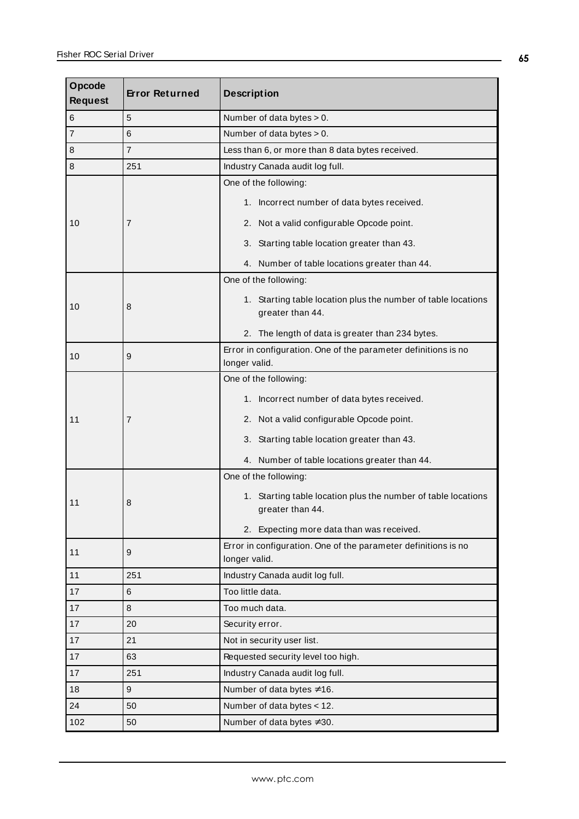| Opcode<br><b>Request</b> | <b>Error Returned</b> | <b>Description</b>                                                                |  |
|--------------------------|-----------------------|-----------------------------------------------------------------------------------|--|
| 6                        | 5                     | Number of data bytes $> 0$ .                                                      |  |
| $\overline{7}$           | 6                     | Number of data bytes > 0.                                                         |  |
| 8                        | $\overline{7}$        | Less than 6, or more than 8 data bytes received.                                  |  |
| 8                        | 251                   | Industry Canada audit log full.                                                   |  |
|                          |                       | One of the following:                                                             |  |
|                          |                       | 1. Incorrect number of data bytes received.                                       |  |
| 10                       | 7                     | 2. Not a valid configurable Opcode point.                                         |  |
|                          |                       | 3. Starting table location greater than 43.                                       |  |
|                          |                       | 4. Number of table locations greater than 44.                                     |  |
|                          |                       | One of the following:                                                             |  |
| 10                       | 8                     | 1. Starting table location plus the number of table locations<br>greater than 44. |  |
|                          |                       | 2. The length of data is greater than 234 bytes.                                  |  |
| 10                       | 9                     | Error in configuration. One of the parameter definitions is no<br>longer valid.   |  |
|                          |                       | One of the following:                                                             |  |
|                          |                       | 1. Incorrect number of data bytes received.                                       |  |
| 11                       | 7                     | 2. Not a valid configurable Opcode point.                                         |  |
|                          |                       | 3. Starting table location greater than 43.                                       |  |
|                          |                       | 4. Number of table locations greater than 44.                                     |  |
|                          |                       | One of the following:                                                             |  |
| 11                       | 8                     | 1. Starting table location plus the number of table locations<br>greater than 44. |  |
|                          |                       | 2. Expecting more data than was received.                                         |  |
| 11                       | 9                     | Error in configuration. One of the parameter definitions is no<br>longer valid.   |  |
| 11                       | 251                   | Industry Canada audit log full.                                                   |  |
| 17                       | 6                     | Too little data.                                                                  |  |
| 17                       | 8                     | Too much data.                                                                    |  |
| 17                       | 20                    | Security error.                                                                   |  |
| 17                       | 21                    | Not in security user list.                                                        |  |
| 17                       | 63                    | Requested security level too high.                                                |  |
| 17                       | 251                   | Industry Canada audit log full.                                                   |  |
| 18                       | 9                     | Number of data bytes ≠16.                                                         |  |
| 24                       | 50                    | Number of data bytes < 12.                                                        |  |
| 102                      | 50                    | Number of data bytes ≠30.                                                         |  |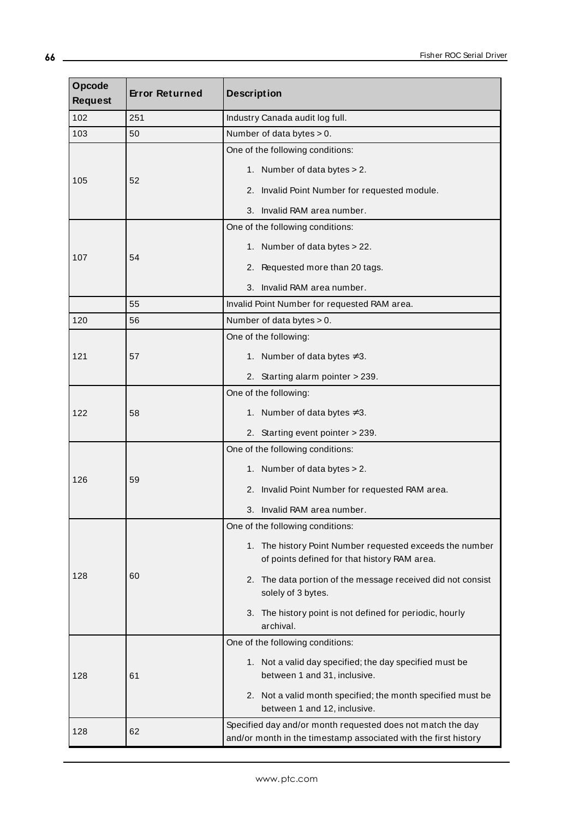| Opcode<br><b>Request</b> | <b>Error Returned</b> | <b>Description</b>                                                                                                             |  |
|--------------------------|-----------------------|--------------------------------------------------------------------------------------------------------------------------------|--|
| 102                      | 251                   | Industry Canada audit log full.                                                                                                |  |
| 103                      | 50                    | Number of data bytes $> 0$ .                                                                                                   |  |
| 105                      | 52                    | One of the following conditions:                                                                                               |  |
|                          |                       | 1. Number of data bytes > 2.                                                                                                   |  |
|                          |                       | 2. Invalid Point Number for requested module.                                                                                  |  |
|                          |                       | 3. Invalid RAM area number.                                                                                                    |  |
|                          | 54                    | One of the following conditions:                                                                                               |  |
|                          |                       | 1. Number of data bytes > 22.                                                                                                  |  |
| 107                      |                       | 2. Requested more than 20 tags.                                                                                                |  |
|                          |                       | 3. Invalid RAM area number.                                                                                                    |  |
|                          | 55                    | Invalid Point Number for requested RAM area.                                                                                   |  |
| 120                      | 56                    | Number of data bytes > 0.                                                                                                      |  |
|                          |                       | One of the following:                                                                                                          |  |
| 121                      | 57                    | 1. Number of data bytes ≠3.                                                                                                    |  |
|                          |                       | 2. Starting alarm pointer > 239.                                                                                               |  |
| 122                      | 58                    | One of the following:                                                                                                          |  |
|                          |                       | 1. Number of data bytes $\neq 3$ .                                                                                             |  |
|                          |                       | 2. Starting event pointer > 239.                                                                                               |  |
|                          | 59                    | One of the following conditions:                                                                                               |  |
|                          |                       | 1. Number of data bytes > 2.                                                                                                   |  |
| 126                      |                       | 2. Invalid Point Number for requested RAM area.                                                                                |  |
|                          |                       | 3. Invalid RAM area number.                                                                                                    |  |
|                          | 60                    | One of the following conditions:                                                                                               |  |
| 128                      |                       | 1. The history Point Number requested exceeds the number<br>of points defined for that history RAM area.                       |  |
|                          |                       | 2. The data portion of the message received did not consist<br>solely of 3 bytes.                                              |  |
|                          |                       | 3. The history point is not defined for periodic, hourly<br>archival.                                                          |  |
|                          | 61                    | One of the following conditions:                                                                                               |  |
| 128                      |                       | 1. Not a valid day specified; the day specified must be<br>between 1 and 31, inclusive.                                        |  |
|                          |                       | 2. Not a valid month specified; the month specified must be<br>between 1 and 12, inclusive.                                    |  |
| 128                      | 62                    | Specified day and/or month requested does not match the day<br>and/or month in the timestamp associated with the first history |  |

**66**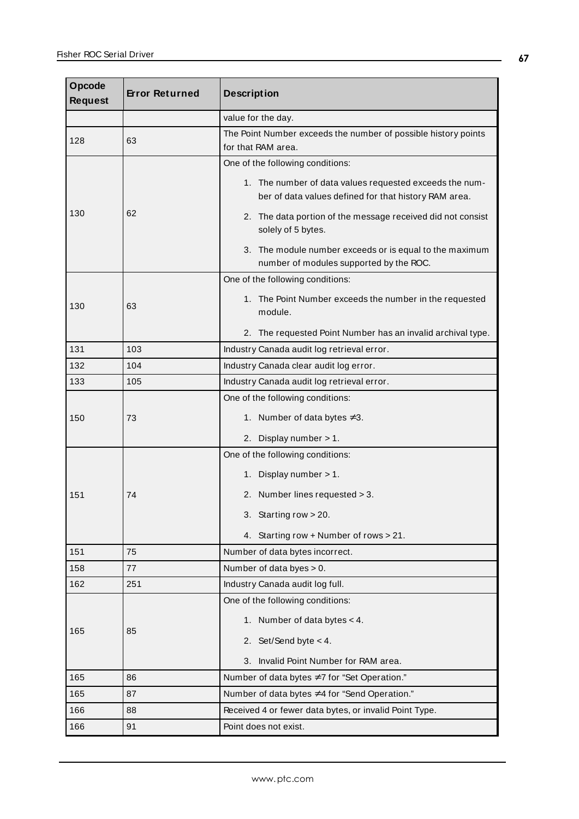| Opcode<br><b>Request</b> | <b>Error Returned</b> | <b>Description</b>                                                                                               |  |
|--------------------------|-----------------------|------------------------------------------------------------------------------------------------------------------|--|
|                          |                       | value for the day.                                                                                               |  |
| 128                      | 63                    | The Point Number exceeds the number of possible history points<br>for that RAM area.                             |  |
| 130                      |                       | One of the following conditions:                                                                                 |  |
|                          | 62                    | 1. The number of data values requested exceeds the num-<br>ber of data values defined for that history RAM area. |  |
|                          |                       | 2. The data portion of the message received did not consist<br>solely of 5 bytes.                                |  |
|                          |                       | 3. The module number exceeds or is equal to the maximum<br>number of modules supported by the ROC.               |  |
|                          |                       | One of the following conditions:                                                                                 |  |
| 130                      | 63                    | 1. The Point Number exceeds the number in the requested<br>module.                                               |  |
|                          |                       | 2. The requested Point Number has an invalid archival type.                                                      |  |
| 131                      | 103                   | Industry Canada audit log retrieval error.                                                                       |  |
| 132                      | 104                   | Industry Canada clear audit log error.                                                                           |  |
| 133                      | 105                   | Industry Canada audit log retrieval error.                                                                       |  |
|                          |                       | One of the following conditions:                                                                                 |  |
| 150                      | 73                    | 1. Number of data bytes $\neq 3$ .                                                                               |  |
|                          |                       | 2. Display number > 1.                                                                                           |  |
|                          | 74                    | One of the following conditions:                                                                                 |  |
|                          |                       | 1. Display number > 1.                                                                                           |  |
| 151                      |                       | 2. Number lines requested > 3.                                                                                   |  |
|                          |                       | 3.<br>Starting row $> 20$ .                                                                                      |  |
|                          |                       | 4. Starting row + Number of rows > 21.                                                                           |  |
| 151                      | 75                    | Number of data bytes incorrect.                                                                                  |  |
| 158                      | 77                    | Number of data byes > 0.                                                                                         |  |
| 162                      | 251                   | Industry Canada audit log full.                                                                                  |  |
|                          | 85                    | One of the following conditions:                                                                                 |  |
|                          |                       | 1. Number of data bytes $<$ 4.                                                                                   |  |
| 165                      |                       | 2. Set/Send byte $< 4$ .                                                                                         |  |
|                          |                       | Invalid Point Number for RAM area.<br>3.                                                                         |  |
| 165                      | 86                    | Number of data bytes ≠7 for "Set Operation."                                                                     |  |
| 165                      | 87                    | Number of data bytes ≠4 for "Send Operation."                                                                    |  |
| 166                      | 88                    | Received 4 or fewer data bytes, or invalid Point Type.                                                           |  |
| 166                      | 91                    | Point does not exist.                                                                                            |  |

 $\overline{a}$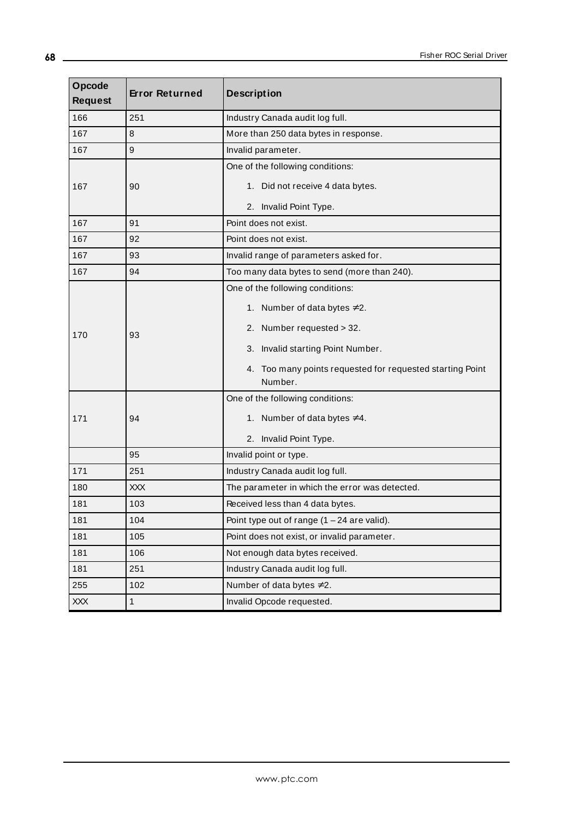| Opcode<br><b>Request</b> | <b>Error Returned</b> | <b>Description</b>                                                   |  |
|--------------------------|-----------------------|----------------------------------------------------------------------|--|
| 166                      | 251                   | Industry Canada audit log full.                                      |  |
| 167                      | 8                     | More than 250 data bytes in response.                                |  |
| 167                      | 9                     | Invalid parameter.                                                   |  |
|                          |                       | One of the following conditions:                                     |  |
| 167                      | 90                    | 1. Did not receive 4 data bytes.                                     |  |
|                          |                       | 2. Invalid Point Type.                                               |  |
| 167                      | 91                    | Point does not exist.                                                |  |
| 167                      | 92                    | Point does not exist.                                                |  |
| 167                      | 93                    | Invalid range of parameters asked for.                               |  |
| 167                      | 94                    | Too many data bytes to send (more than 240).                         |  |
|                          | 93                    | One of the following conditions:                                     |  |
| 170                      |                       | 1. Number of data bytes $\neq 2$ .<br>2. Number requested > 32.      |  |
|                          |                       | 3. Invalid starting Point Number.                                    |  |
|                          |                       | 4. Too many points requested for requested starting Point<br>Number. |  |
|                          | 94                    | One of the following conditions:                                     |  |
| 171                      |                       | 1. Number of data bytes $\neq 4$ .                                   |  |
|                          |                       | 2. Invalid Point Type.                                               |  |
|                          | 95                    | Invalid point or type.                                               |  |
| 171                      | 251                   | Industry Canada audit log full.                                      |  |
| 180                      | <b>XXX</b>            | The parameter in which the error was detected.                       |  |
| 181                      | 103                   | Received less than 4 data bytes.                                     |  |
| 181                      | 104                   | Point type out of range $(1 - 24$ are valid).                        |  |
| 181                      | 105                   | Point does not exist, or invalid parameter.                          |  |
| 181                      | 106                   | Not enough data bytes received.                                      |  |
| 181                      | 251                   | Industry Canada audit log full.                                      |  |
| 255                      | 102                   | Number of data bytes ≠2.                                             |  |
| XXX                      | $\mathbf{1}$          | Invalid Opcode requested.                                            |  |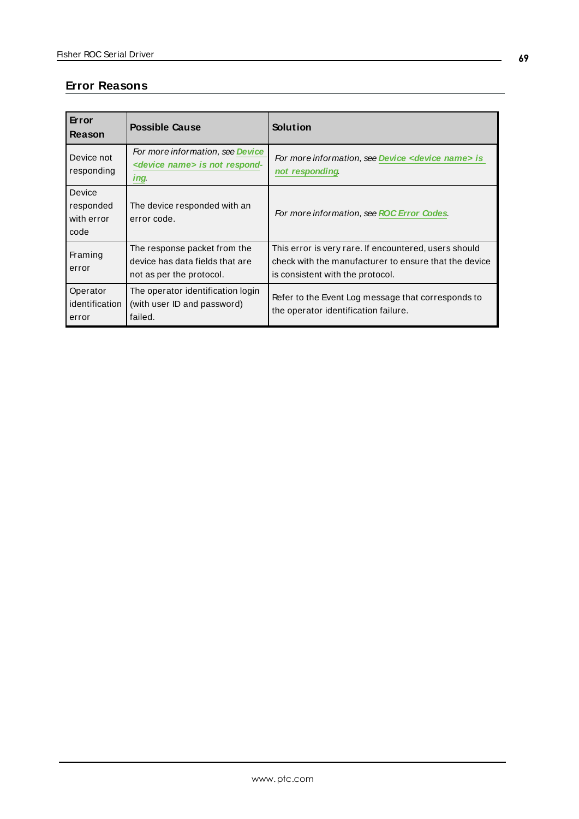### <span id="page-68-0"></span>**Error Reasons**

| Error<br>Reason                           | <b>Possible Cause</b>                                                                         | Solution                                                                                                                                           |
|-------------------------------------------|-----------------------------------------------------------------------------------------------|----------------------------------------------------------------------------------------------------------------------------------------------------|
| Device not<br>responding                  | For more information, see Device<br><device name=""> is not respond-<br/><i>ing.</i></device> | For more information, see Device < device name> is<br>not responding                                                                               |
| Device<br>responded<br>with error<br>code | The device responded with an<br>error code.                                                   | For more information, see ROC Error Codes.                                                                                                         |
| Framing<br>error                          | The response packet from the<br>device has data fields that are<br>not as per the protocol.   | This error is very rare. If encountered, users should<br>check with the manufacturer to ensure that the device<br>is consistent with the protocol. |
| Operator<br>identification<br>error       | The operator identification login<br>(with user ID and password)<br>failed.                   | Refer to the Event Log message that corresponds to<br>the operator identification failure.                                                         |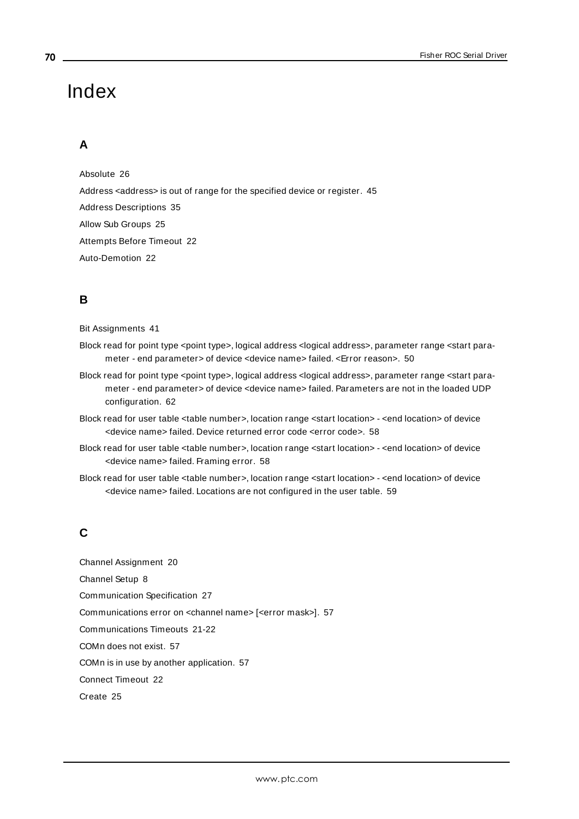# Index

### **A**

Absolute [26](#page-25-1) Address <address> is out of range for the specified device or register. [45](#page-44-0) Address Descriptions [35](#page-34-0) Allow Sub Groups [25](#page-24-0) Attempts Before Timeout [22](#page-21-0) Auto-Demotion [22](#page-21-1)

### **B**

Bit Assignments [41](#page-40-0)

- Block read for point type <point type>, logical address <logical address>, parameter range <start parameter - end parameter> of device <device name> failed. <Error reason>. [50](#page-49-0)
- Block read for point type <point type>, logical address <logical address>, parameter range <start parameter - end parameter> of device <device name> failed. Parameters are not in the loaded UDP configuration. [62](#page-61-1)
- Block read for user table <table number>, location range <start location> <end location> of device <device name> failed. Device returned error code <error code>. [58](#page-57-0)
- Block read for user table <table number>, location range <start location> <end location> of device <device name> failed. Framing error. [58](#page-57-1)
- Block read for user table <table number>, location range <start location> <end location> of device <device name> failed. Locations are not configured in the user table. [59](#page-58-0)

### **C**

Channel Assignment [20](#page-19-0) Channel Setup [8](#page-7-0) Communication Specification [27](#page-26-1) Communications error on <channel name> [<error mask>]. [57](#page-56-0) Communications Timeouts [21-22](#page-20-0) COMn does not exist. [57](#page-56-1) COMn is in use by another application. [57](#page-56-2) Connect Timeout [22](#page-21-2) Create [25](#page-24-1)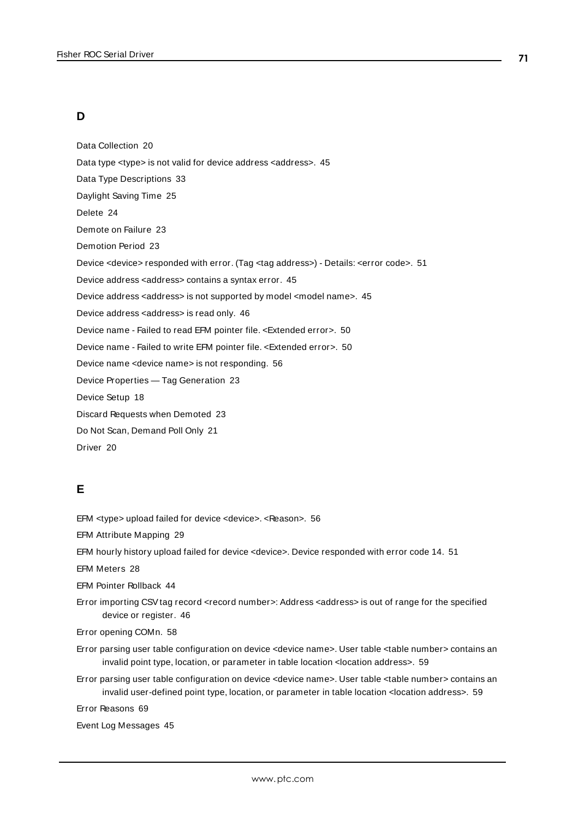### **D**

Data Collection [20](#page-19-1) Data type <type> is not valid for device address <address>. [45](#page-44-1) Data Type Descriptions [33](#page-32-0) Daylight Saving Time [25](#page-24-2) Delete [24](#page-23-0) Demote on Failure [23](#page-22-1) Demotion Period [23](#page-22-2) Device <device> responded with error. (Tag <tag address>) - Details: <error code>. [51](#page-50-0) Device address <address> contains a syntax error. [45](#page-44-2) Device address <address> is not supported by model <model name>. [45](#page-44-3) Device address <address> is read only. [46](#page-45-0) Device name - Failed to read EFM pointer file. <Extended error>. [50](#page-49-1) Device name - Failed to write EFM pointer file. <Extended error>. [50](#page-49-2) Device name <device name> is not responding. [56](#page-55-0) Device Properties — Tag Generation [23](#page-22-0) Device Setup [18](#page-17-0) Discard Requests when Demoted [23](#page-22-3) Do Not Scan, Demand Poll Only [21](#page-20-1) Driver [20](#page-19-2)

### **E**

EFM <type> upload failed for device <device>. <Reason>. [56](#page-55-1) EFM Attribute Mapping [29](#page-28-0) EFM hourly history upload failed for device <device>. Device responded with error code 14. [51](#page-50-1) EFM Meters [28](#page-27-0) EFM Pointer Rollback [44](#page-43-0) Error importing CSV tag record <record number>: Address <address> is out of range for the specified device or register. [46](#page-45-1) Error opening COMn. [58](#page-57-2) Error parsing user table configuration on device <device name>. User table <table number> contains an invalid point type, location, or parameter in table location <location address>. [59](#page-58-1) Error parsing user table configuration on device <device name>. User table <table number> contains an invalid user-defined point type, location, or parameter in table location <location address>. [59](#page-58-2) Error Reasons [69](#page-68-0) Event Log Messages [45](#page-44-4)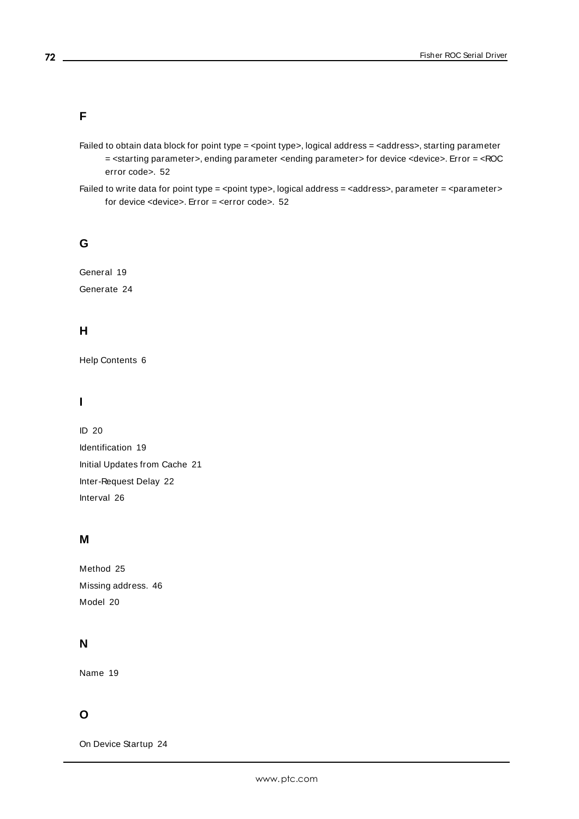### **F**

- Failed to obtain data block for point type = <point type>, logical address = <address>, starting parameter = <starting parameter>, ending parameter <ending parameter> for device <device>. Error = <ROC error code>. [52](#page-51-0)
- Failed to write data for point type = <point type>, logical address = <address>, parameter = <parameter> for device <device>. Error = <error code>. [52](#page-51-1)

### **G**

General [19](#page-18-0) Generate [24](#page-23-1)

### **H**

Help Contents [6](#page-5-0)

### **I**

ID [20](#page-19-3) Identification [19](#page-18-0) Initial Updates from Cache [21](#page-20-2) Inter-Request Delay [22](#page-21-3) Interval [26](#page-25-2)

### **M**

Method [25](#page-24-3) Missing address. [46](#page-45-2) Model [20](#page-19-4)

### **N**

Name [19](#page-18-1)

### **O**

On Device Startup [24](#page-23-2)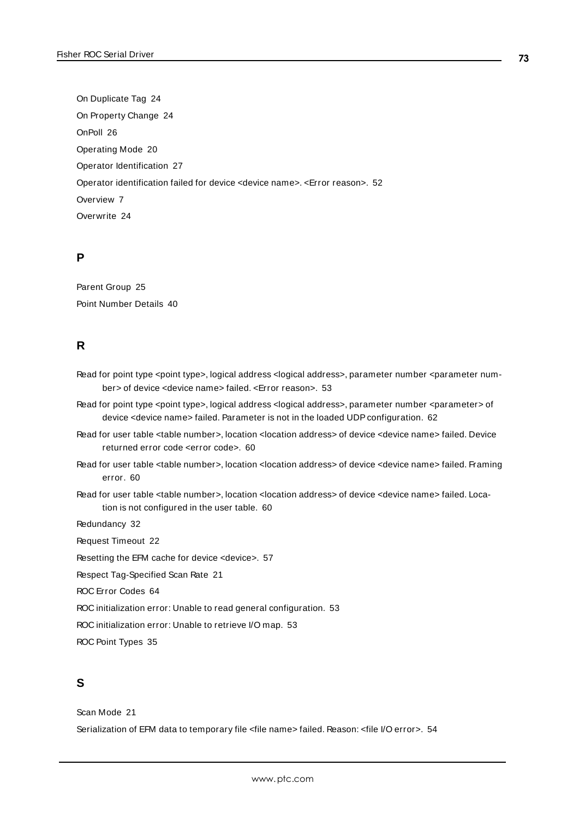On Duplicate Tag [24](#page-23-0) On Property Change [24](#page-23-1) OnPoll [26](#page-25-0) Operating Mode [20](#page-19-0) Operator Identification [27](#page-26-0) Operator identification failed for device <device name>. <Error reason>. [52](#page-51-0) Overview [7](#page-6-0) Overwrite [24](#page-23-2)

### **P**

Parent Group [25](#page-24-0) Point Number Details [40](#page-39-0)

## **R**

- Read for point type <point type>, logical address <logical address>, parameter number <parameter number> of device <device name> failed. <Error reason>. [53](#page-52-0)
- Read for point type <point type>, logical address <logical address>, parameter number <parameter> of device <device name> failed. Parameter is not in the loaded UDP configuration. [62](#page-61-0)
- Read for user table <table number>, location <location address> of device <device name> failed. Device returned error code <error code>. [60](#page-59-0)
- Read for user table <table number>, location <location address> of device <device name> failed. Framing error. [60](#page-59-1)
- Read for user table <table number>, location <location address> of device <device name> failed. Location is not configured in the user table. [60](#page-59-2)

Redundancy [32](#page-31-0)

Request Timeout [22](#page-21-0)

Resetting the EFM cache for device <device>. [57](#page-56-0)

Respect Tag-Specified Scan Rate [21](#page-20-0)

ROC Error Codes [64](#page-63-0)

ROC initialization error: Unable to read general configuration. [53](#page-52-1)

ROC initialization error: Unable to retrieve I/O map. [53](#page-52-2)

ROC Point Types [35](#page-34-0)

# **S**

Scan Mode [21](#page-20-1)

Serialization of EFM data to temporary file <file name> failed. Reason: <file I/O error>. [54](#page-53-0)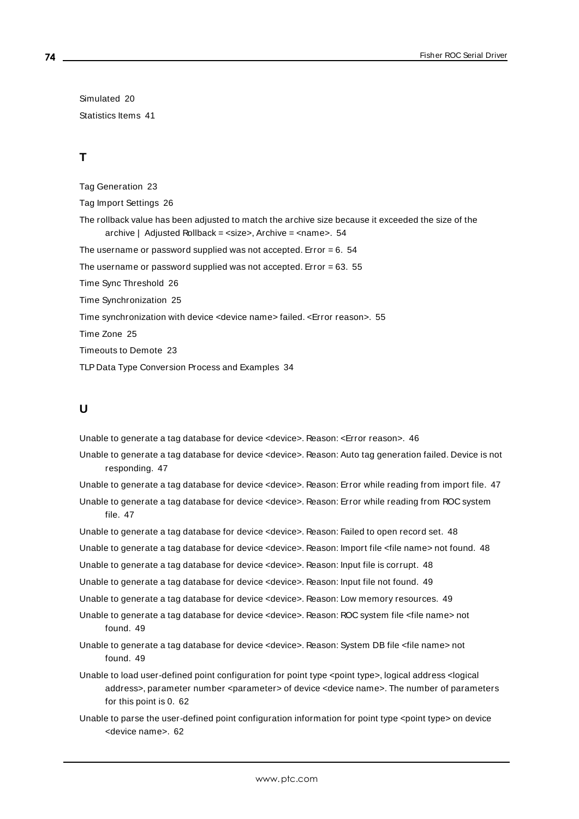Simulated [20](#page-19-1) Statistics Items [41](#page-40-0)

# **T**

Tag Generation [23](#page-22-0) Tag Import Settings [26](#page-25-1) The rollback value has been adjusted to match the archive size because it exceeded the size of the archive | Adjusted Rollback = <size>, Archive = <name>. [54](#page-53-1) The username or password supplied was not accepted. Error  $= 6.54$  $= 6.54$ The username or password supplied was not accepted. Error  $= 63.55$  $= 63.55$ Time Sync Threshold [26](#page-25-2) Time Synchronization [25](#page-24-1) Time synchronization with device <device name> failed. <Error reason>. [55](#page-54-1) Time Zone [25](#page-24-2) Timeouts to Demote [23](#page-22-1) TLP Data Type Conversion Process and Examples [34](#page-33-0)

### **U**

Unable to generate a tag database for device <device>. Reason: <Error reason>. [46](#page-45-0)

- Unable to generate a tag database for device <device>. Reason: Auto tag generation failed. Device is not responding. [47](#page-46-0)
- Unable to generate a tag database for device <device>. Reason: Error while reading from import file. [47](#page-46-1)

Unable to generate a tag database for device <device>. Reason: Error while reading from ROC system file. [47](#page-46-2)

Unable to generate a tag database for device <device>. Reason: Failed to open record set. [48](#page-47-0)

Unable to generate a tag database for device <device>. Reason: Import file <file name> not found. [48](#page-47-1)

Unable to generate a tag database for device <device>. Reason: Input file is corrupt. [48](#page-47-2)

Unable to generate a tag database for device <device>. Reason: Input file not found. [49](#page-48-0)

Unable to generate a tag database for device <device>. Reason: Low memory resources. [49](#page-48-1)

- Unable to generate a tag database for device <device>. Reason: ROC system file <file name> not found. [49](#page-48-2)
- Unable to generate a tag database for device <device>. Reason: System DB file <file name> not found. [49](#page-48-3)
- Unable to load user-defined point configuration for point type <point type>, logical address <logical address>, parameter number <parameter> of device <device name>. The number of parameters for this point is 0. [62](#page-61-1)
- Unable to parse the user-defined point configuration information for point type <point type> on device <device name>. [62](#page-61-2)